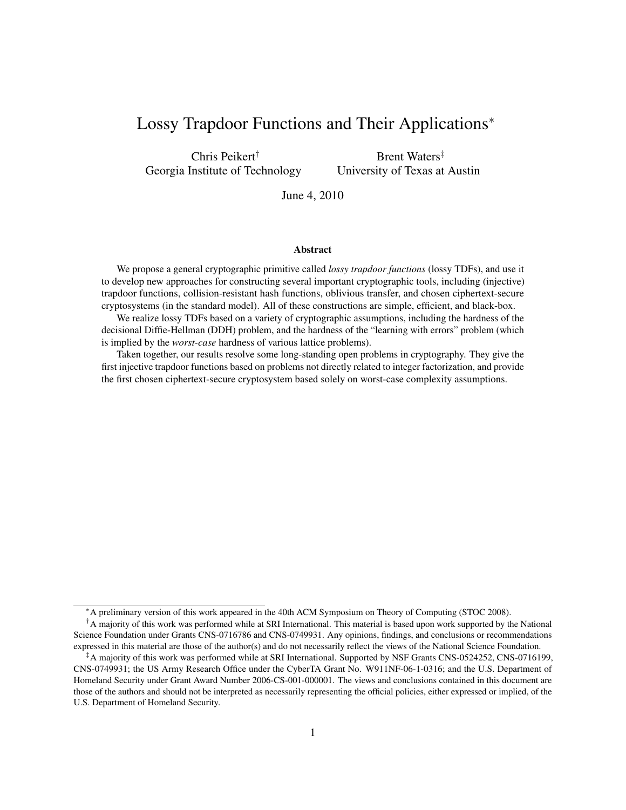# Lossy Trapdoor Functions and Their Applications<sup>∗</sup>

Chris Peikert† Georgia Institute of Technology

Brent Waters‡ University of Texas at Austin

June 4, 2010

### Abstract

We propose a general cryptographic primitive called *lossy trapdoor functions* (lossy TDFs), and use it to develop new approaches for constructing several important cryptographic tools, including (injective) trapdoor functions, collision-resistant hash functions, oblivious transfer, and chosen ciphertext-secure cryptosystems (in the standard model). All of these constructions are simple, efficient, and black-box.

We realize lossy TDFs based on a variety of cryptographic assumptions, including the hardness of the decisional Diffie-Hellman (DDH) problem, and the hardness of the "learning with errors" problem (which is implied by the *worst-case* hardness of various lattice problems).

Taken together, our results resolve some long-standing open problems in cryptography. They give the first injective trapdoor functions based on problems not directly related to integer factorization, and provide the first chosen ciphertext-secure cryptosystem based solely on worst-case complexity assumptions.

<sup>∗</sup>A preliminary version of this work appeared in the 40th ACM Symposium on Theory of Computing (STOC 2008).

 $^{\dagger}$ A majority of this work was performed while at SRI International. This material is based upon work supported by the National Science Foundation under Grants CNS-0716786 and CNS-0749931. Any opinions, findings, and conclusions or recommendations expressed in this material are those of the author(s) and do not necessarily reflect the views of the National Science Foundation.

<sup>‡</sup>A majority of this work was performed while at SRI International. Supported by NSF Grants CNS-0524252, CNS-0716199, CNS-0749931; the US Army Research Office under the CyberTA Grant No. W911NF-06-1-0316; and the U.S. Department of Homeland Security under Grant Award Number 2006-CS-001-000001. The views and conclusions contained in this document are those of the authors and should not be interpreted as necessarily representing the official policies, either expressed or implied, of the U.S. Department of Homeland Security.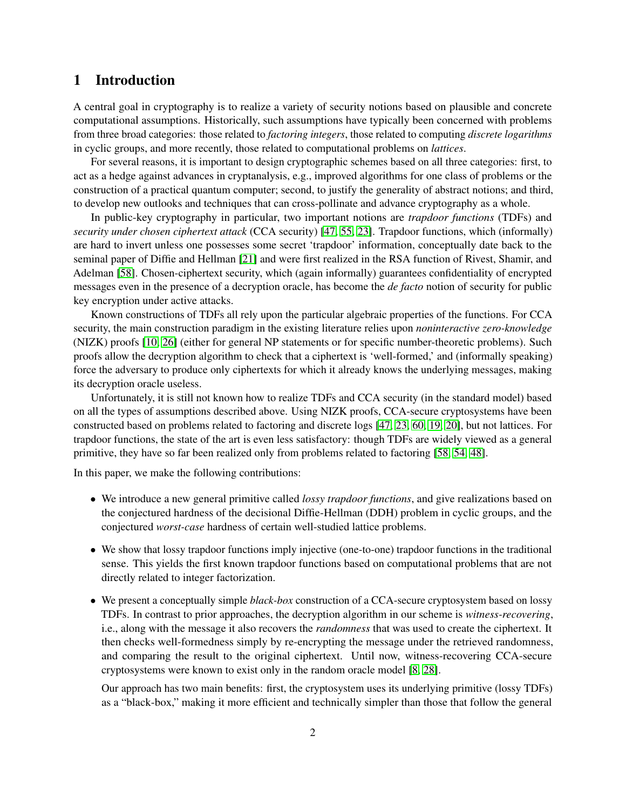# 1 Introduction

A central goal in cryptography is to realize a variety of security notions based on plausible and concrete computational assumptions. Historically, such assumptions have typically been concerned with problems from three broad categories: those related to *factoring integers*, those related to computing *discrete logarithms* in cyclic groups, and more recently, those related to computational problems on *lattices*.

For several reasons, it is important to design cryptographic schemes based on all three categories: first, to act as a hedge against advances in cryptanalysis, e.g., improved algorithms for one class of problems or the construction of a practical quantum computer; second, to justify the generality of abstract notions; and third, to develop new outlooks and techniques that can cross-pollinate and advance cryptography as a whole.

In public-key cryptography in particular, two important notions are *trapdoor functions* (TDFs) and *security under chosen ciphertext attack* (CCA security) [\[47,](#page-42-0) [55,](#page-43-0) [23\]](#page-41-0). Trapdoor functions, which (informally) are hard to invert unless one possesses some secret 'trapdoor' information, conceptually date back to the seminal paper of Diffie and Hellman [\[21\]](#page-41-1) and were first realized in the RSA function of Rivest, Shamir, and Adelman [\[58\]](#page-43-1). Chosen-ciphertext security, which (again informally) guarantees confidentiality of encrypted messages even in the presence of a decryption oracle, has become the *de facto* notion of security for public key encryption under active attacks.

Known constructions of TDFs all rely upon the particular algebraic properties of the functions. For CCA security, the main construction paradigm in the existing literature relies upon *noninteractive zero-knowledge* (NIZK) proofs [\[10,](#page-40-0) [26\]](#page-41-2) (either for general NP statements or for specific number-theoretic problems). Such proofs allow the decryption algorithm to check that a ciphertext is 'well-formed,' and (informally speaking) force the adversary to produce only ciphertexts for which it already knows the underlying messages, making its decryption oracle useless.

Unfortunately, it is still not known how to realize TDFs and CCA security (in the standard model) based on all the types of assumptions described above. Using NIZK proofs, CCA-secure cryptosystems have been constructed based on problems related to factoring and discrete logs [\[47,](#page-42-0) [23,](#page-41-0) [60,](#page-43-2) [19,](#page-41-3) [20\]](#page-41-4), but not lattices. For trapdoor functions, the state of the art is even less satisfactory: though TDFs are widely viewed as a general primitive, they have so far been realized only from problems related to factoring [\[58,](#page-43-1) [54,](#page-43-3) [48\]](#page-42-1).

In this paper, we make the following contributions:

- We introduce a new general primitive called *lossy trapdoor functions*, and give realizations based on the conjectured hardness of the decisional Diffie-Hellman (DDH) problem in cyclic groups, and the conjectured *worst-case* hardness of certain well-studied lattice problems.
- We show that lossy trapdoor functions imply injective (one-to-one) trapdoor functions in the traditional sense. This yields the first known trapdoor functions based on computational problems that are not directly related to integer factorization.
- We present a conceptually simple *black-box* construction of a CCA-secure cryptosystem based on lossy TDFs. In contrast to prior approaches, the decryption algorithm in our scheme is *witness-recovering*, i.e., along with the message it also recovers the *randomness* that was used to create the ciphertext. It then checks well-formedness simply by re-encrypting the message under the retrieved randomness, and comparing the result to the original ciphertext. Until now, witness-recovering CCA-secure cryptosystems were known to exist only in the random oracle model [\[8,](#page-40-1) [28\]](#page-41-5).

Our approach has two main benefits: first, the cryptosystem uses its underlying primitive (lossy TDFs) as a "black-box," making it more efficient and technically simpler than those that follow the general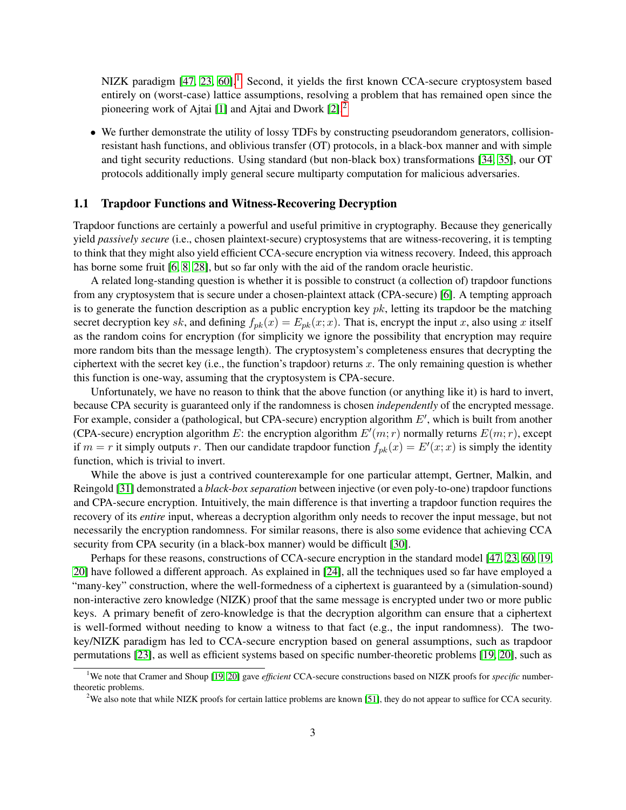NIZK paradigm  $[47, 23, 60]$  $[47, 23, 60]$  $[47, 23, 60]$  $[47, 23, 60]$  $[47, 23, 60]$ .<sup>[1](#page-2-0)</sup> Second, it yields the first known CCA-secure cryptosystem based entirely on (worst-case) lattice assumptions, resolving a problem that has remained open since the pioneering work of Ajtai [\[1\]](#page-39-0) and Ajtai and Dwork [\[2\]](#page-40-2).<sup>[2](#page-2-1)</sup>

• We further demonstrate the utility of lossy TDFs by constructing pseudorandom generators, collisionresistant hash functions, and oblivious transfer (OT) protocols, in a black-box manner and with simple and tight security reductions. Using standard (but non-black box) transformations [\[34,](#page-41-6) [35\]](#page-41-7), our OT protocols additionally imply general secure multiparty computation for malicious adversaries.

### 1.1 Trapdoor Functions and Witness-Recovering Decryption

Trapdoor functions are certainly a powerful and useful primitive in cryptography. Because they generically yield *passively secure* (i.e., chosen plaintext-secure) cryptosystems that are witness-recovering, it is tempting to think that they might also yield efficient CCA-secure encryption via witness recovery. Indeed, this approach has borne some fruit [\[6,](#page-40-3) [8,](#page-40-1) [28\]](#page-41-5), but so far only with the aid of the random oracle heuristic.

A related long-standing question is whether it is possible to construct (a collection of) trapdoor functions from any cryptosystem that is secure under a chosen-plaintext attack (CPA-secure) [\[6\]](#page-40-3). A tempting approach is to generate the function description as a public encryption key  $pk$ , letting its trapdoor be the matching secret decryption key sk, and defining  $f_{pk}(x) = E_{pk}(x; x)$ . That is, encrypt the input x, also using x itself as the random coins for encryption (for simplicity we ignore the possibility that encryption may require more random bits than the message length). The cryptosystem's completeness ensures that decrypting the ciphertext with the secret key (i.e., the function's trapdoor) returns x. The only remaining question is whether this function is one-way, assuming that the cryptosystem is CPA-secure.

Unfortunately, we have no reason to think that the above function (or anything like it) is hard to invert, because CPA security is guaranteed only if the randomness is chosen *independently* of the encrypted message. For example, consider a (pathological, but CPA-secure) encryption algorithm  $E'$ , which is built from another (CPA-secure) encryption algorithm E: the encryption algorithm  $E'(m;r)$  normally returns  $E(m;r)$ , except if  $m = r$  it simply outputs r. Then our candidate trapdoor function  $f_{pk}(x) = E'(x; x)$  is simply the identity function, which is trivial to invert.

While the above is just a contrived counterexample for one particular attempt, Gertner, Malkin, and Reingold [\[31\]](#page-41-8) demonstrated a *black-box separation* between injective (or even poly-to-one) trapdoor functions and CPA-secure encryption. Intuitively, the main difference is that inverting a trapdoor function requires the recovery of its *entire* input, whereas a decryption algorithm only needs to recover the input message, but not necessarily the encryption randomness. For similar reasons, there is also some evidence that achieving CCA security from CPA security (in a black-box manner) would be difficult [\[30\]](#page-41-9).

Perhaps for these reasons, constructions of CCA-secure encryption in the standard model [\[47,](#page-42-0) [23,](#page-41-0) [60,](#page-43-2) [19,](#page-41-3) [20\]](#page-41-4) have followed a different approach. As explained in [\[24\]](#page-41-10), all the techniques used so far have employed a "many-key" construction, where the well-formedness of a ciphertext is guaranteed by a (simulation-sound) non-interactive zero knowledge (NIZK) proof that the same message is encrypted under two or more public keys. A primary benefit of zero-knowledge is that the decryption algorithm can ensure that a ciphertext is well-formed without needing to know a witness to that fact (e.g., the input randomness). The twokey/NIZK paradigm has led to CCA-secure encryption based on general assumptions, such as trapdoor permutations [\[23\]](#page-41-0), as well as efficient systems based on specific number-theoretic problems [\[19,](#page-41-3) [20\]](#page-41-4), such as

<span id="page-2-0"></span><sup>&</sup>lt;sup>1</sup>We note that Cramer and Shoup [\[19,](#page-41-3) [20\]](#page-41-4) gave *efficient* CCA-secure constructions based on NIZK proofs for *specific* numbertheoretic problems.

<span id="page-2-1"></span><sup>&</sup>lt;sup>2</sup>We also note that while NIZK proofs for certain lattice problems are known [\[51\]](#page-42-2), they do not appear to suffice for CCA security.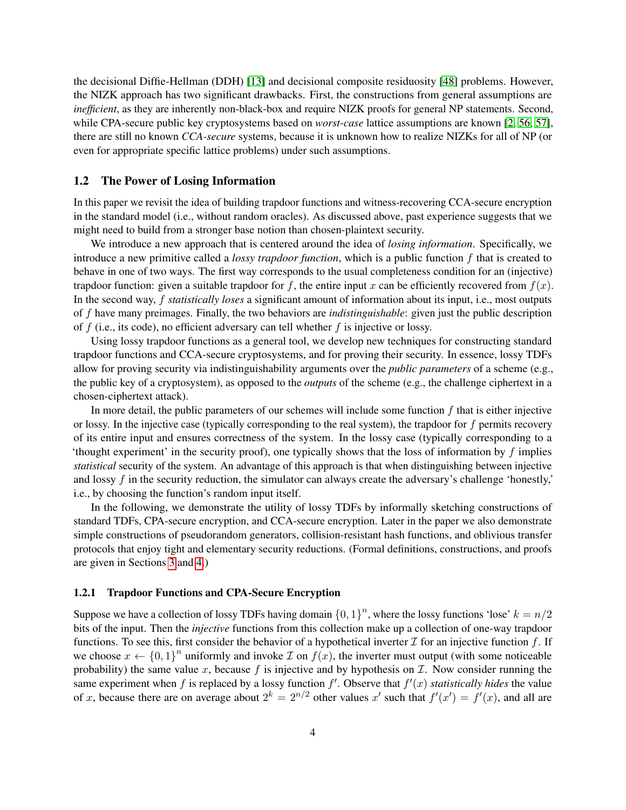the decisional Diffie-Hellman (DDH) [\[13\]](#page-40-4) and decisional composite residuosity [\[48\]](#page-42-1) problems. However, the NIZK approach has two significant drawbacks. First, the constructions from general assumptions are *inefficient*, as they are inherently non-black-box and require NIZK proofs for general NP statements. Second, while CPA-secure public key cryptosystems based on *worst-case* lattice assumptions are known [\[2,](#page-40-2) [56,](#page-43-4) [57\]](#page-43-5), there are still no known *CCA-secure* systems, because it is unknown how to realize NIZKs for all of NP (or even for appropriate specific lattice problems) under such assumptions.

### 1.2 The Power of Losing Information

In this paper we revisit the idea of building trapdoor functions and witness-recovering CCA-secure encryption in the standard model (i.e., without random oracles). As discussed above, past experience suggests that we might need to build from a stronger base notion than chosen-plaintext security.

We introduce a new approach that is centered around the idea of *losing information*. Specifically, we introduce a new primitive called a *lossy trapdoor function*, which is a public function f that is created to behave in one of two ways. The first way corresponds to the usual completeness condition for an (injective) trapdoor function: given a suitable trapdoor for f, the entire input x can be efficiently recovered from  $f(x)$ . In the second way, f *statistically loses* a significant amount of information about its input, i.e., most outputs of f have many preimages. Finally, the two behaviors are *indistinguishable*: given just the public description of  $f$  (i.e., its code), no efficient adversary can tell whether  $f$  is injective or lossy.

Using lossy trapdoor functions as a general tool, we develop new techniques for constructing standard trapdoor functions and CCA-secure cryptosystems, and for proving their security. In essence, lossy TDFs allow for proving security via indistinguishability arguments over the *public parameters* of a scheme (e.g., the public key of a cryptosystem), as opposed to the *outputs* of the scheme (e.g., the challenge ciphertext in a chosen-ciphertext attack).

In more detail, the public parameters of our schemes will include some function  $f$  that is either injective or lossy. In the injective case (typically corresponding to the real system), the trapdoor for  $f$  permits recovery of its entire input and ensures correctness of the system. In the lossy case (typically corresponding to a 'thought experiment' in the security proof), one typically shows that the loss of information by  $f$  implies *statistical* security of the system. An advantage of this approach is that when distinguishing between injective and lossy f in the security reduction, the simulator can always create the adversary's challenge 'honestly,' i.e., by choosing the function's random input itself.

In the following, we demonstrate the utility of lossy TDFs by informally sketching constructions of standard TDFs, CPA-secure encryption, and CCA-secure encryption. Later in the paper we also demonstrate simple constructions of pseudorandom generators, collision-resistant hash functions, and oblivious transfer protocols that enjoy tight and elementary security reductions. (Formal definitions, constructions, and proofs are given in Sections [3](#page-13-0) and [4.](#page-19-0))

### 1.2.1 Trapdoor Functions and CPA-Secure Encryption

Suppose we have a collection of lossy TDFs having domain  $\{0, 1\}^n$ , where the lossy functions 'lose'  $k = n/2$ bits of the input. Then the *injective* functions from this collection make up a collection of one-way trapdoor functions. To see this, first consider the behavior of a hypothetical inverter  $\mathcal I$  for an injective function  $f$ . If we choose  $x \leftarrow \{0,1\}^n$  uniformly and invoke  $\mathcal I$  on  $f(x)$ , the inverter must output (with some noticeable probability) the same value x, because f is injective and by hypothesis on  $\mathcal I$ . Now consider running the same experiment when  $f$  is replaced by a lossy function  $f'$ . Observe that  $f'(x)$  *statistically hides* the value of x, because there are on average about  $2^k = 2^{n/2}$  other values x' such that  $f'(x') = f'(x)$ , and all are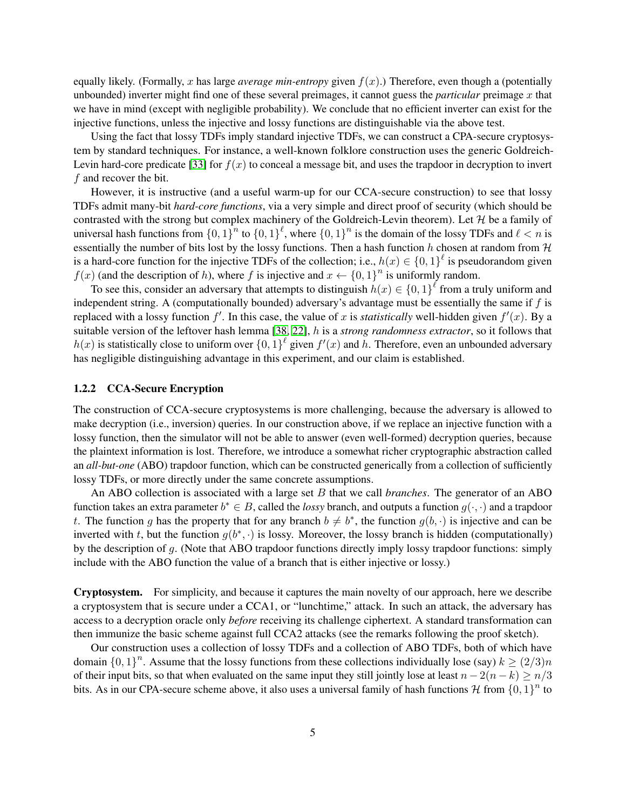equally likely. (Formally, x has large *average min-entropy* given  $f(x)$ .) Therefore, even though a (potentially unbounded) inverter might find one of these several preimages, it cannot guess the *particular* preimage x that we have in mind (except with negligible probability). We conclude that no efficient inverter can exist for the injective functions, unless the injective and lossy functions are distinguishable via the above test.

Using the fact that lossy TDFs imply standard injective TDFs, we can construct a CPA-secure cryptosystem by standard techniques. For instance, a well-known folklore construction uses the generic Goldreich-Levin hard-core predicate [\[33\]](#page-41-11) for  $f(x)$  to conceal a message bit, and uses the trapdoor in decryption to invert f and recover the bit.

However, it is instructive (and a useful warm-up for our CCA-secure construction) to see that lossy TDFs admit many-bit *hard-core functions*, via a very simple and direct proof of security (which should be contrasted with the strong but complex machinery of the Goldreich-Levin theorem). Let  $H$  be a family of universal hash functions from  $\{0,1\}^n$  to  $\{0,1\}^{\ell}$ , where  $\{0,1\}^n$  is the domain of the lossy TDFs and  $\ell < n$  is essentially the number of bits lost by the lossy functions. Then a hash function h chosen at random from  $H$ is a hard-core function for the injective TDFs of the collection; i.e.,  $h(x) \in \{0,1\}^{\ell}$  is pseudorandom given  $f(x)$  (and the description of h), where f is injective and  $x \leftarrow \{0,1\}^n$  is uniformly random.

To see this, consider an adversary that attempts to distinguish  $h(x) \in \{0,1\}^{\ell}$  from a truly uniform and independent string. A (computationally bounded) adversary's advantage must be essentially the same if  $f$  is replaced with a lossy function  $f'$ . In this case, the value of x is *statistically* well-hidden given  $f'(x)$ . By a suitable version of the leftover hash lemma [\[38,](#page-42-3) [22\]](#page-41-12), h is a *strong randomness extractor*, so it follows that  $h(x)$  is statistically close to uniform over  $\{0,1\}^{\ell}$  given  $f'(x)$  and  $\overline{h}$ . Therefore, even an unbounded adversary has negligible distinguishing advantage in this experiment, and our claim is established.

### 1.2.2 CCA-Secure Encryption

The construction of CCA-secure cryptosystems is more challenging, because the adversary is allowed to make decryption (i.e., inversion) queries. In our construction above, if we replace an injective function with a lossy function, then the simulator will not be able to answer (even well-formed) decryption queries, because the plaintext information is lost. Therefore, we introduce a somewhat richer cryptographic abstraction called an *all-but-one* (ABO) trapdoor function, which can be constructed generically from a collection of sufficiently lossy TDFs, or more directly under the same concrete assumptions.

An ABO collection is associated with a large set B that we call *branches*. The generator of an ABO function takes an extra parameter  $b^* \in B$ , called the *lossy* branch, and outputs a function  $g(\cdot, \cdot)$  and a trapdoor t. The function g has the property that for any branch  $b \neq b^*$ , the function  $g(b, \cdot)$  is injective and can be inverted with t, but the function  $g(b^*, \cdot)$  is lossy. Moreover, the lossy branch is hidden (computationally) by the description of  $g$ . (Note that ABO trapdoor functions directly imply lossy trapdoor functions: simply include with the ABO function the value of a branch that is either injective or lossy.)

Cryptosystem. For simplicity, and because it captures the main novelty of our approach, here we describe a cryptosystem that is secure under a CCA1, or "lunchtime," attack. In such an attack, the adversary has access to a decryption oracle only *before* receiving its challenge ciphertext. A standard transformation can then immunize the basic scheme against full CCA2 attacks (see the remarks following the proof sketch).

Our construction uses a collection of lossy TDFs and a collection of ABO TDFs, both of which have domain  $\{0,1\}^n$ . Assume that the lossy functions from these collections individually lose (say)  $k \ge (2/3)n$ of their input bits, so that when evaluated on the same input they still jointly lose at least  $n - 2(n - k) \ge n/3$ bits. As in our CPA-secure scheme above, it also uses a universal family of hash functions H from  $\{0,1\}^n$  to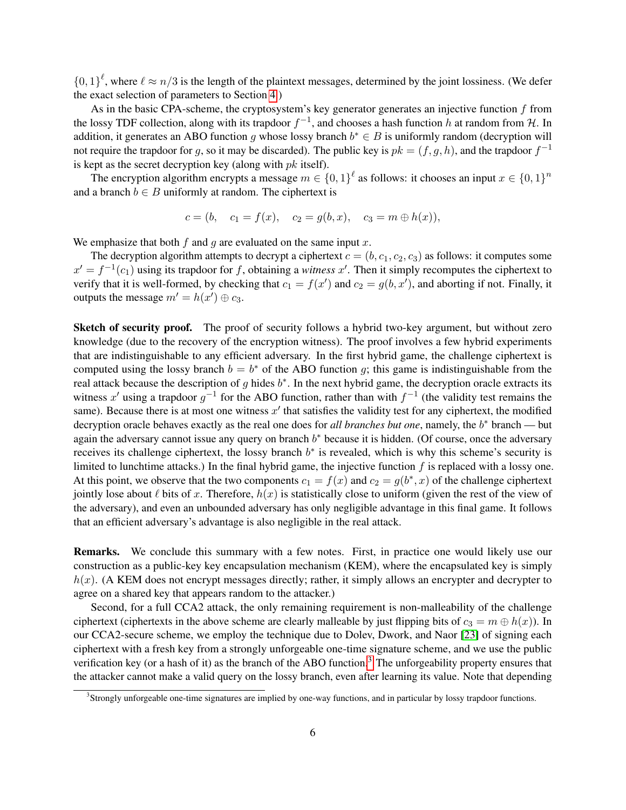$\{0,1\}^{\ell}$ , where  $\ell \approx n/3$  is the length of the plaintext messages, determined by the joint lossiness. (We defer the exact selection of parameters to Section [4.](#page-19-0))

As in the basic CPA-scheme, the cryptosystem's key generator generates an injective function  $f$  from the lossy TDF collection, along with its trapdoor  $f^{-1}$ , and chooses a hash function h at random from H. In addition, it generates an ABO function g whose lossy branch  $b^* \in B$  is uniformly random (decryption will not require the trapdoor for g, so it may be discarded). The public key is  $pk = (f, g, h)$ , and the trapdoor  $f^{-1}$ is kept as the secret decryption key (along with  $pk$  itself).

The encryption algorithm encrypts a message  $m \in \{0,1\}^{\ell}$  as follows: it chooses an input  $x \in \{0,1\}^n$ and a branch  $b \in B$  uniformly at random. The ciphertext is

$$
c = (b, c_1 = f(x), c_2 = g(b, x), c_3 = m \oplus h(x)),
$$

We emphasize that both  $f$  and  $g$  are evaluated on the same input  $x$ .

The decryption algorithm attempts to decrypt a ciphertext  $c = (b, c_1, c_2, c_3)$  as follows: it computes some  $x' = f^{-1}(c_1)$  using its trapdoor for f, obtaining a *witness* x'. Then it simply recomputes the ciphertext to verify that it is well-formed, by checking that  $c_1 = f(x')$  and  $c_2 = g(b, x')$ , and aborting if not. Finally, it outputs the message  $m' = h(x') \oplus c_3$ .

Sketch of security proof. The proof of security follows a hybrid two-key argument, but without zero knowledge (due to the recovery of the encryption witness). The proof involves a few hybrid experiments that are indistinguishable to any efficient adversary. In the first hybrid game, the challenge ciphertext is computed using the lossy branch  $b = b^*$  of the ABO function g; this game is indistinguishable from the real attack because the description of g hides  $b^*$ . In the next hybrid game, the decryption oracle extracts its witness x' using a trapdoor  $g^{-1}$  for the ABO function, rather than with  $f^{-1}$  (the validity test remains the same). Because there is at most one witness  $x'$  that satisfies the validity test for any ciphertext, the modified decryption oracle behaves exactly as the real one does for *all branches but one*, namely, the *b*<sup>∗</sup> branch — but again the adversary cannot issue any query on branch  $b^*$  because it is hidden. (Of course, once the adversary receives its challenge ciphertext, the lossy branch  $b^*$  is revealed, which is why this scheme's security is limited to lunchtime attacks.) In the final hybrid game, the injective function  $f$  is replaced with a lossy one. At this point, we observe that the two components  $c_1 = f(x)$  and  $c_2 = g(b^*, x)$  of the challenge ciphertext jointly lose about  $\ell$  bits of x. Therefore,  $h(x)$  is statistically close to uniform (given the rest of the view of the adversary), and even an unbounded adversary has only negligible advantage in this final game. It follows that an efficient adversary's advantage is also negligible in the real attack.

Remarks. We conclude this summary with a few notes. First, in practice one would likely use our construction as a public-key key encapsulation mechanism (KEM), where the encapsulated key is simply  $h(x)$ . (A KEM does not encrypt messages directly; rather, it simply allows an encrypter and decrypter to agree on a shared key that appears random to the attacker.)

Second, for a full CCA2 attack, the only remaining requirement is non-malleability of the challenge ciphertext (ciphertexts in the above scheme are clearly malleable by just flipping bits of  $c_3 = m \oplus h(x)$ ). In our CCA2-secure scheme, we employ the technique due to Dolev, Dwork, and Naor [\[23\]](#page-41-0) of signing each ciphertext with a fresh key from a strongly unforgeable one-time signature scheme, and we use the public verification key (or a hash of it) as the branch of the ABO function.[3](#page-5-0) The unforgeability property ensures that the attacker cannot make a valid query on the lossy branch, even after learning its value. Note that depending

<span id="page-5-0"></span><sup>3</sup> Strongly unforgeable one-time signatures are implied by one-way functions, and in particular by lossy trapdoor functions.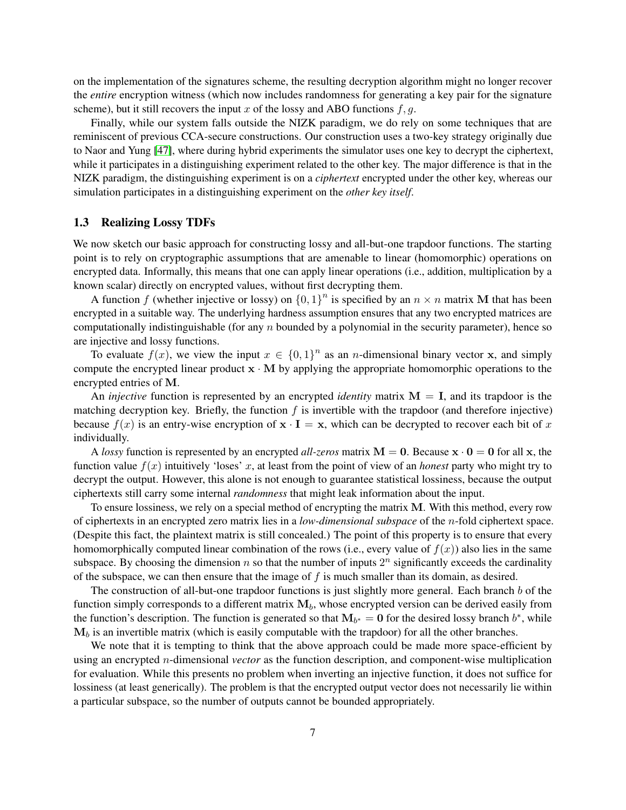on the implementation of the signatures scheme, the resulting decryption algorithm might no longer recover the *entire* encryption witness (which now includes randomness for generating a key pair for the signature scheme), but it still recovers the input x of the lossy and ABO functions  $f, g$ .

Finally, while our system falls outside the NIZK paradigm, we do rely on some techniques that are reminiscent of previous CCA-secure constructions. Our construction uses a two-key strategy originally due to Naor and Yung [\[47\]](#page-42-0), where during hybrid experiments the simulator uses one key to decrypt the ciphertext, while it participates in a distinguishing experiment related to the other key. The major difference is that in the NIZK paradigm, the distinguishing experiment is on a *ciphertext* encrypted under the other key, whereas our simulation participates in a distinguishing experiment on the *other key itself*.

### <span id="page-6-0"></span>1.3 Realizing Lossy TDFs

We now sketch our basic approach for constructing lossy and all-but-one trapdoor functions. The starting point is to rely on cryptographic assumptions that are amenable to linear (homomorphic) operations on encrypted data. Informally, this means that one can apply linear operations (i.e., addition, multiplication by a known scalar) directly on encrypted values, without first decrypting them.

A function f (whether injective or lossy) on  $\{0,1\}^n$  is specified by an  $n \times n$  matrix M that has been encrypted in a suitable way. The underlying hardness assumption ensures that any two encrypted matrices are computationally indistinguishable (for any n bounded by a polynomial in the security parameter), hence so are injective and lossy functions.

To evaluate  $f(x)$ , we view the input  $x \in \{0,1\}^n$  as an *n*-dimensional binary vector x, and simply compute the encrypted linear product  $x \cdot M$  by applying the appropriate homomorphic operations to the encrypted entries of M.

An *injective* function is represented by an encrypted *identity* matrix  $M = I$ , and its trapdoor is the matching decryption key. Briefly, the function  $f$  is invertible with the trapdoor (and therefore injective) because  $f(x)$  is an entry-wise encryption of  $x \cdot I = x$ , which can be decrypted to recover each bit of x individually.

A *lossy* function is represented by an encrypted *all-zeros* matrix  $M = 0$ . Because  $x \cdot 0 = 0$  for all x, the function value  $f(x)$  intuitively 'loses' x, at least from the point of view of an *honest* party who might try to decrypt the output. However, this alone is not enough to guarantee statistical lossiness, because the output ciphertexts still carry some internal *randomness* that might leak information about the input.

To ensure lossiness, we rely on a special method of encrypting the matrix M. With this method, every row of ciphertexts in an encrypted zero matrix lies in a *low-dimensional subspace* of the n-fold ciphertext space. (Despite this fact, the plaintext matrix is still concealed.) The point of this property is to ensure that every homomorphically computed linear combination of the rows (i.e., every value of  $f(x)$ ) also lies in the same subspace. By choosing the dimension n so that the number of inputs  $2<sup>n</sup>$  significantly exceeds the cardinality of the subspace, we can then ensure that the image of  $f$  is much smaller than its domain, as desired.

The construction of all-but-one trapdoor functions is just slightly more general. Each branch b of the function simply corresponds to a different matrix  $M_b$ , whose encrypted version can be derived easily from the function's description. The function is generated so that  $M_{b^*} = 0$  for the desired lossy branch  $b^*$ , while  $M_b$  is an invertible matrix (which is easily computable with the trapdoor) for all the other branches.

We note that it is tempting to think that the above approach could be made more space-efficient by using an encrypted n-dimensional *vector* as the function description, and component-wise multiplication for evaluation. While this presents no problem when inverting an injective function, it does not suffice for lossiness (at least generically). The problem is that the encrypted output vector does not necessarily lie within a particular subspace, so the number of outputs cannot be bounded appropriately.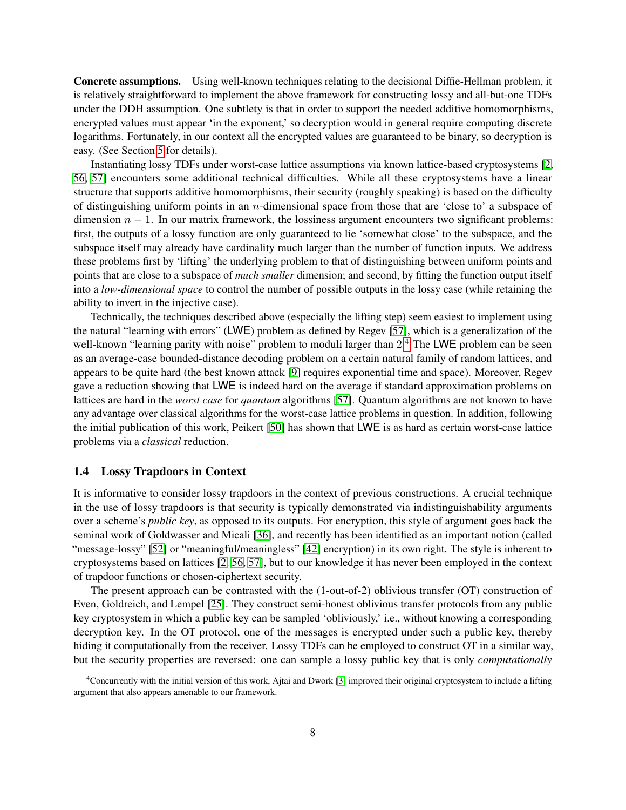Concrete assumptions. Using well-known techniques relating to the decisional Diffie-Hellman problem, it is relatively straightforward to implement the above framework for constructing lossy and all-but-one TDFs under the DDH assumption. One subtlety is that in order to support the needed additive homomorphisms, encrypted values must appear 'in the exponent,' so decryption would in general require computing discrete logarithms. Fortunately, in our context all the encrypted values are guaranteed to be binary, so decryption is easy. (See Section [5](#page-26-0) for details).

Instantiating lossy TDFs under worst-case lattice assumptions via known lattice-based cryptosystems [\[2,](#page-40-2) [56,](#page-43-4) [57\]](#page-43-5) encounters some additional technical difficulties. While all these cryptosystems have a linear structure that supports additive homomorphisms, their security (roughly speaking) is based on the difficulty of distinguishing uniform points in an n-dimensional space from those that are 'close to' a subspace of dimension  $n - 1$ . In our matrix framework, the lossiness argument encounters two significant problems: first, the outputs of a lossy function are only guaranteed to lie 'somewhat close' to the subspace, and the subspace itself may already have cardinality much larger than the number of function inputs. We address these problems first by 'lifting' the underlying problem to that of distinguishing between uniform points and points that are close to a subspace of *much smaller* dimension; and second, by fitting the function output itself into a *low-dimensional space* to control the number of possible outputs in the lossy case (while retaining the ability to invert in the injective case).

Technically, the techniques described above (especially the lifting step) seem easiest to implement using the natural "learning with errors" (LWE) problem as defined by Regev [\[57\]](#page-43-5), which is a generalization of the well-known "learning parity with noise" problem to moduli larger than 2.<sup>[4](#page-7-0)</sup> The LWE problem can be seen as an average-case bounded-distance decoding problem on a certain natural family of random lattices, and appears to be quite hard (the best known attack [\[9\]](#page-40-5) requires exponential time and space). Moreover, Regev gave a reduction showing that LWE is indeed hard on the average if standard approximation problems on lattices are hard in the *worst case* for *quantum* algorithms [\[57\]](#page-43-5). Quantum algorithms are not known to have any advantage over classical algorithms for the worst-case lattice problems in question. In addition, following the initial publication of this work, Peikert [\[50\]](#page-42-4) has shown that LWE is as hard as certain worst-case lattice problems via a *classical* reduction.

# 1.4 Lossy Trapdoors in Context

It is informative to consider lossy trapdoors in the context of previous constructions. A crucial technique in the use of lossy trapdoors is that security is typically demonstrated via indistinguishability arguments over a scheme's *public key*, as opposed to its outputs. For encryption, this style of argument goes back the seminal work of Goldwasser and Micali [\[36\]](#page-42-5), and recently has been identified as an important notion (called "message-lossy" [\[52\]](#page-42-6) or "meaningful/meaningless" [\[42\]](#page-42-7) encryption) in its own right. The style is inherent to cryptosystems based on lattices [\[2,](#page-40-2) [56,](#page-43-4) [57\]](#page-43-5), but to our knowledge it has never been employed in the context of trapdoor functions or chosen-ciphertext security.

The present approach can be contrasted with the (1-out-of-2) oblivious transfer (OT) construction of Even, Goldreich, and Lempel [\[25\]](#page-41-13). They construct semi-honest oblivious transfer protocols from any public key cryptosystem in which a public key can be sampled 'obliviously,' i.e., without knowing a corresponding decryption key. In the OT protocol, one of the messages is encrypted under such a public key, thereby hiding it computationally from the receiver. Lossy TDFs can be employed to construct OT in a similar way, but the security properties are reversed: one can sample a lossy public key that is only *computationally*

<span id="page-7-0"></span><sup>4</sup>Concurrently with the initial version of this work, Ajtai and Dwork [\[3\]](#page-40-6) improved their original cryptosystem to include a lifting argument that also appears amenable to our framework.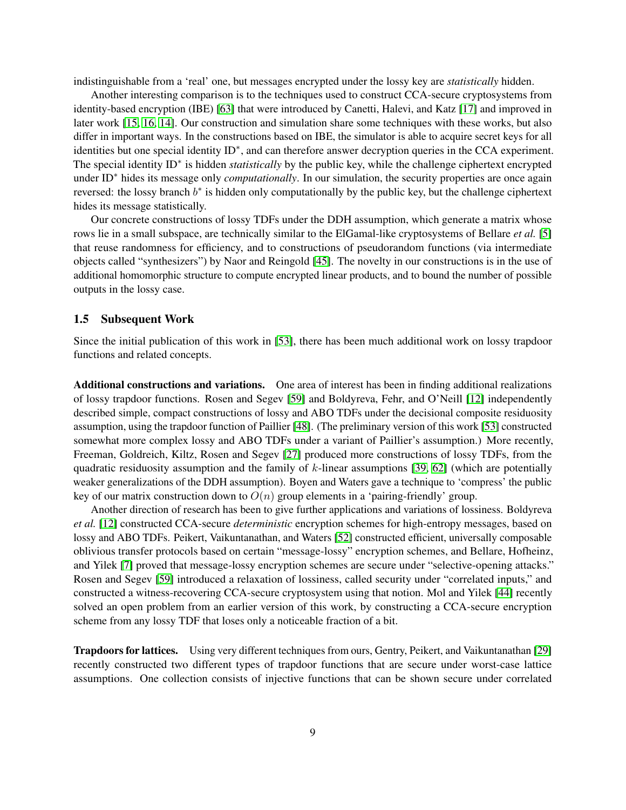indistinguishable from a 'real' one, but messages encrypted under the lossy key are *statistically* hidden.

Another interesting comparison is to the techniques used to construct CCA-secure cryptosystems from identity-based encryption (IBE) [\[63\]](#page-43-6) that were introduced by Canetti, Halevi, and Katz [\[17\]](#page-40-7) and improved in later work [\[15,](#page-40-8) [16,](#page-40-9) [14\]](#page-40-10). Our construction and simulation share some techniques with these works, but also differ in important ways. In the constructions based on IBE, the simulator is able to acquire secret keys for all identities but one special identity ID<sup>∗</sup> , and can therefore answer decryption queries in the CCA experiment. The special identity ID<sup>∗</sup> is hidden *statistically* by the public key, while the challenge ciphertext encrypted under ID<sup>∗</sup> hides its message only *computationally*. In our simulation, the security properties are once again reversed: the lossy branch  $b^*$  is hidden only computationally by the public key, but the challenge ciphertext hides its message statistically.

Our concrete constructions of lossy TDFs under the DDH assumption, which generate a matrix whose rows lie in a small subspace, are technically similar to the ElGamal-like cryptosystems of Bellare *et al.* [\[5\]](#page-40-11) that reuse randomness for efficiency, and to constructions of pseudorandom functions (via intermediate objects called "synthesizers") by Naor and Reingold [\[45\]](#page-42-8). The novelty in our constructions is in the use of additional homomorphic structure to compute encrypted linear products, and to bound the number of possible outputs in the lossy case.

### 1.5 Subsequent Work

Since the initial publication of this work in [\[53\]](#page-43-7), there has been much additional work on lossy trapdoor functions and related concepts.

Additional constructions and variations. One area of interest has been in finding additional realizations of lossy trapdoor functions. Rosen and Segev [\[59\]](#page-43-8) and Boldyreva, Fehr, and O'Neill [\[12\]](#page-40-12) independently described simple, compact constructions of lossy and ABO TDFs under the decisional composite residuosity assumption, using the trapdoor function of Paillier [\[48\]](#page-42-1). (The preliminary version of this work [\[53\]](#page-43-7) constructed somewhat more complex lossy and ABO TDFs under a variant of Paillier's assumption.) More recently, Freeman, Goldreich, Kiltz, Rosen and Segev [\[27\]](#page-41-14) produced more constructions of lossy TDFs, from the quadratic residuosity assumption and the family of  $k$ -linear assumptions [\[39,](#page-42-9) [62\]](#page-43-9) (which are potentially weaker generalizations of the DDH assumption). Boyen and Waters gave a technique to 'compress' the public key of our matrix construction down to  $O(n)$  group elements in a 'pairing-friendly' group.

Another direction of research has been to give further applications and variations of lossiness. Boldyreva *et al.* [\[12\]](#page-40-12) constructed CCA-secure *deterministic* encryption schemes for high-entropy messages, based on lossy and ABO TDFs. Peikert, Vaikuntanathan, and Waters [\[52\]](#page-42-6) constructed efficient, universally composable oblivious transfer protocols based on certain "message-lossy" encryption schemes, and Bellare, Hofheinz, and Yilek [\[7\]](#page-40-13) proved that message-lossy encryption schemes are secure under "selective-opening attacks." Rosen and Segev [\[59\]](#page-43-8) introduced a relaxation of lossiness, called security under "correlated inputs," and constructed a witness-recovering CCA-secure cryptosystem using that notion. Mol and Yilek [\[44\]](#page-42-10) recently solved an open problem from an earlier version of this work, by constructing a CCA-secure encryption scheme from any lossy TDF that loses only a noticeable fraction of a bit.

Trapdoors for lattices. Using very different techniques from ours, Gentry, Peikert, and Vaikuntanathan [\[29\]](#page-41-15) recently constructed two different types of trapdoor functions that are secure under worst-case lattice assumptions. One collection consists of injective functions that can be shown secure under correlated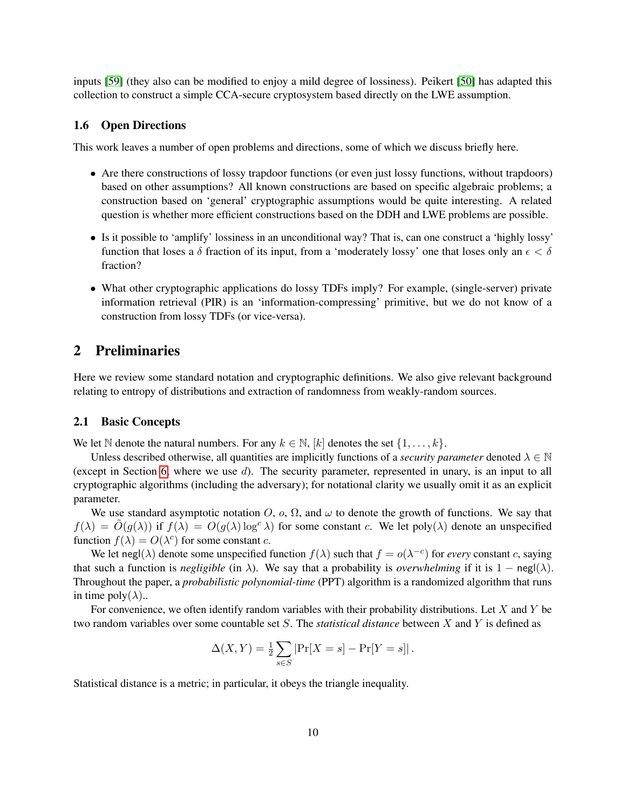inputs [\[59\]](#page-43-8) (they also can be modified to enjoy a mild degree of lossiness). Peikert [\[50\]](#page-42-4) has adapted this collection to construct a simple CCA-secure cryptosystem based directly on the LWE assumption.

# 1.6 Open Directions

This work leaves a number of open problems and directions, some of which we discuss briefly here.

- Are there constructions of lossy trapdoor functions (or even just lossy functions, without trapdoors) based on other assumptions? All known constructions are based on specific algebraic problems; a construction based on 'general' cryptographic assumptions would be quite interesting. A related question is whether more efficient constructions based on the DDH and LWE problems are possible.
- Is it possible to 'amplify' lossiness in an unconditional way? That is, can one construct a 'highly lossy' function that loses a  $\delta$  fraction of its input, from a 'moderately lossy' one that loses only an  $\epsilon < \delta$ fraction?
- What other cryptographic applications do lossy TDFs imply? For example, (single-server) private information retrieval (PIR) is an 'information-compressing' primitive, but we do not know of a construction from lossy TDFs (or vice-versa).

# 2 Preliminaries

Here we review some standard notation and cryptographic definitions. We also give relevant background relating to entropy of distributions and extraction of randomness from weakly-random sources.

# 2.1 Basic Concepts

We let N denote the natural numbers. For any  $k \in \mathbb{N}$ ,  $[k]$  denotes the set  $\{1, \ldots, k\}$ .

Unless described otherwise, all quantities are implicitly functions of a *security parameter* denoted  $\lambda \in \mathbb{N}$ (except in Section [6,](#page-30-0) where we use d). The security parameter, represented in unary, is an input to all cryptographic algorithms (including the adversary); for notational clarity we usually omit it as an explicit parameter.

We use standard asymptotic notation  $O$ ,  $o$ ,  $\Omega$ , and  $\omega$  to denote the growth of functions. We say that  $f(\lambda) = \tilde{O}(g(\lambda))$  if  $f(\lambda) = O(g(\lambda) \log^c \lambda)$  for some constant c. We let poly( $\lambda$ ) denote an unspecified function  $f(\lambda) = O(\lambda^c)$  for some constant c.

We let negl( $\lambda$ ) denote some unspecified function  $f(\lambda)$  such that  $f = o(\lambda^{-c})$  for *every* constant c, saying that such a function is *negligible* (in  $\lambda$ ). We say that a probability is *overwhelming* if it is 1 – negl( $\lambda$ ). Throughout the paper, a *probabilistic polynomial-time* (PPT) algorithm is a randomized algorithm that runs in time  $poly(\lambda)$ ..

For convenience, we often identify random variables with their probability distributions. Let  $X$  and  $Y$  be two random variables over some countable set S. The *statistical distance* between X and Y is defined as

$$
\Delta(X,Y) = \frac{1}{2} \sum_{s \in S} |\Pr[X=s] - \Pr[Y=s]|.
$$

Statistical distance is a metric; in particular, it obeys the triangle inequality.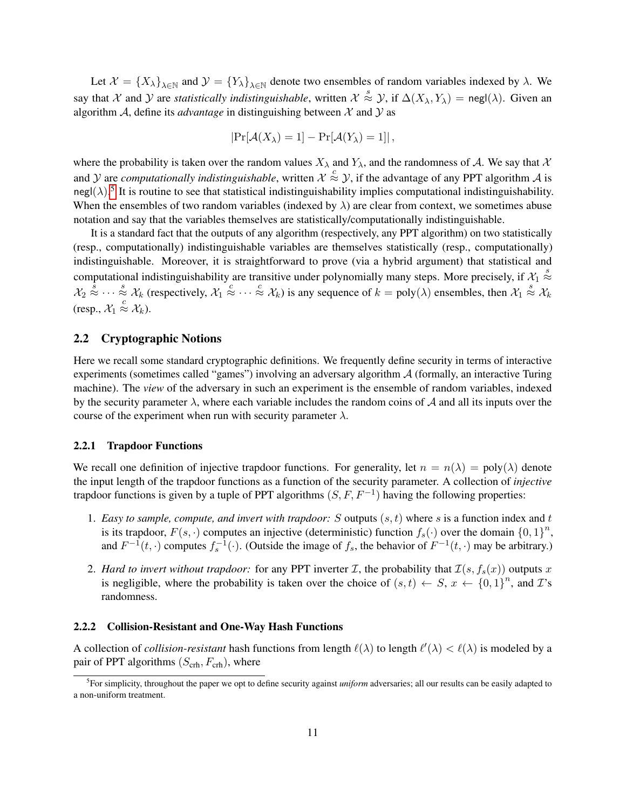Let  $\mathcal{X} = \{X_{\lambda}\}_{\lambda \in \mathbb{N}}$  and  $\mathcal{Y} = \{Y_{\lambda}\}_{\lambda \in \mathbb{N}}$  denote two ensembles of random variables indexed by  $\lambda$ . We say that X and Y are *statistically indistinguishable*, written  $\chi \stackrel{s}{\approx} \chi$ , if  $\Delta(X_\lambda, Y_\lambda) = \text{negl}(\lambda)$ . Given an algorithm  $A$ , define its *advantage* in distinguishing between  $X$  and  $Y$  as

$$
|\Pr[\mathcal{A}(X_{\lambda})=1]-\Pr[\mathcal{A}(Y_{\lambda})=1]|,
$$

where the probability is taken over the random values  $X_\lambda$  and  $Y_\lambda$ , and the randomness of A. We say that X and Y are *computationally indistinguishable*, written  $\chi \stackrel{c}{\approx} \chi$ , if the advantage of any PPT algorithm A is negl $(\lambda)$ .<sup>[5](#page-10-0)</sup> It is routine to see that statistical indistinguishability implies computational indistinguishability. When the ensembles of two random variables (indexed by  $\lambda$ ) are clear from context, we sometimes abuse notation and say that the variables themselves are statistically/computationally indistinguishable.

It is a standard fact that the outputs of any algorithm (respectively, any PPT algorithm) on two statistically (resp., computationally) indistinguishable variables are themselves statistically (resp., computationally) indistinguishable. Moreover, it is straightforward to prove (via a hybrid argument) that statistical and computational indistinguishability are transitive under polynomially many steps. More precisely, if  $\mathcal{X}_1 \stackrel{s}{\approx}$  $\chi_2 \stackrel{\hat{s}}{\approx} \cdots \stackrel{\hat{s}}{\approx} \chi_k$  (respectively,  $\chi_1 \stackrel{c}{\approx} \cdots \stackrel{c}{\approx} \chi_k$ ) is any sequence of  $k = \text{poly}(\lambda)$  ensembles, then  $\chi_1 \stackrel{s}{\approx} \chi_k$ (resp.,  $\mathcal{X}_1 \stackrel{c}{\approx} \mathcal{X}_k$ ).

# 2.2 Cryptographic Notions

Here we recall some standard cryptographic definitions. We frequently define security in terms of interactive experiments (sometimes called "games") involving an adversary algorithm  $A$  (formally, an interactive Turing machine). The *view* of the adversary in such an experiment is the ensemble of random variables, indexed by the security parameter  $\lambda$ , where each variable includes the random coins of A and all its inputs over the course of the experiment when run with security parameter  $\lambda$ .

### 2.2.1 Trapdoor Functions

We recall one definition of injective trapdoor functions. For generality, let  $n = n(\lambda) = \text{poly}(\lambda)$  denote the input length of the trapdoor functions as a function of the security parameter. A collection of *injective* trapdoor functions is given by a tuple of PPT algorithms  $(S, F, F^{-1})$  having the following properties:

- 1. *Easy to sample, compute, and invert with trapdoor:* S outputs (s, t) where s is a function index and t is its trapdoor,  $F(s, \cdot)$  computes an injective (deterministic) function  $f_s(\cdot)$  over the domain  $\{0, 1\}^n$ , and  $F^{-1}(t, \cdot)$  computes  $f_s^{-1}(\cdot)$ . (Outside the image of  $f_s$ , the behavior of  $F^{-1}(t, \cdot)$  may be arbitrary.)
- 2. *Hard to invert without trapdoor:* for any PPT inverter *I*, the probability that  $\mathcal{I}(s, f_s(x))$  outputs x is negligible, where the probability is taken over the choice of  $(s,t) \leftarrow S$ ,  $x \leftarrow \{0,1\}^n$ , and  $\mathcal{I}$ 's randomness.

### 2.2.2 Collision-Resistant and One-Way Hash Functions

A collection of *collision-resistant* hash functions from length  $\ell(\lambda)$  to length  $\ell'(\lambda) < \ell(\lambda)$  is modeled by a pair of PPT algorithms  $(S_{\rm crh}, F_{\rm crh})$ , where

<span id="page-10-0"></span><sup>5</sup> For simplicity, throughout the paper we opt to define security against *uniform* adversaries; all our results can be easily adapted to a non-uniform treatment.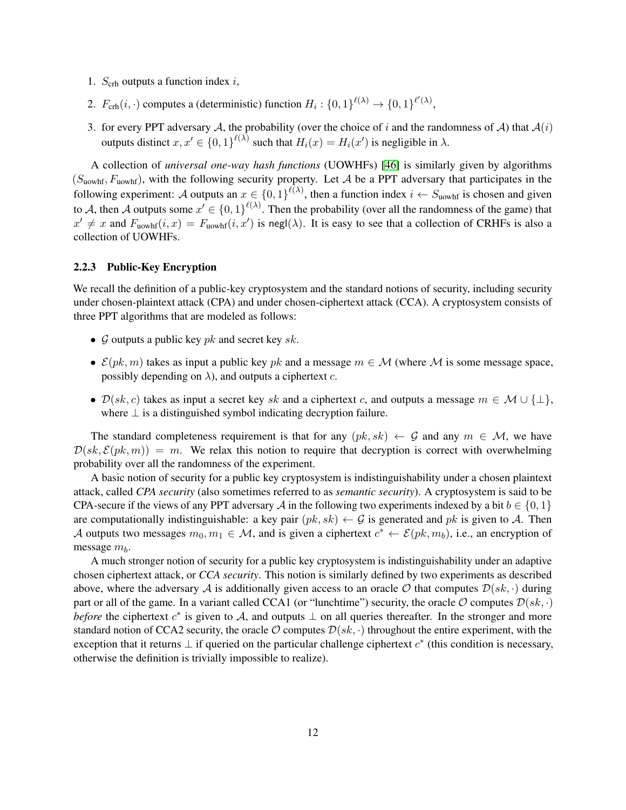- 1.  $S_{\rm crh}$  outputs a function index i,
- 2.  $F_{\text{crh}}(i, \cdot)$  computes a (deterministic) function  $H_i: \{0, 1\}^{\ell(\lambda)} \to \{0, 1\}^{\ell'(\lambda)}$ ,
- 3. for every PPT adversary A, the probability (over the choice of i and the randomness of A) that  $A(i)$ outputs distinct  $x, x' \in \{0, 1\}^{\ell(\lambda)}$  such that  $H_i(x) = H_i(x')$  is negligible in  $\lambda$ .

A collection of *universal one-way hash functions* (UOWHFs) [\[46\]](#page-42-11) is similarly given by algorithms  $(S<sub>uowhf</sub>, F<sub>uowhf</sub>)$ , with the following security property. Let A be a PPT adversary that participates in the following experiment: A outputs an  $x \in \{0,1\}^{\ell(\lambda)}$ , then a function index  $i \leftarrow S_{\text{uowhf}}$  is chosen and given to A, then A outputs some  $x' \in \{0,1\}^{\ell(\lambda)}$ . Then the probability (over all the randomness of the game) that  $x' \neq x$  and  $F_{\text{uowhf}}(i, x) = F_{\text{uowhf}}(i, x')$  is negl( $\lambda$ ). It is easy to see that a collection of CRHFs is also a collection of UOWHFs.

### <span id="page-11-0"></span>2.2.3 Public-Key Encryption

We recall the definition of a public-key cryptosystem and the standard notions of security, including security under chosen-plaintext attack (CPA) and under chosen-ciphertext attack (CCA). A cryptosystem consists of three PPT algorithms that are modeled as follows:

- $G$  outputs a public key  $pk$  and secret key  $sk$ .
- $\mathcal{E}(pk, m)$  takes as input a public key pk and a message  $m \in \mathcal{M}$  (where M is some message space, possibly depending on  $\lambda$ ), and outputs a ciphertext c.
- $\mathcal{D}(sk, c)$  takes as input a secret key sk and a ciphertext c, and outputs a message  $m \in \mathcal{M} \cup \{\perp\},\$ where  $\perp$  is a distinguished symbol indicating decryption failure.

The standard completeness requirement is that for any  $(pk, sk) \leftarrow G$  and any  $m \in \mathcal{M}$ , we have  $\mathcal{D}(sk, \mathcal{E}(pk, m)) = m$ . We relax this notion to require that decryption is correct with overwhelming probability over all the randomness of the experiment.

A basic notion of security for a public key cryptosystem is indistinguishability under a chosen plaintext attack, called *CPA security* (also sometimes referred to as *semantic security*). A cryptosystem is said to be CPA-secure if the views of any PPT adversary A in the following two experiments indexed by a bit  $b \in \{0, 1\}$ are computationally indistinguishable: a key pair  $(pk, sk) \leftarrow G$  is generated and pk is given to A. Then A outputs two messages  $m_0, m_1 \in \mathcal{M}$ , and is given a ciphertext  $c^* \leftarrow \mathcal{E}(pk, m_b)$ , i.e., an encryption of message  $m<sub>b</sub>$ .

A much stronger notion of security for a public key cryptosystem is indistinguishability under an adaptive chosen ciphertext attack, or *CCA security*. This notion is similarly defined by two experiments as described above, where the adversary A is additionally given access to an oracle O that computes  $\mathcal{D}(sk, \cdot)$  during part or all of the game. In a variant called CCA1 (or "lunchtime") security, the oracle  $\mathcal{O}$  computes  $\mathcal{D}(sk, \cdot)$ *before* the ciphertext  $c^*$  is given to A, and outputs  $\perp$  on all queries thereafter. In the stronger and more standard notion of CCA2 security, the oracle  $\mathcal{O}$  computes  $\mathcal{D}(sk, \cdot)$  throughout the entire experiment, with the exception that it returns  $\perp$  if queried on the particular challenge ciphertext  $c^*$  (this condition is necessary, otherwise the definition is trivially impossible to realize).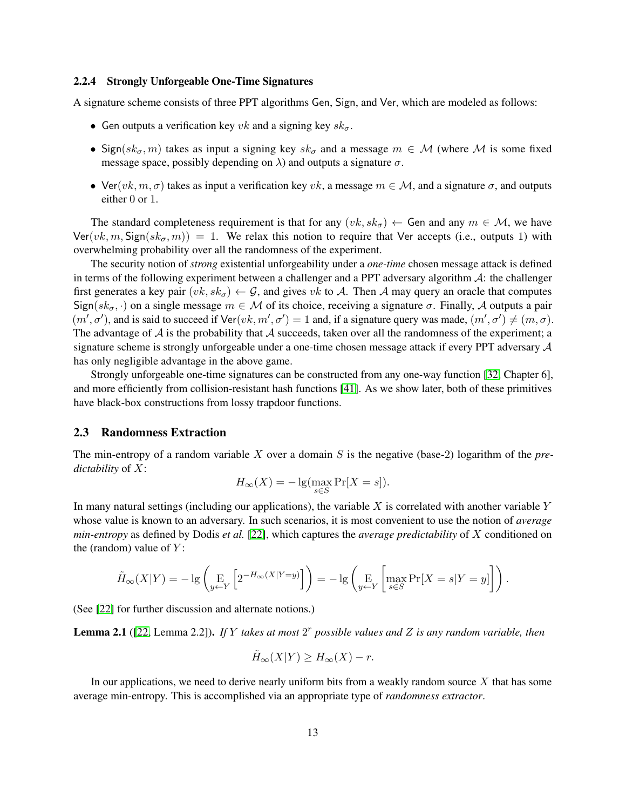### 2.2.4 Strongly Unforgeable One-Time Signatures

A signature scheme consists of three PPT algorithms Gen, Sign, and Ver, which are modeled as follows:

- Gen outputs a verification key vk and a signing key  $sk_{\sigma}$ .
- Sign( $sk_{\sigma}$ , m) takes as input a signing key  $sk_{\sigma}$  and a message  $m \in \mathcal{M}$  (where M is some fixed message space, possibly depending on  $\lambda$ ) and outputs a signature  $\sigma$ .
- Ver(vk, m,  $\sigma$ ) takes as input a verification key vk, a message  $m \in M$ , and a signature  $\sigma$ , and outputs either 0 or 1.

The standard completeness requirement is that for any  $(vk, sk_{\sigma}) \leftarrow$  Gen and any  $m \in \mathcal{M}$ , we have  $Ver(vk, m, Sign(sk_{\sigma}, m)) = 1$ . We relax this notion to require that Ver accepts (i.e., outputs 1) with overwhelming probability over all the randomness of the experiment.

The security notion of *strong* existential unforgeability under a *one-time* chosen message attack is defined in terms of the following experiment between a challenger and a PPT adversary algorithm  $\mathcal{A}$ : the challenger first generates a key pair  $(vk, sk_{\sigma}) \leftarrow G$ , and gives vk to A. Then A may query an oracle that computes Sign( $sk_{\sigma}$ , ·) on a single message  $m \in \mathcal{M}$  of its choice, receiving a signature  $\sigma$ . Finally, A outputs a pair  $(m', \sigma')$ , and is said to succeed if  $\text{Ver}(vk, m', \sigma') = 1$  and, if a signature query was made,  $(m', \sigma') \neq (m, \sigma)$ . The advantage of  $\mathcal A$  is the probability that  $\mathcal A$  succeeds, taken over all the randomness of the experiment; a signature scheme is strongly unforgeable under a one-time chosen message attack if every PPT adversary A has only negligible advantage in the above game.

Strongly unforgeable one-time signatures can be constructed from any one-way function [\[32,](#page-41-16) Chapter 6], and more efficiently from collision-resistant hash functions [\[41\]](#page-42-12). As we show later, both of these primitives have black-box constructions from lossy trapdoor functions.

# 2.3 Randomness Extraction

The min-entropy of a random variable X over a domain S is the negative (base-2) logarithm of the *predictability* of X:

$$
H_{\infty}(X) = -\lg(\max_{s \in S} \Pr[X = s]).
$$

In many natural settings (including our applications), the variable  $X$  is correlated with another variable  $Y$ whose value is known to an adversary. In such scenarios, it is most convenient to use the notion of *average min-entropy* as defined by Dodis *et al.* [\[22\]](#page-41-12), which captures the *average predictability* of X conditioned on the (random) value of  $Y$ :

$$
\tilde{H}_{\infty}(X|Y) = -\lg \left( \mathop{\mathbb{E}}_{y \leftarrow Y} \left[ 2^{-H_{\infty}(X|Y=y)} \right] \right) = -\lg \left( \mathop{\mathbb{E}}_{y \leftarrow Y} \left[ \max_{s \in S} \Pr[X=s|Y=y] \right] \right) .
$$

<span id="page-12-0"></span>(See [\[22\]](#page-41-12) for further discussion and alternate notions.)

Lemma 2.1 ([\[22,](#page-41-12) Lemma 2.2]). If Y takes at most  $2<sup>r</sup>$  possible values and Z is any random variable, then

$$
\tilde{H}_{\infty}(X|Y) \ge H_{\infty}(X) - r.
$$

In our applications, we need to derive nearly uniform bits from a weakly random source  $X$  that has some average min-entropy. This is accomplished via an appropriate type of *randomness extractor*.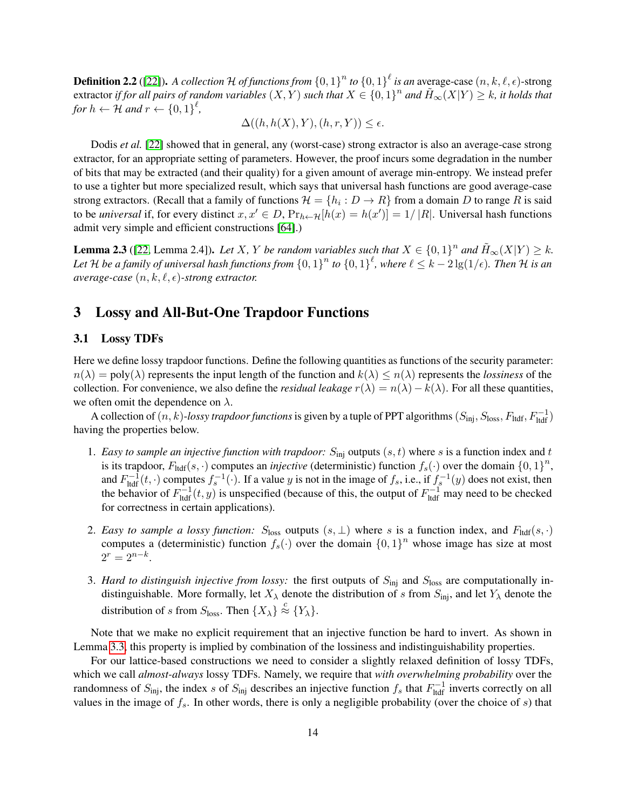**Definition 2.2** ([\[22\]](#page-41-12)). A collection H of functions from  $\{0,1\}^n$  to  $\{0,1\}^{\ell}$  is an average-case  $(n,k,\ell,\epsilon)$ -strong extractor *if for all pairs of random variables*  $(X,Y)$  *such that*  $X\in\{0,1\}^n$  and  $\tilde{H}_\infty(X|Y)\geq k$ , it holds that *for*  $h \leftarrow H$  *and*  $r \leftarrow \{0, 1\}^{\ell}$ *,* 

$$
\Delta((h, h(X), Y), (h, r, Y)) \le \epsilon.
$$

Dodis *et al.* [\[22\]](#page-41-12) showed that in general, any (worst-case) strong extractor is also an average-case strong extractor, for an appropriate setting of parameters. However, the proof incurs some degradation in the number of bits that may be extracted (and their quality) for a given amount of average min-entropy. We instead prefer to use a tighter but more specialized result, which says that universal hash functions are good average-case strong extractors. (Recall that a family of functions  $\mathcal{H} = \{h_i : D \to R\}$  from a domain D to range R is said to be *universal* if, for every distinct  $x, x' \in D$ ,  $Pr_{h \leftarrow H}[h(x) = h(x')] = 1/|R|$ . Universal hash functions admit very simple and efficient constructions [\[64\]](#page-43-10).)

<span id="page-13-1"></span>**Lemma 2.3** ([\[22,](#page-41-12) Lemma 2.4]). Let X, Y be random variables such that  $X \in \{0,1\}^n$  and  $\tilde{H}_{\infty}(X|Y) \geq k$ . Let  $H$  be a family of universal hash functions from  $\{0,1\}^n$  to  $\{0,1\}^\ell$ , where  $\ell \leq k-2\lg(1/\epsilon)$ . Then  $H$  is an *average-case*  $(n, k, \ell, \epsilon)$ -strong extractor.

# <span id="page-13-0"></span>3 Lossy and All-But-One Trapdoor Functions

# 3.1 Lossy TDFs

Here we define lossy trapdoor functions. Define the following quantities as functions of the security parameter:  $n(\lambda) = \text{poly}(\lambda)$  represents the input length of the function and  $k(\lambda) \leq n(\lambda)$  represents the *lossiness* of the collection. For convenience, we also define the *residual leakage*  $r(\lambda) = n(\lambda) - k(\lambda)$ . For all these quantities, we often omit the dependence on  $\lambda$ .

A collection of  $(n, k)$ -lossy trapdoor functions is given by a tuple of PPT algorithms  $(S_{\text{inj}}, S_{\text{loss}}, F_{\text{ltdf}}, F_{\text{ltdf}}^{-1})$ having the properties below.

- 1. *Easy to sample an injective function with trapdoor:*  $S_{\text{inj}}$  outputs  $(s, t)$  where s is a function index and t is its trapdoor,  $F_{\text{ltdf}}(s, \cdot)$  computes an *injective* (deterministic) function  $f_s(\cdot)$  over the domain  $\{0, 1\}^n$ , and  $F_{\text{ltdf}}^{-1}(t, \cdot)$  computes  $f_s^{-1}(\cdot)$ . If a value y is not in the image of  $f_s$ , i.e., if  $f_s^{-1}(y)$  does not exist, then the behavior of  $F_{\text{ltdf}}^{-1}(t, y)$  is unspecified (because of this, the output of  $F_{\text{ltdf}}^{-1}$  may need to be checked for correctness in certain applications).
- 2. *Easy to sample a lossy function:*  $S_{\text{loss}}$  outputs  $(s, \perp)$  where s is a function index, and  $F_{\text{ltdf}}(s, \cdot)$ computes a (deterministic) function  $f_s(\cdot)$  over the domain  $\{0,1\}^n$  whose image has size at most  $2^r = 2^{n-k}.$
- 3. *Hard to distinguish injective from lossy:* the first outputs of  $S_{\text{inj}}$  and  $S_{\text{loss}}$  are computationally indistinguishable. More formally, let  $X_\lambda$  denote the distribution of s from  $S_{\text{inj}}$ , and let  $Y_\lambda$  denote the distribution of s from  $S_{\text{loss}}$ . Then  $\{X_{\lambda}\}\stackrel{c}{\approx}\{Y_{\lambda}\}.$

Note that we make no explicit requirement that an injective function be hard to invert. As shown in Lemma [3.3,](#page-16-0) this property is implied by combination of the lossiness and indistinguishability properties.

For our lattice-based constructions we need to consider a slightly relaxed definition of lossy TDFs, which we call *almost-always* lossy TDFs. Namely, we require that *with overwhelming probability* over the randomness of  $S_{\text{inj}}$ , the index s of  $S_{\text{inj}}$  describes an injective function  $f_s$  that  $F_{\text{tdf}}^{-1}$  inverts correctly on all values in the image of  $f_s$ . In other words, there is only a negligible probability (over the choice of s) that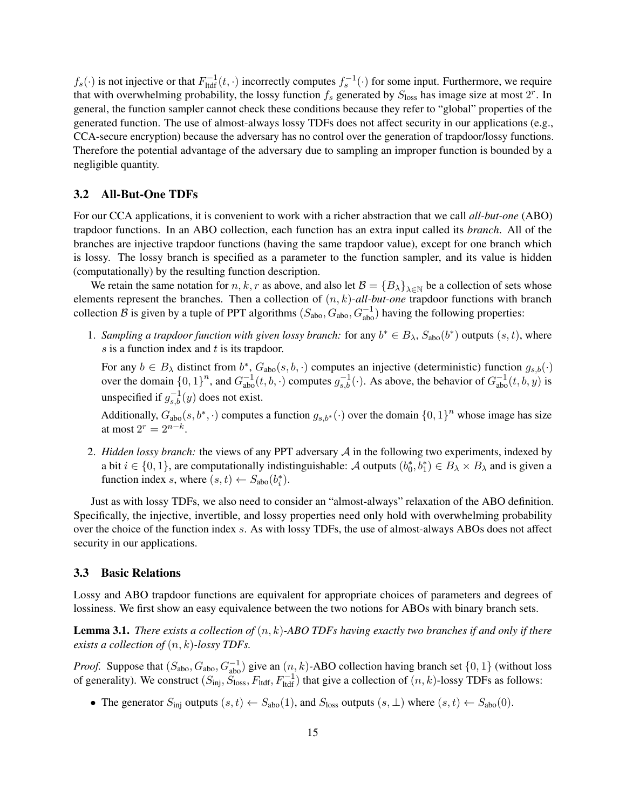$f_s(\cdot)$  is not injective or that  $F_{\text{ltdf}}^{-1}(t, \cdot)$  incorrectly computes  $f_s^{-1}(\cdot)$  for some input. Furthermore, we require that with overwhelming probability, the lossy function  $f_s$  generated by  $S_{loss}$  has image size at most  $2^r$ . In general, the function sampler cannot check these conditions because they refer to "global" properties of the generated function. The use of almost-always lossy TDFs does not affect security in our applications (e.g., CCA-secure encryption) because the adversary has no control over the generation of trapdoor/lossy functions. Therefore the potential advantage of the adversary due to sampling an improper function is bounded by a negligible quantity.

### 3.2 All-But-One TDFs

For our CCA applications, it is convenient to work with a richer abstraction that we call *all-but-one* (ABO) trapdoor functions. In an ABO collection, each function has an extra input called its *branch*. All of the branches are injective trapdoor functions (having the same trapdoor value), except for one branch which is lossy. The lossy branch is specified as a parameter to the function sampler, and its value is hidden (computationally) by the resulting function description.

We retain the same notation for  $n, k, r$  as above, and also let  $B = \{B_{\lambda}\}_{\lambda \in \mathbb{N}}$  be a collection of sets whose elements represent the branches. Then a collection of (n, k)-*all-but-one* trapdoor functions with branch collection B is given by a tuple of PPT algorithms  $(S_{\text{abo}}, G_{\text{abo}}, G_{\text{abo}}^{-1})$  having the following properties:

1. Sampling a trapdoor function with given lossy branch: for any  $b^* \in B_\lambda$ ,  $S_{\text{abo}}(b^*)$  outputs  $(s, t)$ , where  $s$  is a function index and  $t$  is its trapdoor.

For any  $b \in B_\lambda$  distinct from  $b^*$ ,  $G_{\text{abo}}(s, b, \cdot)$  computes an injective (deterministic) function  $g_{s,b}(\cdot)$ over the domain  $\{0, 1\}^n$ , and  $G_{\text{abo}}^{-1}(t, b, \cdot)$  computes  $g_{s,b}^{-1}(\cdot)$ . As above, the behavior of  $G_{\text{abo}}^{-1}(t, b, y)$  is unspecified if  $g_{s,b}^{-1}(y)$  does not exist.

Additionally,  $G_{\text{abo}}(s, b^*, \cdot)$  computes a function  $g_{s,b^*}(\cdot)$  over the domain  $\{0, 1\}^n$  whose image has size at most  $2^r = 2^{n-k}$ .

2. *Hidden lossy branch:* the views of any PPT adversary A in the following two experiments, indexed by a bit  $i \in \{0, 1\}$ , are computationally indistinguishable: A outputs  $(b_0^*, b_1^*) \in B_\lambda \times B_\lambda$  and is given a function index s, where  $(s, t) \leftarrow S_{\text{abo}}(b_i^*)$ .

Just as with lossy TDFs, we also need to consider an "almost-always" relaxation of the ABO definition. Specifically, the injective, invertible, and lossy properties need only hold with overwhelming probability over the choice of the function index s. As with lossy TDFs, the use of almost-always ABOs does not affect security in our applications.

# <span id="page-14-0"></span>3.3 Basic Relations

Lossy and ABO trapdoor functions are equivalent for appropriate choices of parameters and degrees of lossiness. We first show an easy equivalence between the two notions for ABOs with binary branch sets.

Lemma 3.1. *There exists a collection of* (n, k)*-ABO TDFs having exactly two branches if and only if there exists a collection of* (n, k)*-lossy TDFs.*

*Proof.* Suppose that  $(S_{\text{abo}}, G_{\text{abo}}, G_{\text{abo}}^{-1})$  give an  $(n, k)$ -ABO collection having branch set  $\{0, 1\}$  (without loss of generality). We construct  $(S_{\text{inj}}, S_{\text{loss}}, F_{\text{ltdf}}, F_{\text{ltdf}}^{-1})$  that give a collection of  $(n, k)$ -lossy TDFs as follows:

• The generator  $S_{\text{ini}}$  outputs  $(s, t) \leftarrow S_{\text{abo}}(1)$ , and  $S_{\text{loss}}$  outputs  $(s, \perp)$  where  $(s, t) \leftarrow S_{\text{abo}}(0)$ .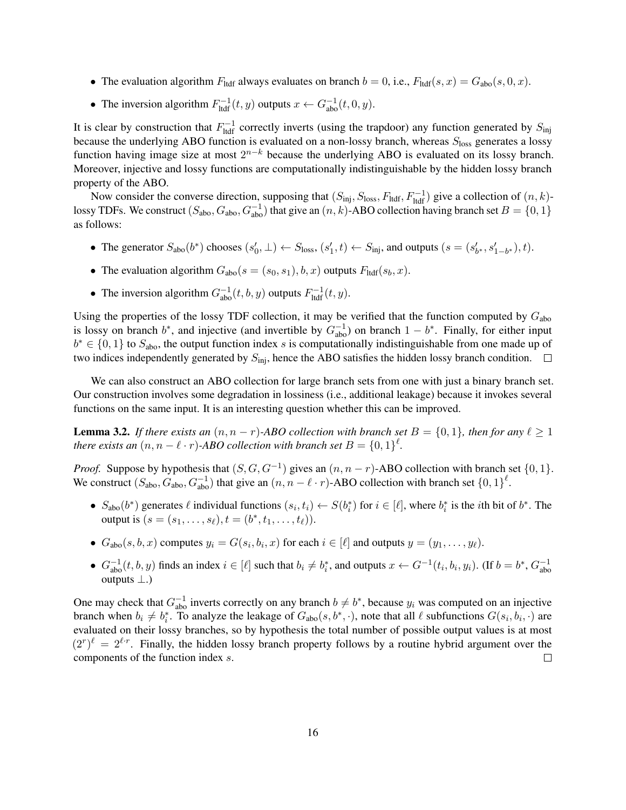- The evaluation algorithm  $F_{\text{tdf}}$  always evaluates on branch  $b = 0$ , i.e.,  $F_{\text{tdf}}(s, x) = G_{\text{abo}}(s, 0, x)$ .
- The inversion algorithm  $F_{\text{ltdf}}^{-1}(t, y)$  outputs  $x \leftarrow G_{\text{abo}}^{-1}(t, 0, y)$ .

It is clear by construction that  $F_{\text{ltdf}}^{-1}$  correctly inverts (using the trapdoor) any function generated by  $S_{\text{inj}}$ because the underlying ABO function is evaluated on a non-lossy branch, whereas  $S<sub>loss</sub>$  generates a lossy function having image size at most  $2^{n-k}$  because the underlying ABO is evaluated on its lossy branch. Moreover, injective and lossy functions are computationally indistinguishable by the hidden lossy branch property of the ABO.

Now consider the converse direction, supposing that  $(S_{\text{inj}}, S_{\text{loss}}, F_{\text{ltdf}}, F_{\text{ltdf}}^{-1})$  give a collection of  $(n, k)$ lossy TDFs. We construct  $(S_{\text{abo}}, G_{\text{abo}}, G_{\text{abo}}^{-1})$  that give an  $(n, k)$ -ABO collection having branch set  $B = \{0, 1\}$ as follows:

- The generator  $S_{\text{abo}}(b^*)$  chooses  $(s'_0, \perp) \leftarrow S_{\text{loss}}, (s'_1, t) \leftarrow S_{\text{inj}}$ , and outputs  $(s = (s'_{b^*}, s'_{1-b^*}), t)$ .
- The evaluation algorithm  $G_{\text{abo}}(s = (s_0, s_1), b, x)$  outputs  $F_{\text{ltdf}}(s_b, x)$ .
- The inversion algorithm  $G_{\text{abo}}^{-1}(t, b, y)$  outputs  $F_{\text{ltdf}}^{-1}(t, y)$ .

Using the properties of the lossy TDF collection, it may be verified that the function computed by  $G_{\text{abo}}$ is lossy on branch  $b^*$ , and injective (and invertible by  $G_{\text{abo}}^{-1}$ ) on branch  $1 - b^*$ . Finally, for either input  $b^* \in \{0, 1\}$  to  $S_{\text{abo}}$ , the output function index s is computationally indistinguishable from one made up of two indices independently generated by  $S_{\text{inj}}$ , hence the ABO satisfies the hidden lossy branch condition.  $\Box$ 

We can also construct an ABO collection for large branch sets from one with just a binary branch set. Our construction involves some degradation in lossiness (i.e., additional leakage) because it invokes several functions on the same input. It is an interesting question whether this can be improved.

**Lemma 3.2.** *If there exists an*  $(n, n - r)$ -*ABO collection with branch set*  $B = \{0, 1\}$ *, then for any*  $\ell \ge 1$ *there exists an*  $(n, n - \ell \cdot r)$ -*ABO collection with branch set*  $B = \{0, 1\}^{\ell}$ .

*Proof.* Suppose by hypothesis that  $(S, G, G^{-1})$  gives an  $(n, n - r)$ -ABO collection with branch set  $\{0, 1\}$ . We construct  $(S_{\text{abo}}, \overline{G}_{\text{abo}}, G_{\text{abo}}^{-1})$  that give an  $(n, n - \ell \cdot r)$ -ABO collection with branch set  $\{0, 1\}^{\ell}$ .

- $S_{\text{abo}}(b^*)$  generates  $\ell$  individual functions  $(s_i, t_i) \leftarrow S(b_i^*)$  for  $i \in [\ell]$ , where  $b_i^*$  is the *i*th bit of  $b^*$ . The output is  $(s = (s_1, \ldots, s_\ell), t = (b^*, t_1, \ldots, t_\ell)).$
- $G_{\text{abo}}(s, b, x)$  computes  $y_i = G(s_i, b_i, x)$  for each  $i \in [\ell]$  and outputs  $y = (y_1, \dots, y_\ell)$ .
- $G_{\text{abo}}^{-1}(t, b, y)$  finds an index  $i \in [\ell]$  such that  $b_i \neq b_i^*$ , and outputs  $x \leftarrow G^{-1}(t_i, b_i, y_i)$ . (If  $b = b^*$ ,  $G_{\text{abo}}^{-1}(t_i, b_i, y_i)$ abo outputs  $\perp$ .)

One may check that  $G_{\text{abo}}^{-1}$  inverts correctly on any branch  $b \neq b^*$ , because  $y_i$  was computed on an injective branch when  $b_i \neq b_i^*$ . To analyze the leakage of  $G_{\text{abo}}(s, b^*, \cdot)$ , note that all  $\ell$  subfunctions  $G(s_i, b_i, \cdot)$  are evaluated on their lossy branches, so by hypothesis the total number of possible output values is at most  $(2<sup>r</sup>)<sup>l</sup> = 2<sup>l.r</sup>$ . Finally, the hidden lossy branch property follows by a routine hybrid argument over the components of the function index s.  $\Box$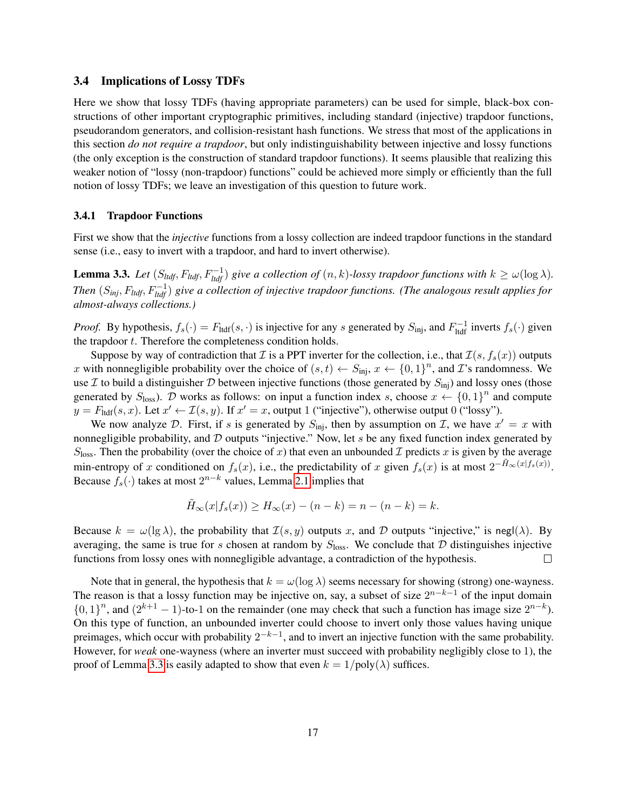### 3.4 Implications of Lossy TDFs

Here we show that lossy TDFs (having appropriate parameters) can be used for simple, black-box constructions of other important cryptographic primitives, including standard (injective) trapdoor functions, pseudorandom generators, and collision-resistant hash functions. We stress that most of the applications in this section *do not require a trapdoor*, but only indistinguishability between injective and lossy functions (the only exception is the construction of standard trapdoor functions). It seems plausible that realizing this weaker notion of "lossy (non-trapdoor) functions" could be achieved more simply or efficiently than the full notion of lossy TDFs; we leave an investigation of this question to future work.

### 3.4.1 Trapdoor Functions

First we show that the *injective* functions from a lossy collection are indeed trapdoor functions in the standard sense (i.e., easy to invert with a trapdoor, and hard to invert otherwise).

<span id="page-16-0"></span>**Lemma 3.3.** Let  $(S_{\text{tidf}}, F_{\text{tidf}}, F_{\text{talf}}^{-1})$  give a collection of  $(n, k)$ -lossy trapdoor functions with  $k \ge \omega(\log \lambda)$ . *Then*  $(S_{inj}, F_{ttdf}, F_{ttdf}^{-1})$  give a collection of injective trapdoor functions. (The analogous result applies for *almost-always collections.)*

*Proof.* By hypothesis,  $f_s(\cdot) = F_{\text{ltdf}}(s, \cdot)$  is injective for any s generated by  $S_{\text{inj}}$ , and  $F_{\text{ltdf}}^{-1}$  inverts  $f_s(\cdot)$  given the trapdoor  $t$ . Therefore the completeness condition holds.

Suppose by way of contradiction that  $\mathcal I$  is a PPT inverter for the collection, i.e., that  $\mathcal I(s, f_s(x))$  outputs x with nonnegligible probability over the choice of  $(s, t) \leftarrow S_{\text{inj}}, x \leftarrow \{0, 1\}^n$ , and  $\mathcal{I}$ 's randomness. We use  $\mathcal I$  to build a distinguisher  $\mathcal D$  between injective functions (those generated by  $S_{\text{inj}}$ ) and lossy ones (those generated by  $S_{\text{loss}}$ ).  $\mathcal{D}$  works as follows: on input a function index s, choose  $x \leftarrow \{0,1\}^n$  and compute  $y = F_{\text{ltdf}}(s, x)$ . Let  $x' \leftarrow \mathcal{I}(s, y)$ . If  $x' = x$ , output 1 ("injective"), otherwise output 0 ("lossy").

We now analyze D. First, if s is generated by  $S_{\text{inj}}$ , then by assumption on  $\mathcal{I}$ , we have  $x' = x$  with nonnegligible probability, and  $D$  outputs "injective." Now, let  $s$  be any fixed function index generated by  $S<sub>loss</sub>$ . Then the probability (over the choice of x) that even an unbounded T predicts x is given by the average min-entropy of x conditioned on  $f_s(x)$ , i.e., the predictability of x given  $f_s(x)$  is at most  $2^{-\tilde{H}_{\infty}(x|f_s(x))}$ . Because  $f_s(\cdot)$  takes at most  $2^{n-k}$  values, Lemma [2.1](#page-12-0) implies that

$$
\tilde{H}_{\infty}(x|f_s(x)) \ge H_{\infty}(x) - (n-k) = n - (n-k) = k.
$$

Because  $k = \omega(\lg \lambda)$ , the probability that  $\mathcal{I}(s, y)$  outputs x, and D outputs "injective," is negl( $\lambda$ ). By averaging, the same is true for s chosen at random by  $S<sub>loss</sub>$ . We conclude that  $D$  distinguishes injective functions from lossy ones with nonnegligible advantage, a contradiction of the hypothesis.  $\Box$ 

Note that in general, the hypothesis that  $k = \omega(\log \lambda)$  seems necessary for showing (strong) one-wayness. The reason is that a lossy function may be injective on, say, a subset of size  $2^{n-k-1}$  of the input domain  $\{0,1\}^n$ , and  $(2^{k+1}-1)$ -to-1 on the remainder (one may check that such a function has image size  $2^{n-k}$ ). On this type of function, an unbounded inverter could choose to invert only those values having unique preimages, which occur with probability  $2^{-k-1}$ , and to invert an injective function with the same probability. However, for *weak* one-wayness (where an inverter must succeed with probability negligibly close to 1), the proof of Lemma [3.3](#page-16-0) is easily adapted to show that even  $k = 1/\text{poly}(\lambda)$  suffices.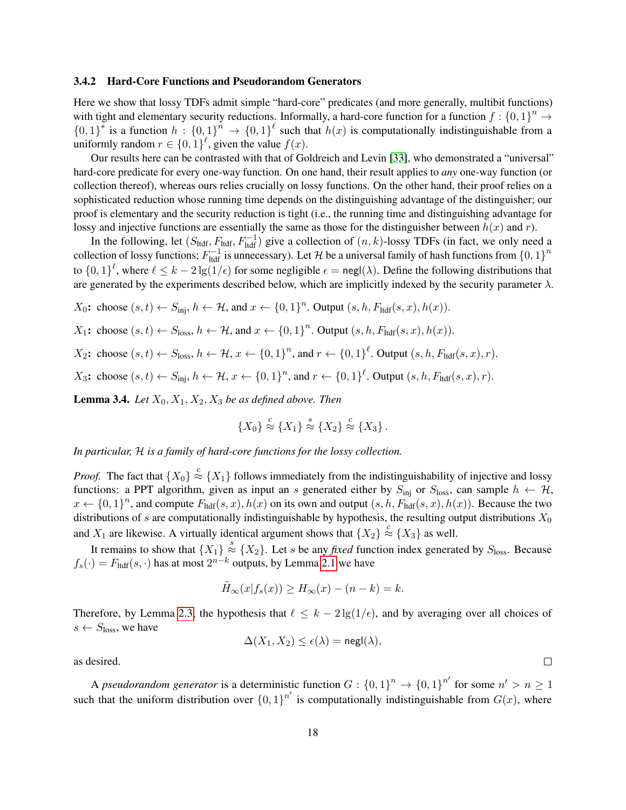### <span id="page-17-1"></span>3.4.2 Hard-Core Functions and Pseudorandom Generators

Here we show that lossy TDFs admit simple "hard-core" predicates (and more generally, multibit functions) with tight and elementary security reductions. Informally, a hard-core function for a function  $f: \{0,1\}^n \to$  ${0,1}^*$  is a function  $h: {0,1}^n \to {0,1}^{\ell}$  such that  $h(x)$  is computationally indistinguishable from a uniformly random  $r \in \{0,1\}^{\ell}$ , given the value  $f(x)$ .

Our results here can be contrasted with that of Goldreich and Levin [\[33\]](#page-41-11), who demonstrated a "universal" hard-core predicate for every one-way function. On one hand, their result applies to *any* one-way function (or collection thereof), whereas ours relies crucially on lossy functions. On the other hand, their proof relies on a sophisticated reduction whose running time depends on the distinguishing advantage of the distinguisher; our proof is elementary and the security reduction is tight (i.e., the running time and distinguishing advantage for lossy and injective functions are essentially the same as those for the distinguisher between  $h(x)$  and r).

In the following, let  $(S_{\text{tdf}}, F_{\text{tdf}}^{\text{-1}})$  give a collection of  $(n, k)$ -lossy TDFs (in fact, we only need a collection of lossy functions;  $F_{\text{ltdf}}^{-1}$  is unnecessary). Let H be a universal family of hash functions from  $\{0, 1\}^n$ to  $\{0,1\}^{\ell}$ , where  $\ell \leq k-2\lg(1/\epsilon)$  for some negligible  $\epsilon = \text{negl}(\lambda)$ . Define the following distributions that are generated by the experiments described below, which are implicitly indexed by the security parameter  $\lambda$ .

 $X_0$ : choose  $(s, t) \leftarrow S_{\text{inj}}, h \leftarrow H$ , and  $x \leftarrow \{0, 1\}^n$ . Output  $(s, h, F_{\text{ltdf}}(s, x), h(x))$ .

 $X_1$ : choose  $(s, t) \leftarrow S_{loss}$ ,  $h \leftarrow H$ , and  $x \leftarrow \{0, 1\}^n$ . Output  $(s, h, F_{ltdf}(s, x), h(x))$ .

 $X_2$ : choose  $(s, t) \leftarrow S_{loss}$ ,  $h \leftarrow H$ ,  $x \leftarrow \{0, 1\}^n$ , and  $r \leftarrow \{0, 1\}^{\ell}$ . Output  $(s, h, F_{ltdf}(s, x), r)$ .

 $X_3$ : choose  $(s, t) \leftarrow S_{\text{inj}}, h \leftarrow \mathcal{H}, x \leftarrow \{0, 1\}^n$ , and  $r \leftarrow \{0, 1\}^{\ell}$ . Output  $(s, h, F_{\text{ltdf}}(s, x), r)$ .

<span id="page-17-0"></span>**Lemma 3.4.** *Let*  $X_0, X_1, X_2, X_3$  *be as defined above. Then* 

$$
\{X_0\} \stackrel{c}{\approx} \{X_1\} \stackrel{s}{\approx} \{X_2\} \stackrel{c}{\approx} \{X_3\}.
$$

*In particular,* H *is a family of hard-core functions for the lossy collection.*

*Proof.* The fact that  $\{X_0\} \stackrel{c}{\approx} \{X_1\}$  follows immediately from the indistinguishability of injective and lossy functions: a PPT algorithm, given as input an s generated either by  $S_{\text{inj}}$  or  $S_{\text{loss}}$ , can sample  $h \leftarrow H$ ,  $x \leftarrow \{0,1\}^n$ , and compute  $F_{\text{ltdf}}(s, x), h(x)$  on its own and output  $(s, h, F_{\text{ltdf}}(s, x), h(x))$ . Because the two distributions of s are computationally indistinguishable by hypothesis, the resulting output distributions  $X_0$ and  $X_1$  are likewise. A virtually identical argument shows that  $\{X_2\} \stackrel{c}{\approx} \{X_3\}$  as well.

It remains to show that  $\{X_1\} \stackrel{s}{\approx} \{X_2\}$ . Let s be any *fixed* function index generated by  $S_{\text{loss}}$ . Because  $f_s(\cdot) = F_{\text{ltdf}}(s, \cdot)$  has at most  $2^{n-k}$  outputs, by Lemma [2.1](#page-12-0) we have

$$
\tilde{H}_{\infty}(x|f_s(x)) \ge H_{\infty}(x) - (n-k) = k.
$$

Therefore, by Lemma [2.3,](#page-13-1) the hypothesis that  $\ell \leq k - 2 \lg(1/\epsilon)$ , and by averaging over all choices of  $s \leftarrow S$ loss, we have

$$
\Delta(X_1, X_2) \le \epsilon(\lambda) = \mathsf{negl}(\lambda),
$$

as desired.

A *pseudorandom generator* is a deterministic function  $G: \{0,1\}^n \to \{0,1\}^{n'}$  for some  $n' > n \ge 1$ such that the uniform distribution over  $\{0,1\}^{n'}$  is computationally indistinguishable from  $G(x)$ , where

 $\Box$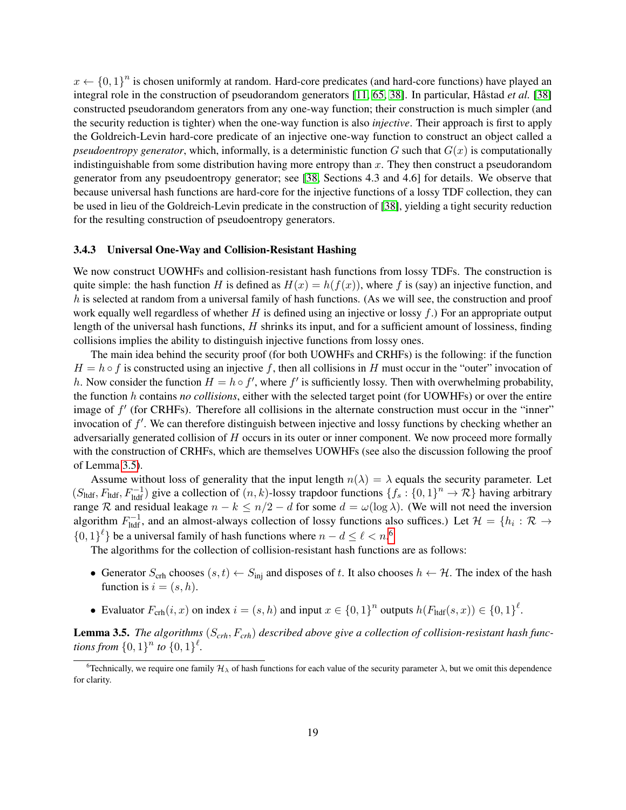$x \leftarrow \{0,1\}^n$  is chosen uniformly at random. Hard-core predicates (and hard-core functions) have played an integral role in the construction of pseudorandom generators [\[11,](#page-40-14) [65,](#page-43-11) [38\]](#page-42-3). In particular, Håstad et al. [\[38\]](#page-42-3) constructed pseudorandom generators from any one-way function; their construction is much simpler (and the security reduction is tighter) when the one-way function is also *injective*. Their approach is first to apply the Goldreich-Levin hard-core predicate of an injective one-way function to construct an object called a *pseudoentropy generator*, which, informally, is a deterministic function G such that  $G(x)$  is computationally indistinguishable from some distribution having more entropy than  $x$ . They then construct a pseudorandom generator from any pseudoentropy generator; see [\[38,](#page-42-3) Sections 4.3 and 4.6] for details. We observe that because universal hash functions are hard-core for the injective functions of a lossy TDF collection, they can be used in lieu of the Goldreich-Levin predicate in the construction of [\[38\]](#page-42-3), yielding a tight security reduction for the resulting construction of pseudoentropy generators.

#### 3.4.3 Universal One-Way and Collision-Resistant Hashing

We now construct UOWHFs and collision-resistant hash functions from lossy TDFs. The construction is quite simple: the hash function H is defined as  $H(x) = h(f(x))$ , where f is (say) an injective function, and h is selected at random from a universal family of hash functions. (As we will see, the construction and proof work equally well regardless of whether H is defined using an injective or lossy  $f$ .) For an appropriate output length of the universal hash functions, H shrinks its input, and for a sufficient amount of lossiness, finding collisions implies the ability to distinguish injective functions from lossy ones.

The main idea behind the security proof (for both UOWHFs and CRHFs) is the following: if the function  $H = h \circ f$  is constructed using an injective f, then all collisions in H must occur in the "outer" invocation of h. Now consider the function  $H = h \circ f'$ , where f' is sufficiently lossy. Then with overwhelming probability, the function h contains *no collisions*, either with the selected target point (for UOWHFs) or over the entire image of  $f'$  (for CRHFs). Therefore all collisions in the alternate construction must occur in the "inner" invocation of  $f'$ . We can therefore distinguish between injective and lossy functions by checking whether an adversarially generated collision of  $H$  occurs in its outer or inner component. We now proceed more formally with the construction of CRHFs, which are themselves UOWHFs (see also the discussion following the proof of Lemma [3.5\)](#page-18-0).

Assume without loss of generality that the input length  $n(\lambda) = \lambda$  equals the security parameter. Let  $(S_{\text{ltdf}}, F_{\text{ltdf}}, F_{\text{ltdf}}^{-1})$  give a collection of  $(n, k)$ -lossy trapdoor functions  $\{f_s : \{0, 1\}^n \to \mathcal{R}\}\$  having arbitrary range R and residual leakage  $n - k \le n/2 - d$  for some  $d = \omega(\log \lambda)$ . (We will not need the inversion algorithm  $F_{\text{ltdf}}^{-1}$ , and an almost-always collection of lossy functions also suffices.) Let  $\mathcal{H} = \{h_i : \mathcal{R} \to$  $\{0,1\}^{\ell}$  be a universal family of hash functions where  $n - d \leq \ell < n$ .<sup>[6](#page-18-1)</sup>

The algorithms for the collection of collision-resistant hash functions are as follows:

- Generator  $S_{\rm crh}$  chooses  $(s, t) \leftarrow S_{\rm ini}$  and disposes of t. It also chooses  $h \leftarrow H$ . The index of the hash function is  $i = (s, h)$ .
- Evaluator  $F_{\text{crh}}(i, x)$  on index  $i = (s, h)$  and input  $x \in \{0, 1\}^n$  outputs  $h(F_{\text{ltdf}}(s, x)) \in \{0, 1\}^{\ell}$ .

<span id="page-18-0"></span>Lemma 3.5. *The algorithms* (S*crh*, F*crh*) *described above give a collection of collision-resistant hash functions from*  $\{0,1\}^n$  *to*  $\{0,1\}^{\ell}$ *.* 

<span id="page-18-1"></span><sup>&</sup>lt;sup>6</sup>Technically, we require one family  $H_\lambda$  of hash functions for each value of the security parameter  $\lambda$ , but we omit this dependence for clarity.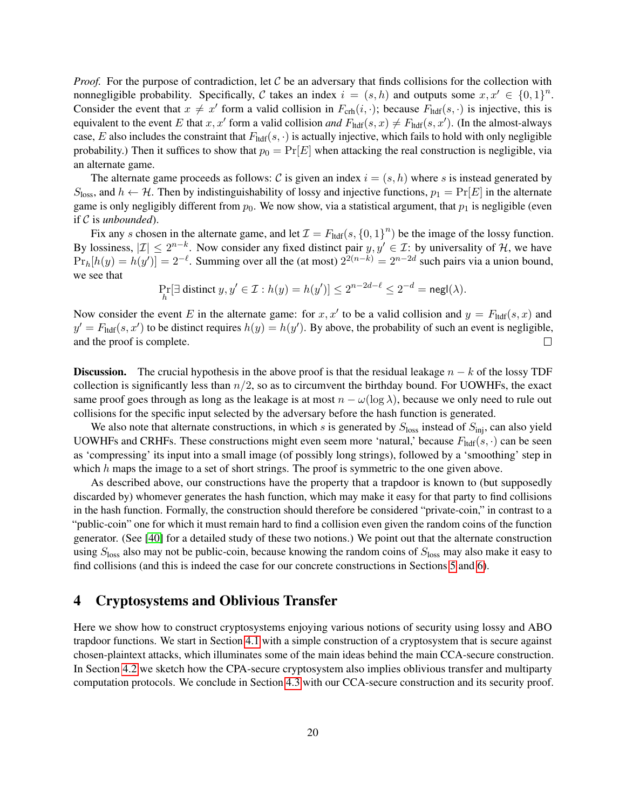*Proof.* For the purpose of contradiction, let  $C$  be an adversary that finds collisions for the collection with nonnegligible probability. Specifically, C takes an index  $i = (s, h)$  and outputs some  $x, x' \in \{0, 1\}^n$ . Consider the event that  $x \neq x'$  form a valid collision in  $F_{\text{crh}}(i, \cdot)$ ; because  $F_{\text{ltdf}}(s, \cdot)$  is injective, this is equivalent to the event E that x, x' form a valid collision and  $F_{\text{ltdf}}(s, x) \neq F_{\text{ltdf}}(s, x')$ . (In the almost-always case, E also includes the constraint that  $F_{\text{ltdf}}(s, \cdot)$  is actually injective, which fails to hold with only negligible probability.) Then it suffices to show that  $p_0 = Pr[E]$  when attacking the real construction is negligible, via an alternate game.

The alternate game proceeds as follows: C is given an index  $i = (s, h)$  where s is instead generated by  $S<sub>loss</sub>$ , and  $h \leftarrow H$ . Then by indistinguishability of lossy and injective functions,  $p_1 = \Pr[E]$  in the alternate game is only negligibly different from  $p_0$ . We now show, via a statistical argument, that  $p_1$  is negligible (even if C is *unbounded*).

Fix any s chosen in the alternate game, and let  $\mathcal{I} = F_{\text{ltdf}}(s, \{0, 1\}^n)$  be the image of the lossy function. By lossiness,  $|\mathcal{I}| \leq 2^{n-k}$ . Now consider any fixed distinct pair  $y, y' \in \mathcal{I}$ : by universality of H, we have  $Pr_h[h(y) = h(y')] = 2^{-\ell}$ . Summing over all the (at most)  $2^{2(n-k)} = 2^{n-2d}$  such pairs via a union bound, we see that

$$
\Pr_h[\exists \text{ distinct } y, y' \in \mathcal{I}: h(y) = h(y')] \le 2^{n-2d-\ell} \le 2^{-d} = \mathsf{negl}(\lambda).
$$

Now consider the event E in the alternate game: for x, x' to be a valid collision and  $y = F_{\text{ltdf}}(s, x)$  and  $y' = F_{\text{ltdf}}(s, x')$  to be distinct requires  $h(y) = h(y')$ . By above, the probability of such an event is negligible, and the proof is complete.  $\Box$ 

**Discussion.** The crucial hypothesis in the above proof is that the residual leakage  $n - k$  of the lossy TDF collection is significantly less than  $n/2$ , so as to circumvent the birthday bound. For UOWHFs, the exact same proof goes through as long as the leakage is at most  $n - \omega(\log \lambda)$ , because we only need to rule out collisions for the specific input selected by the adversary before the hash function is generated.

We also note that alternate constructions, in which s is generated by  $S<sub>loss</sub>$  instead of  $S<sub>ini</sub>$ , can also yield UOWHFs and CRHFs. These constructions might even seem more 'natural,' because  $F_{\text{luff}}(s, \cdot)$  can be seen as 'compressing' its input into a small image (of possibly long strings), followed by a 'smoothing' step in which  $h$  maps the image to a set of short strings. The proof is symmetric to the one given above.

As described above, our constructions have the property that a trapdoor is known to (but supposedly discarded by) whomever generates the hash function, which may make it easy for that party to find collisions in the hash function. Formally, the construction should therefore be considered "private-coin," in contrast to a "public-coin" one for which it must remain hard to find a collision even given the random coins of the function generator. (See [\[40\]](#page-42-13) for a detailed study of these two notions.) We point out that the alternate construction using  $S<sub>loss</sub>$  also may not be public-coin, because knowing the random coins of  $S<sub>loss</sub>$  may also make it easy to find collisions (and this is indeed the case for our concrete constructions in Sections [5](#page-26-0) and [6\)](#page-30-0).

# <span id="page-19-0"></span>4 Cryptosystems and Oblivious Transfer

Here we show how to construct cryptosystems enjoying various notions of security using lossy and ABO trapdoor functions. We start in Section [4.1](#page-20-0) with a simple construction of a cryptosystem that is secure against chosen-plaintext attacks, which illuminates some of the main ideas behind the main CCA-secure construction. In Section [4.2](#page-20-1) we sketch how the CPA-secure cryptosystem also implies oblivious transfer and multiparty computation protocols. We conclude in Section [4.3](#page-21-0) with our CCA-secure construction and its security proof.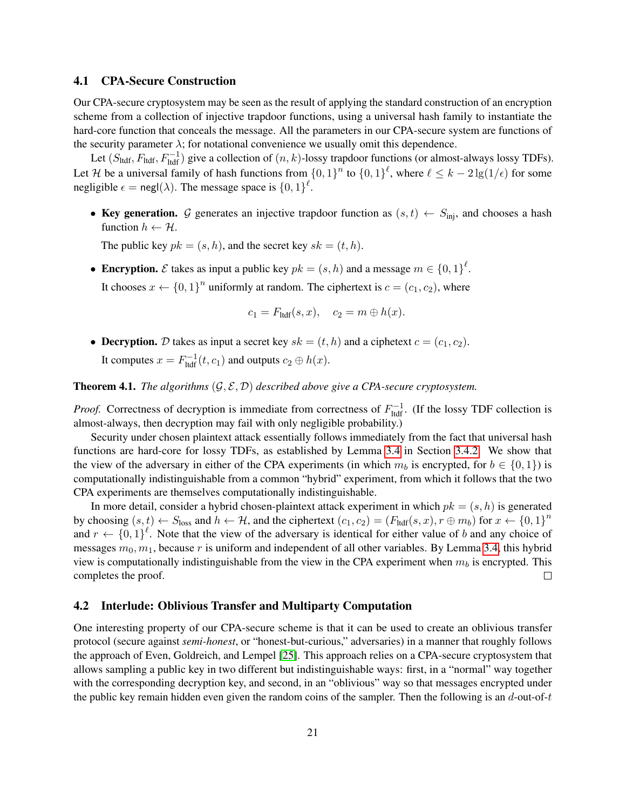### <span id="page-20-0"></span>4.1 CPA-Secure Construction

Our CPA-secure cryptosystem may be seen as the result of applying the standard construction of an encryption scheme from a collection of injective trapdoor functions, using a universal hash family to instantiate the hard-core function that conceals the message. All the parameters in our CPA-secure system are functions of the security parameter  $\lambda$ ; for notational convenience we usually omit this dependence.

Let  $(S_{\text{ltdf}}, F_{\text{ltdf}}, F_{\text{ltdf}}^{-1})$  give a collection of  $(n, k)$ -lossy trapdoor functions (or almost-always lossy TDFs). Let H be a universal family of hash functions from  $\{0,1\}^n$  to  $\{0,1\}^{\ell}$ , where  $\ell \leq k-2\lg(1/\epsilon)$  for some negligible  $\epsilon = \text{negl}(\lambda)$ . The message space is  $\{0, 1\}^{\ell}$ .

• Key generation. G generates an injective trapdoor function as  $(s, t) \leftarrow S_{\text{inj}}$ , and chooses a hash function  $h \leftarrow H$ .

The public key  $pk = (s, h)$ , and the secret key  $sk = (t, h)$ .

• Encryption. *E* takes as input a public key  $pk = (s, h)$  and a message  $m \in \{0, 1\}^{\ell}$ . It chooses  $x \leftarrow \{0,1\}^n$  uniformly at random. The ciphertext is  $c = (c_1, c_2)$ , where

$$
c_1 = F_{\text{ltdf}}(s, x), \quad c_2 = m \oplus h(x).
$$

• Decryption. D takes as input a secret key  $sk = (t, h)$  and a ciphetext  $c = (c_1, c_2)$ . It computes  $x = F_{\text{ltdf}}^{-1}(t, c_1)$  and outputs  $c_2 \oplus h(x)$ .

<span id="page-20-2"></span>**Theorem 4.1.** *The algorithms*  $(G, \mathcal{E}, \mathcal{D})$  *described above give a CPA-secure cryptosystem.* 

*Proof.* Correctness of decryption is immediate from correctness of  $F_{\text{ltdf}}^{-1}$ . (If the lossy TDF collection is almost-always, then decryption may fail with only negligible probability.)

Security under chosen plaintext attack essentially follows immediately from the fact that universal hash functions are hard-core for lossy TDFs, as established by Lemma [3.4](#page-17-0) in Section [3.4.2.](#page-17-1) We show that the view of the adversary in either of the CPA experiments (in which  $m_b$  is encrypted, for  $b \in \{0,1\}$ ) is computationally indistinguishable from a common "hybrid" experiment, from which it follows that the two CPA experiments are themselves computationally indistinguishable.

In more detail, consider a hybrid chosen-plaintext attack experiment in which  $pk = (s, h)$  is generated by choosing  $(s, t) \leftarrow S$ <sub>loss</sub> and  $h \leftarrow H$ , and the ciphertext  $(c_1, c_2) = (F_{\text{ltdf}}(s, x), r \oplus m_b)$  for  $x \leftarrow \{0, 1\}^n$ and  $r \leftarrow \{0,1\}^{\ell}$ . Note that the view of the adversary is identical for either value of b and any choice of messages  $m_0, m_1$ , because r is uniform and independent of all other variables. By Lemma [3.4,](#page-17-0) this hybrid view is computationally indistinguishable from the view in the CPA experiment when  $m_b$  is encrypted. This completes the proof.  $\Box$ 

### <span id="page-20-1"></span>4.2 Interlude: Oblivious Transfer and Multiparty Computation

One interesting property of our CPA-secure scheme is that it can be used to create an oblivious transfer protocol (secure against *semi-honest*, or "honest-but-curious," adversaries) in a manner that roughly follows the approach of Even, Goldreich, and Lempel [\[25\]](#page-41-13). This approach relies on a CPA-secure cryptosystem that allows sampling a public key in two different but indistinguishable ways: first, in a "normal" way together with the corresponding decryption key, and second, in an "oblivious" way so that messages encrypted under the public key remain hidden even given the random coins of the sampler. Then the following is an d-out-of-t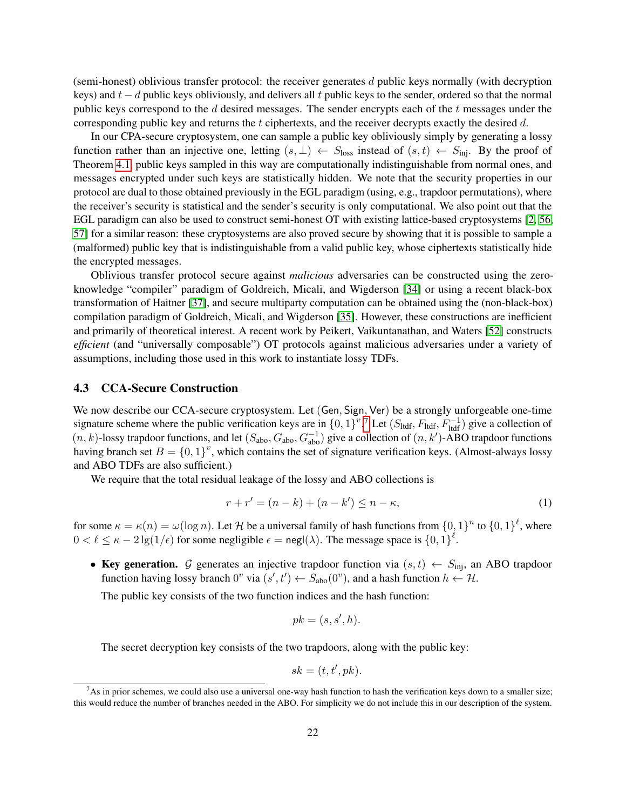(semi-honest) oblivious transfer protocol: the receiver generates d public keys normally (with decryption keys) and  $t - d$  public keys obliviously, and delivers all t public keys to the sender, ordered so that the normal public keys correspond to the  $d$  desired messages. The sender encrypts each of the  $t$  messages under the corresponding public key and returns the  $t$  ciphertexts, and the receiver decrypts exactly the desired  $d$ .

In our CPA-secure cryptosystem, one can sample a public key obliviously simply by generating a lossy function rather than an injective one, letting  $(s, \perp) \leftarrow S_{loss}$  instead of  $(s, t) \leftarrow S_{\text{inj}}$ . By the proof of Theorem [4.1,](#page-20-2) public keys sampled in this way are computationally indistinguishable from normal ones, and messages encrypted under such keys are statistically hidden. We note that the security properties in our protocol are dual to those obtained previously in the EGL paradigm (using, e.g., trapdoor permutations), where the receiver's security is statistical and the sender's security is only computational. We also point out that the EGL paradigm can also be used to construct semi-honest OT with existing lattice-based cryptosystems [\[2,](#page-40-2) [56,](#page-43-4) [57\]](#page-43-5) for a similar reason: these cryptosystems are also proved secure by showing that it is possible to sample a (malformed) public key that is indistinguishable from a valid public key, whose ciphertexts statistically hide the encrypted messages.

Oblivious transfer protocol secure against *malicious* adversaries can be constructed using the zeroknowledge "compiler" paradigm of Goldreich, Micali, and Wigderson [\[34\]](#page-41-6) or using a recent black-box transformation of Haitner [\[37\]](#page-42-14), and secure multiparty computation can be obtained using the (non-black-box) compilation paradigm of Goldreich, Micali, and Wigderson [\[35\]](#page-41-7). However, these constructions are inefficient and primarily of theoretical interest. A recent work by Peikert, Vaikuntanathan, and Waters [\[52\]](#page-42-6) constructs *efficient* (and "universally composable") OT protocols against malicious adversaries under a variety of assumptions, including those used in this work to instantiate lossy TDFs.

### <span id="page-21-0"></span>4.3 CCA-Secure Construction

We now describe our CCA-secure cryptosystem. Let (Gen, Sign, Ver) be a strongly unforgeable one-time signature scheme where the public verification keys are in  $\{0, 1\}^{v}$ .<sup>[7](#page-21-1)</sup> Let  $(S_{\text{ltdf}}, F_{\text{ltdf}}, F_{\text{ltdf}}^{-1})$  give a collection of  $(n, k)$ -lossy trapdoor functions, and let  $(S_{\text{abo}}, G_{\text{abo}}^{-1})$  give a collection of  $(n, k')$ -ABO trapdoor functions having branch set  $B = \{0, 1\}^v$ , which contains the set of signature verification keys. (Almost-always lossy and ABO TDFs are also sufficient.)

We require that the total residual leakage of the lossy and ABO collections is

$$
r + r' = (n - k) + (n - k') \le n - \kappa,
$$
\n(1)

for some  $\kappa = \kappa(n) = \omega(\log n)$ . Let H be a universal family of hash functions from  $\{0,1\}^n$  to  $\{0,1\}^{\ell}$ , where  $0 < \ell \leq \kappa - 2\lg(1/\epsilon)$  for some negligible  $\epsilon = \text{negl}(\lambda)$ . The message space is  $\{0, 1\}^{\ell}$ .

• Key generation. G generates an injective trapdoor function via  $(s, t) \leftarrow S_{\text{inj}}$ , an ABO trapdoor function having lossy branch  $0^v$  via  $(s', t') \leftarrow S_{\text{abo}}(0^v)$ , and a hash function  $h \leftarrow \mathcal{H}$ .

The public key consists of the two function indices and the hash function:

<span id="page-21-2"></span>
$$
pk = (s, s', h).
$$

The secret decryption key consists of the two trapdoors, along with the public key:

$$
sk = (t, t', pk).
$$

<span id="page-21-1"></span> $^7$ As in prior schemes, we could also use a universal one-way hash function to hash the verification keys down to a smaller size; this would reduce the number of branches needed in the ABO. For simplicity we do not include this in our description of the system.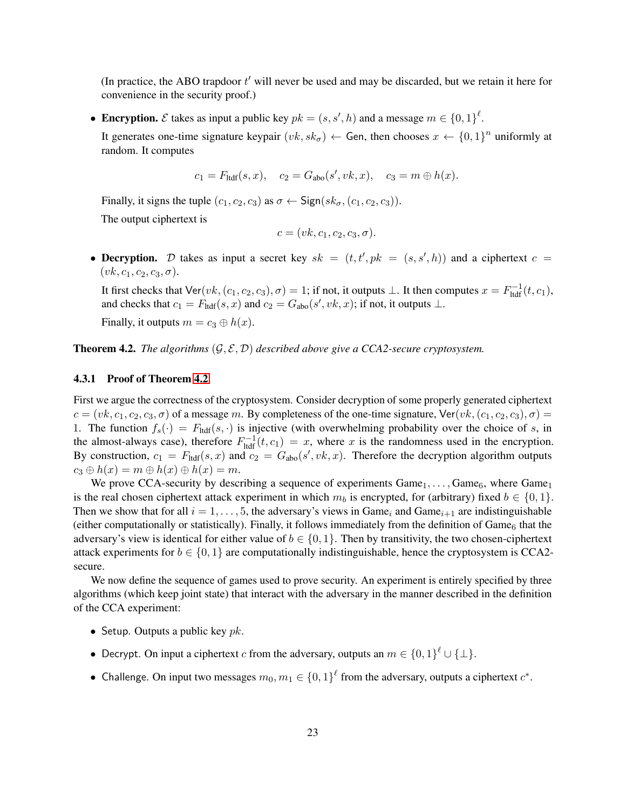(In practice, the ABO trapdoor  $t'$  will never be used and may be discarded, but we retain it here for convenience in the security proof.)

• Encryption. *E* takes as input a public key  $pk = (s, s', h)$  and a message  $m \in \{0, 1\}^{\ell}$ .

It generates one-time signature keypair  $(vk, sk_{\sigma}) \leftarrow$  Gen, then chooses  $x \leftarrow \{0,1\}^n$  uniformly at random. It computes

$$
c_1 = F_{\text{ltdf}}(s, x), \quad c_2 = G_{\text{abo}}(s', v k, x), \quad c_3 = m \oplus h(x).
$$

Finally, it signs the tuple  $(c_1, c_2, c_3)$  as  $\sigma \leftarrow$  Sign $(sk_{\sigma}, (c_1, c_2, c_3))$ .

The output ciphertext is

$$
c = (vk, c1, c2, c3, \sigma).
$$

• Decryption. D takes as input a secret key  $sk = (t, t', pk = (s, s', h))$  and a ciphertext  $c =$  $(vk, c_1, c_2, c_3, \sigma).$ 

It first checks that  $\text{Ver}(vk, (c_1, c_2, c_3), \sigma) = 1$ ; if not, it outputs ⊥. It then computes  $x = F_{\text{ltdf}}^{-1}(t, c_1)$ , and checks that  $c_1 = F_{\text{ltdf}}(s, x)$  and  $c_2 = G_{\text{abo}}(s', vk, x)$ ; if not, it outputs  $\perp$ .

Finally, it outputs  $m = c_3 \oplus h(x)$ .

<span id="page-22-0"></span>**Theorem 4.2.** *The algorithms*  $(G, \mathcal{E}, \mathcal{D})$  *described above give a CCA2-secure cryptosystem.* 

### 4.3.1 Proof of Theorem [4.2](#page-22-0)

First we argue the correctness of the cryptosystem. Consider decryption of some properly generated ciphertext  $c = (vk, c_1, c_2, c_3, \sigma)$  of a message m. By completeness of the one-time signature, Ver(vk, (c<sub>1</sub>, c<sub>2</sub>, c<sub>3</sub>),  $\sigma$ ) = 1. The function  $f_s(\cdot) = F_{\text{ltdf}}(s, \cdot)$  is injective (with overwhelming probability over the choice of s, in the almost-always case), therefore  $F_{\text{ltdf}}^{-1}(t, c_1) = x$ , where x is the randomness used in the encryption. By construction,  $c_1 = F_{\text{ltdf}}(s, x)$  and  $c_2 = G_{\text{abo}}(s', vk, x)$ . Therefore the decryption algorithm outputs  $c_3 \oplus h(x) = m \oplus h(x) \oplus h(x) = m.$ 

We prove CCA-security by describing a sequence of experiments  $Game_1, \ldots, Game_6$ , where  $Game_1$ is the real chosen ciphertext attack experiment in which  $m_b$  is encrypted, for (arbitrary) fixed  $b \in \{0, 1\}$ . Then we show that for all  $i = 1, \ldots, 5$ , the adversary's views in Game<sub>i</sub> and Game<sub>i+1</sub> are indistinguishable (either computationally or statistically). Finally, it follows immediately from the definition of Game $_6$  that the adversary's view is identical for either value of  $b \in \{0, 1\}$ . Then by transitivity, the two chosen-ciphertext attack experiments for  $b \in \{0, 1\}$  are computationally indistinguishable, hence the cryptosystem is CCA2secure.

We now define the sequence of games used to prove security. An experiment is entirely specified by three algorithms (which keep joint state) that interact with the adversary in the manner described in the definition of the CCA experiment:

- Setup. Outputs a public key  $pk$ .
- Decrypt. On input a ciphertext c from the adversary, outputs an  $m \in \{0,1\}^{\ell} \cup \{\perp\}.$
- Challenge. On input two messages  $m_0, m_1 \in \{0, 1\}^{\ell}$  from the adversary, outputs a ciphertext  $c^*$ .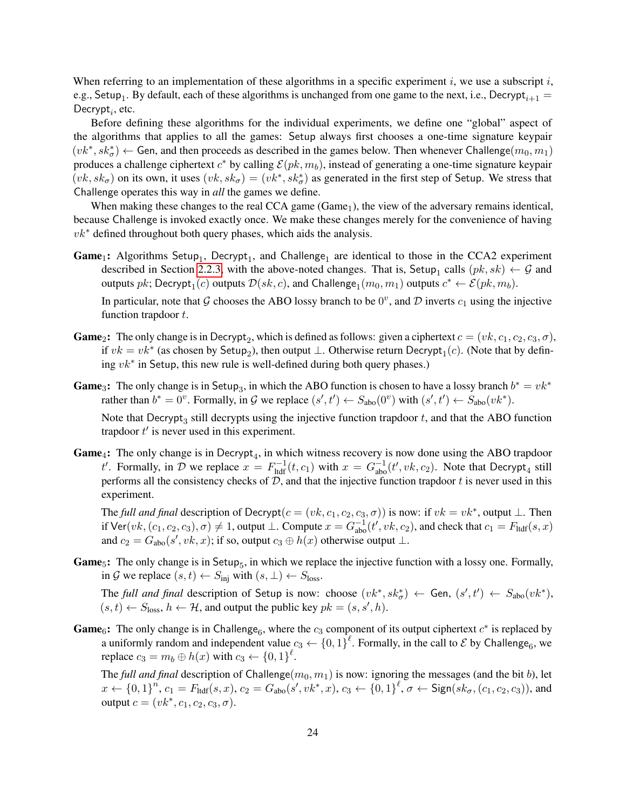When referring to an implementation of these algorithms in a specific experiment  $i$ , we use a subscript  $i$ , e.g., Setup<sub>1</sub>. By default, each of these algorithms is unchanged from one game to the next, i.e., Decrypt $_{i+1}$  =  $\mathsf{Decrypt}_i$ , etc.

Before defining these algorithms for the individual experiments, we define one "global" aspect of the algorithms that applies to all the games: Setup always first chooses a one-time signature keypair  $(vk^*, sk^*_{\sigma}) \leftarrow$  Gen, and then proceeds as described in the games below. Then whenever Challenge $(m_0, m_1)$ produces a challenge ciphertext  $c^*$  by calling  $\mathcal{E}(pk, m_b)$ , instead of generating a one-time signature keypair  $(vk, sk_{\sigma})$  on its own, it uses  $(vk, sk_{\sigma}) = (vk^*, sk^*)$  as generated in the first step of Setup. We stress that Challenge operates this way in *all* the games we define.

When making these changes to the real CCA game  $(Game<sub>1</sub>)$ , the view of the adversary remains identical, because Challenge is invoked exactly once. We make these changes merely for the convenience of having  $vk^*$  defined throughout both query phases, which aids the analysis.

**Game**<sub>1</sub>: Algorithms Setup<sub>1</sub>, Decrypt<sub>1</sub>, and Challenge<sub>1</sub> are identical to those in the CCA2 experiment described in Section [2.2.3,](#page-11-0) with the above-noted changes. That is, Setup<sub>1</sub> calls  $(pk, sk) \leftarrow G$  and outputs  $pk$ ; Decrypt<sub>1</sub> $(c)$  outputs  $\mathcal{D}(sk, c)$ , and Challenge<sub>1</sub> $(m_0, m_1)$  outputs  $c^* \leftarrow \mathcal{E}(pk, m_b)$ .

In particular, note that G chooses the ABO lossy branch to be  $0^v$ , and D inverts  $c_1$  using the injective function trapdoor t.

- **Game**<sub>2</sub>: The only change is in Decrypt<sub>2</sub>, which is defined as follows: given a ciphertext  $c = (vk, c_1, c_2, c_3, \sigma)$ , if  $vk = vk^*$  (as chosen by Setup<sub>2</sub>), then output  $\perp$ . Otherwise return Decrypt<sub>1</sub> $(c)$ . (Note that by defining  $vk^*$  in Setup, this new rule is well-defined during both query phases.)
- **Game**<sub>3</sub>: The only change is in Setup<sub>3</sub>, in which the ABO function is chosen to have a lossy branch  $b^* = vk^*$ rather than  $b^* = 0^v$ . Formally, in G we replace  $(s', t') \leftarrow S_{\text{abo}}(0^v)$  with  $(s', t') \leftarrow S_{\text{abo}}(vk^*)$ .

Note that Decrypt<sub>3</sub> still decrypts using the injective function trapdoor  $t$ , and that the ABO function trapdoor  $t'$  is never used in this experiment.

**Game**<sub>4</sub>: The only change is in Decrypt<sub>4</sub>, in which witness recovery is now done using the ABO trapdoor t'. Formally, in D we replace  $x = F_{\text{ltdf}}^{-1}(t, c_1)$  with  $x = G_{\text{abo}}^{-1}(t', vk, c_2)$ . Note that Decrypt<sub>4</sub> still performs all the consistency checks of  $D$ , and that the injective function trapdoor t is never used in this experiment.

The *full and final* description of Decrypt $(c = (vk, c_1, c_2, c_3, \sigma))$  is now: if  $vk = vk^*$ , output  $\perp$ . Then if  $\text{Ver}(vk, (c_1, c_2, c_3), \sigma) \neq 1$ , output  $\perp$ . Compute  $x = G_{\text{abo}}^{-1}(t', vk, c_2)$ , and check that  $c_1 = F_{\text{ltdf}}(s, x)$ and  $c_2 = G_{\text{abo}}(s', vk, x)$ ; if so, output  $c_3 \oplus h(x)$  otherwise output  $\perp$ .

**Game**<sub>5</sub>: The only change is in Setup<sub>5</sub>, in which we replace the injective function with a lossy one. Formally, in G we replace  $(s, t) \leftarrow S_{\text{inj}}$  with  $(s, \perp) \leftarrow S_{\text{loss}}$ .

The *full and final* description of Setup is now: choose  $(vk^*, sk^*_{\sigma}) \leftarrow$  Gen,  $(s', t') \leftarrow S_{\text{abo}}(vk^*),$  $(s, t) \leftarrow S_{loss}, h \leftarrow H$ , and output the public key  $pk = (s, s', h)$ .

**Game**<sub>6</sub>: The only change is in Challenge<sub>6</sub>, where the  $c_3$  component of its output ciphertext  $c^*$  is replaced by a uniformly random and independent value  $c_3 \leftarrow \{0,1\}^{\ell}$ . Formally, in the call to  $\mathcal E$  by Challenge<sub>6</sub>, we replace  $c_3 = m_b \oplus h(x)$  with  $c_3 \leftarrow \{0,1\}^{\ell}$ .

The *full and final* description of Challenge( $m_0, m_1$ ) is now: ignoring the messages (and the bit b), let  $x \leftarrow \{0,1\}^n$ ,  $c_1 = F_{\text{ltdf}}(s, x)$ ,  $c_2 = G_{\text{abo}}(s', vk^*, x)$ ,  $c_3 \leftarrow \{0,1\}^{\ell}$ ,  $\sigma \leftarrow \text{Sign}(sk_{\sigma}, (c_1, c_2, c_3))$ , and output  $c = (vk^*, c_1, c_2, c_3, \sigma)$ .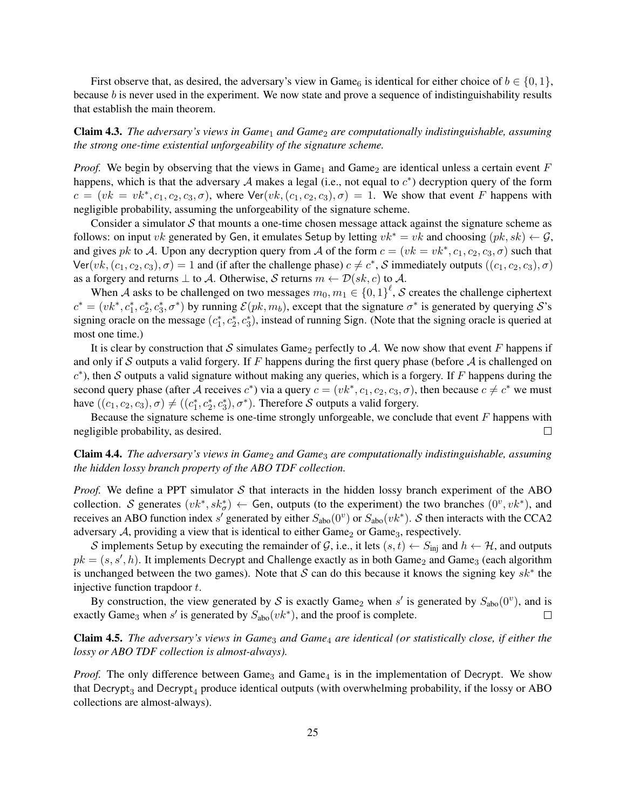First observe that, as desired, the adversary's view in Game<sub>6</sub> is identical for either choice of  $b \in \{0, 1\}$ , because b is never used in the experiment. We now state and prove a sequence of indistinguishability results that establish the main theorem.

# Claim 4.3. *The adversary's views in Game*<sup>1</sup> *and Game*<sup>2</sup> *are computationally indistinguishable, assuming the strong one-time existential unforgeability of the signature scheme.*

*Proof.* We begin by observing that the views in Game<sub>1</sub> and Game<sub>2</sub> are identical unless a certain event  $F$ happens, which is that the adversary  $A$  makes a legal (i.e., not equal to  $c^*$ ) decryption query of the form  $c = (vk = vk^*, c_1, c_2, c_3, \sigma)$ , where  $\text{Ver}(vk, (c_1, c_2, c_3), \sigma) = 1$ . We show that event F happens with negligible probability, assuming the unforgeability of the signature scheme.

Consider a simulator  $S$  that mounts a one-time chosen message attack against the signature scheme as follows: on input vk generated by Gen, it emulates Setup by letting  $vk^* = vk$  and choosing  $(pk, sk) \leftarrow G$ , and gives pk to A. Upon any decryption query from A of the form  $c = (vk = vk^*, c_1, c_2, c_3, \sigma)$  such that  $\text{Ver}(vk, (c_1, c_2, c_3), \sigma) = 1$  and (if after the challenge phase)  $c \neq c^*$ , S immediately outputs  $((c_1, c_2, c_3), \sigma)$ as a forgery and returns  $\perp$  to A. Otherwise, S returns  $m \leftarrow \mathcal{D}(sk, c)$  to A.

When  $\cal A$  asks to be challenged on two messages  $m_0, m_1 \in \{0,1\}^\ell$  ,  $\cal S$  creates the challenge ciphertext  $c^* = (vk^*, c_1^*, c_2^*, c_3^*, \sigma^*)$  by running  $\mathcal{E}(pk, m_b)$ , except that the signature  $\sigma^*$  is generated by querying  $\mathcal{S}$ 's signing oracle on the message  $(c_1^*, c_2^*, c_3^*)$ , instead of running Sign. (Note that the signing oracle is queried at most one time.)

It is clear by construction that S simulates Game<sub>2</sub> perfectly to A. We now show that event F happens if and only if S outputs a valid forgery. If F happens during the first query phase (before  $A$  is challenged on  $c^*$ ), then S outputs a valid signature without making any queries, which is a forgery. If F happens during the second query phase (after A receives  $c^*$ ) via a query  $c = (vk^*, c_1, c_2, c_3, \sigma)$ , then because  $c \neq c^*$  we must have  $((c_1, c_2, c_3), \sigma) \neq ((c_1^*, c_2^*, c_3^*), \sigma^*)$ . Therefore S outputs a valid forgery.

Because the signature scheme is one-time strongly unforgeable, we conclude that event  $F$  happens with negligible probability, as desired.  $\Box$ 

Claim 4.4. *The adversary's views in Game*<sup>2</sup> *and Game*<sup>3</sup> *are computationally indistinguishable, assuming the hidden lossy branch property of the ABO TDF collection.*

*Proof.* We define a PPT simulator S that interacts in the hidden lossy branch experiment of the ABO collection. S generates  $(vk^*, sk^*_{\sigma}) \leftarrow$  Gen, outputs (to the experiment) the two branches  $(0^v, vk^*)$ , and receives an ABO function index s' generated by either  $S_{\text{abo}}(0^v)$  or  $S_{\text{abo}}(vk^*)$ . S then interacts with the CCA2 adversary  $A$ , providing a view that is identical to either  $Game_2$  or  $Game_3$ , respectively.

S implements Setup by executing the remainder of G, i.e., it lets  $(s, t) \leftarrow S_{\text{ini}}$  and  $h \leftarrow H$ , and outputs  $pk = (s, s', h)$ . It implements Decrypt and Challenge exactly as in both Game<sub>2</sub> and Game<sub>3</sub> (each algorithm is unchanged between the two games). Note that S can do this because it knows the signing key  $sk^*$  the injective function trapdoor t.

By construction, the view generated by S is exactly Game<sub>2</sub> when s' is generated by  $S_{\text{abo}}(0^v)$ , and is exactly Game<sub>3</sub> when s' is generated by  $S_{\text{abo}}(vk^*)$ , and the proof is complete.  $\Box$ 

Claim 4.5. *The adversary's views in Game*<sup>3</sup> *and Game*<sup>4</sup> *are identical (or statistically close, if either the lossy or ABO TDF collection is almost-always).*

*Proof.* The only difference between Game<sub>3</sub> and Game<sub>4</sub> is in the implementation of Decrypt. We show that Decrypt<sub>3</sub> and Decrypt<sub>4</sub> produce identical outputs (with overwhelming probability, if the lossy or ABO collections are almost-always).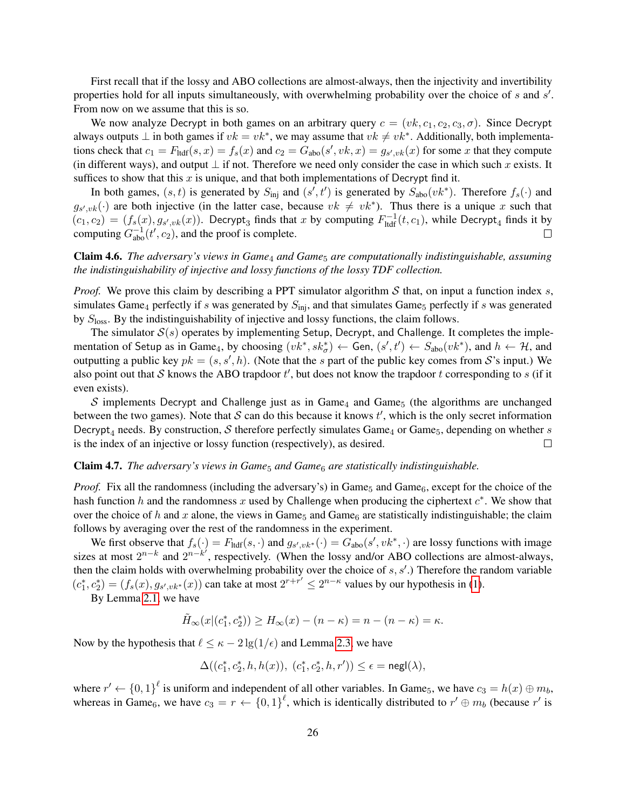First recall that if the lossy and ABO collections are almost-always, then the injectivity and invertibility properties hold for all inputs simultaneously, with overwhelming probability over the choice of  $s$  and  $s'$ . From now on we assume that this is so.

We now analyze Decrypt in both games on an arbitrary query  $c = (vk, c_1, c_2, c_3, \sigma)$ . Since Decrypt always outputs  $\perp$  in both games if  $vk = vk^*$ , we may assume that  $vk \neq vk^*$ . Additionally, both implementations check that  $c_1 = F_{\text{ltdf}}(s, x) = f_s(x)$  and  $c_2 = G_{\text{abo}}(s', vk, x) = g_{s',vk}(x)$  for some x that they compute (in different ways), and output  $\perp$  if not. Therefore we need only consider the case in which such x exists. It suffices to show that this  $x$  is unique, and that both implementations of Decrypt find it.

In both games,  $(s, t)$  is generated by  $S_{\text{inj}}$  and  $(s', t')$  is generated by  $S_{\text{abo}}(vk^*)$ . Therefore  $f_s(\cdot)$  and  $g_{s',vk}(\cdot)$  are both injective (in the latter case, because  $vk \neq vk^*$ ). Thus there is a unique x such that  $(c_1, c_2) = (f_s(x), g_{s', vk}(x))$ . Decrypt<sub>3</sub> finds that x by computing  $F_{\text{ltdf}}^{-1}(t, c_1)$ , while Decrypt<sub>4</sub> finds it by computing  $G_{\text{abo}}^{-1}(t', c_2)$ , and the proof is complete.  $\Box$ 

Claim 4.6. *The adversary's views in Game*<sup>4</sup> *and Game*<sup>5</sup> *are computationally indistinguishable, assuming the indistinguishability of injective and lossy functions of the lossy TDF collection.*

*Proof.* We prove this claim by describing a PPT simulator algorithm  $S$  that, on input a function index s, simulates Game<sub>4</sub> perfectly if s was generated by  $S_{\text{ini}}$ , and that simulates Game<sub>5</sub> perfectly if s was generated by Sloss. By the indistinguishability of injective and lossy functions, the claim follows.

The simulator  $S(s)$  operates by implementing Setup, Decrypt, and Challenge. It completes the implementation of Setup as in Game<sub>4</sub>, by choosing  $(vk^*, sk^*_{\sigma}) \leftarrow$  Gen,  $(s', t') \leftarrow S_{\text{abo}}(vk^*)$ , and  $h \leftarrow H$ , and outputting a public key  $pk = (s, s', h)$ . (Note that the s part of the public key comes from S's input.) We also point out that S knows the ABO trapdoor  $t'$ , but does not know the trapdoor t corresponding to s (if it even exists).

S implements Decrypt and Challenge just as in Game<sub>4</sub> and Game<sub>5</sub> (the algorithms are unchanged between the two games). Note that S can do this because it knows  $t'$ , which is the only secret information Decrypt<sub>4</sub> needs. By construction, S therefore perfectly simulates Game<sub>4</sub> or Game<sub>5</sub>, depending on whether s is the index of an injective or lossy function (respectively), as desired.  $\Box$ 

### Claim 4.7. *The adversary's views in Game*<sup>5</sup> *and Game*<sup>6</sup> *are statistically indistinguishable.*

*Proof.* Fix all the randomness (including the adversary's) in  $Game_5$  and  $Game_6$ , except for the choice of the hash function h and the randomness x used by Challenge when producing the ciphertext  $c^*$ . We show that over the choice of h and x alone, the views in Game<sub>5</sub> and Game<sub>6</sub> are statistically indistinguishable; the claim follows by averaging over the rest of the randomness in the experiment.

We first observe that  $f_s(\cdot) = F_{\text{ltdf}}(s, \cdot)$  and  $g_{s',vk^*}(\cdot) = G_{\text{abo}}(s', vk^*, \cdot)$  are lossy functions with image sizes at most  $2^{n-k}$  and  $2^{n-k'}$ , respectively. (When the lossy and/or ABO collections are almost-always, then the claim holds with overwhelming probability over the choice of  $s, s'$ .) Therefore the random variable  $(c_1^*, c_2^*) = (f_s(x), g_{s',vk^*}(x))$  can take at most  $2^{r+r'} \leq 2^{n-\kappa}$  values by our hypothesis in [\(1\)](#page-21-2).

By Lemma [2.1,](#page-12-0) we have

 $\tilde{H}_{\infty}(x|(c_1^*, c_2^*)) \ge H_{\infty}(x) - (n - \kappa) = n - (n - \kappa) = \kappa.$ 

Now by the hypothesis that  $\ell \leq \kappa - 2 \lg(1/\epsilon)$  and Lemma [2.3,](#page-13-1) we have

$$
\Delta((c_1^*,c_2^*,h,h(x)), \ (c_1^*,c_2^*,h,r')) \leq \epsilon = \mathsf{negl}(\lambda),
$$

where  $r' \leftarrow \{0,1\}^{\ell}$  is uniform and independent of all other variables. In Game<sub>5</sub>, we have  $c_3 = h(x) \oplus m_b$ , whereas in Game<sub>6</sub>, we have  $c_3 = r \leftarrow \{0,1\}^{\ell}$ , which is identically distributed to  $r' \oplus m_b$  (because  $r'$  is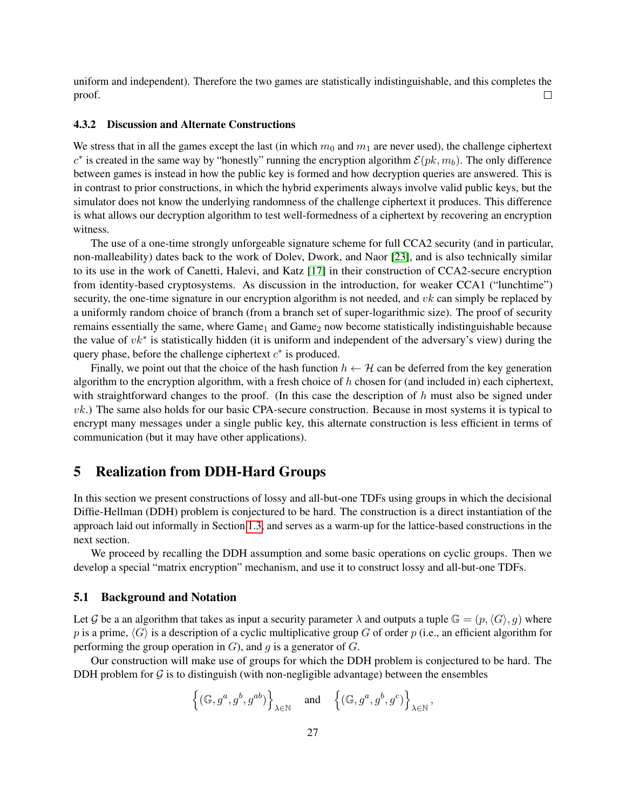uniform and independent). Therefore the two games are statistically indistinguishable, and this completes the proof.  $\Box$ 

### 4.3.2 Discussion and Alternate Constructions

We stress that in all the games except the last (in which  $m_0$  and  $m_1$  are never used), the challenge ciphertext  $c^*$  is created in the same way by "honestly" running the encryption algorithm  $\mathcal{E}(pk, m_b)$ . The only difference between games is instead in how the public key is formed and how decryption queries are answered. This is in contrast to prior constructions, in which the hybrid experiments always involve valid public keys, but the simulator does not know the underlying randomness of the challenge ciphertext it produces. This difference is what allows our decryption algorithm to test well-formedness of a ciphertext by recovering an encryption witness.

The use of a one-time strongly unforgeable signature scheme for full CCA2 security (and in particular, non-malleability) dates back to the work of Dolev, Dwork, and Naor [\[23\]](#page-41-0), and is also technically similar to its use in the work of Canetti, Halevi, and Katz [\[17\]](#page-40-7) in their construction of CCA2-secure encryption from identity-based cryptosystems. As discussion in the introduction, for weaker CCA1 ("lunchtime") security, the one-time signature in our encryption algorithm is not needed, and  $vk$  can simply be replaced by a uniformly random choice of branch (from a branch set of super-logarithmic size). The proof of security remains essentially the same, where  $Game<sub>1</sub>$  and  $Game<sub>2</sub>$  now become statistically indistinguishable because the value of  $vk^*$  is statistically hidden (it is uniform and independent of the adversary's view) during the query phase, before the challenge ciphertext  $c^*$  is produced.

Finally, we point out that the choice of the hash function  $h \leftarrow H$  can be deferred from the key generation algorithm to the encryption algorithm, with a fresh choice of  $h$  chosen for (and included in) each ciphertext, with straightforward changes to the proof. (In this case the description of  $h$  must also be signed under  $vk$ .) The same also holds for our basic CPA-secure construction. Because in most systems it is typical to encrypt many messages under a single public key, this alternate construction is less efficient in terms of communication (but it may have other applications).

# <span id="page-26-0"></span>5 Realization from DDH-Hard Groups

In this section we present constructions of lossy and all-but-one TDFs using groups in which the decisional Diffie-Hellman (DDH) problem is conjectured to be hard. The construction is a direct instantiation of the approach laid out informally in Section [1.3,](#page-6-0) and serves as a warm-up for the lattice-based constructions in the next section.

We proceed by recalling the DDH assumption and some basic operations on cyclic groups. Then we develop a special "matrix encryption" mechanism, and use it to construct lossy and all-but-one TDFs.

# <span id="page-26-1"></span>5.1 Background and Notation

Let G be a an algorithm that takes as input a security parameter  $\lambda$  and outputs a tuple  $\mathbb{G} = (p, \langle G \rangle, g)$  where p is a prime,  $\langle G \rangle$  is a description of a cyclic multiplicative group G of order p (i.e., an efficient algorithm for performing the group operation in  $G$ ), and  $g$  is a generator of  $G$ .

Our construction will make use of groups for which the DDH problem is conjectured to be hard. The DDH problem for  $G$  is to distinguish (with non-negligible advantage) between the ensembles

$$
\left\{(\mathbb{G}, g^a, g^b, g^{ab})\right\}_{\lambda \in \mathbb{N}} \quad \text{and} \quad \left\{(\mathbb{G}, g^a, g^b, g^c)\right\}_{\lambda \in \mathbb{N}},
$$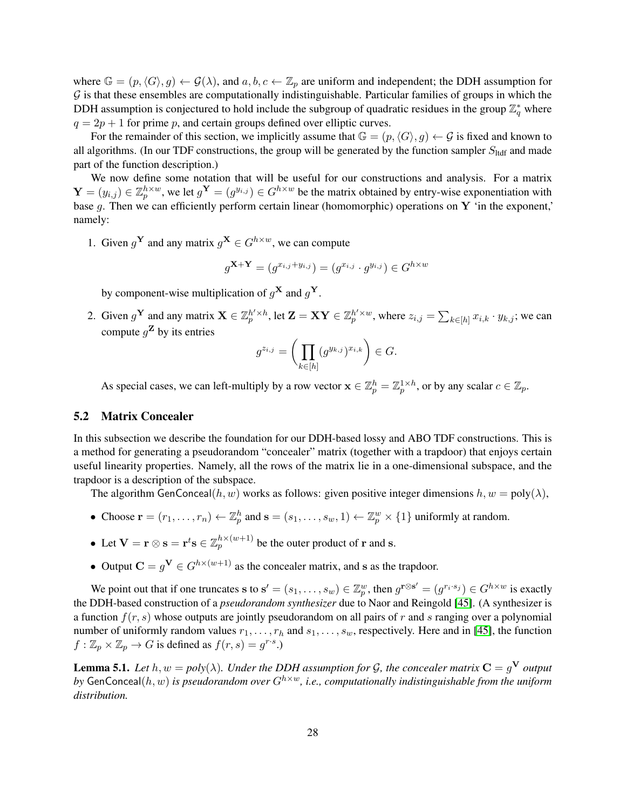where  $\mathbb{G} = (p, \langle G \rangle, g) \leftarrow \mathcal{G}(\lambda)$ , and  $a, b, c \leftarrow \mathbb{Z}_p$  are uniform and independent; the DDH assumption for  $G$  is that these ensembles are computationally indistinguishable. Particular families of groups in which the DDH assumption is conjectured to hold include the subgroup of quadratic residues in the group  $\mathbb{Z}_q^*$  where  $q = 2p + 1$  for prime p, and certain groups defined over elliptic curves.

For the remainder of this section, we implicitly assume that  $\mathbb{G} = (p, \langle G \rangle, g) \leftarrow \mathcal{G}$  is fixed and known to all algorithms. (In our TDF constructions, the group will be generated by the function sampler  $S_{\text{ltdf}}$  and made part of the function description.)

We now define some notation that will be useful for our constructions and analysis. For a matrix  $\mathbf{Y}=(y_{i,j})\in\mathbb{Z}_p^{h\times w}$ , we let  $g^{\mathbf{Y}}=(g^{y_{i,j}})\in G^{h\times w}$  be the matrix obtained by entry-wise exponentiation with base g. Then we can efficiently perform certain linear (homomorphic) operations on  $Y$  'in the exponent,' namely:

1. Given  $g^{\mathbf{Y}}$  and any matrix  $g^{\mathbf{X}} \in G^{h \times w}$ , we can compute

$$
g^{\mathbf{X} + \mathbf{Y}} = (g^{x_{i,j} + y_{i,j}}) = (g^{x_{i,j}} \cdot g^{y_{i,j}}) \in G^{h \times w}
$$

by component-wise multiplication of  $g^{\mathbf{X}}$  and  $g^{\mathbf{Y}}$ .

2. Given  $g^{\mathbf{Y}}$  and any matrix  $\mathbf{X} \in \mathbb{Z}_p^{h' \times h}$ , let  $\mathbf{Z} = \mathbf{X}\mathbf{Y} \in \mathbb{Z}_p^{h' \times w}$ , where  $z_{i,j} = \sum_{k \in [h]} x_{i,k} \cdot y_{k,j}$ ; we can compute  $g^{\mathbf{Z}}$  by its entries

$$
g^{z_{i,j}} = \left(\prod_{k \in [h]} (g^{y_{k,j}})^{x_{i,k}}\right) \in G.
$$

As special cases, we can left-multiply by a row vector  $\mathbf{x} \in \mathbb{Z}_p^h = \mathbb{Z}_p^{1 \times h}$ , or by any scalar  $c \in \mathbb{Z}_p$ .

# <span id="page-27-1"></span>5.2 Matrix Concealer

In this subsection we describe the foundation for our DDH-based lossy and ABO TDF constructions. This is a method for generating a pseudorandom "concealer" matrix (together with a trapdoor) that enjoys certain useful linearity properties. Namely, all the rows of the matrix lie in a one-dimensional subspace, and the trapdoor is a description of the subspace.

The algorithm GenConceal $(h, w)$  works as follows: given positive integer dimensions  $h, w = \text{poly}(\lambda)$ ,

- Choose  $\mathbf{r} = (r_1, \dots, r_n) \leftarrow \mathbb{Z}_p^h$  and  $\mathbf{s} = (s_1, \dots, s_w, 1) \leftarrow \mathbb{Z}_p^w \times \{1\}$  uniformly at random.
- Let  $V = r \otimes s = r^t s \in \mathbb{Z}_p^{h \times (w+1)}$  be the outer product of r and s.
- Output  $C = g^V \in G^{h \times (w+1)}$  as the concealer matrix, and s as the trapdoor.

We point out that if one truncates  $s$  to  $s' = (s_1, \ldots, s_w) \in \mathbb{Z}_p^w$ , then  $g^{r \otimes s'} = (g^{r_i \cdot s_j}) \in G^{h \times w}$  is exactly the DDH-based construction of a *pseudorandom synthesizer* due to Naor and Reingold [\[45\]](#page-42-8). (A synthesizer is a function  $f(r, s)$  whose outputs are jointly pseudorandom on all pairs of r and s ranging over a polynomial number of uniformly random values  $r_1, \ldots, r_h$  and  $s_1, \ldots, s_w$ , respectively. Here and in [\[45\]](#page-42-8), the function  $f: \mathbb{Z}_p \times \mathbb{Z}_p \to G$  is defined as  $f(r, s) = g^{r \cdot s}$ .)

<span id="page-27-0"></span>**Lemma 5.1.** Let  $h, w = poly(\lambda)$ . Under the DDH assumption for G, the concealer matrix  $C = g<sup>V</sup>$  output *by* GenConceal(h, w) is pseudorandom over  $G^{h \times w}$ , i.e., computationally indistinguishable from the uniform *distribution.*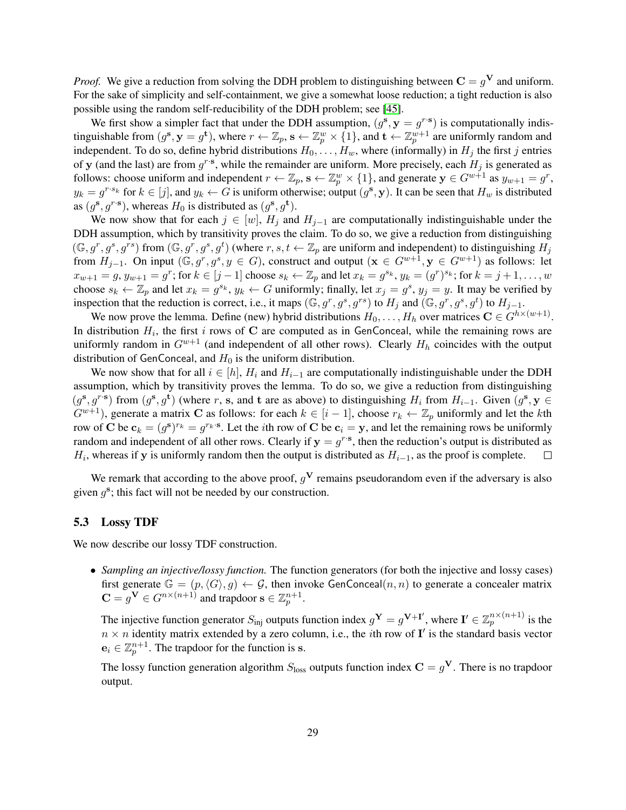*Proof.* We give a reduction from solving the DDH problem to distinguishing between  $C = g<sup>V</sup>$  and uniform. For the sake of simplicity and self-containment, we give a somewhat loose reduction; a tight reduction is also possible using the random self-reducibility of the DDH problem; see [\[45\]](#page-42-8).

We first show a simpler fact that under the DDH assumption,  $(g^s, y = g^{r \cdot s})$  is computationally indistinguishable from  $(g^s, y = g^t)$ , where  $r \leftarrow \mathbb{Z}_p$ ,  $s \leftarrow \mathbb{Z}_p^w \times \{1\}$ , and  $t \leftarrow \mathbb{Z}_p^{w+1}$  are uniformly random and independent. To do so, define hybrid distributions  $H_0, \ldots, H_w$ , where (informally) in  $H_j$  the first j entries of y (and the last) are from  $g^{r.s}$ , while the remainder are uniform. More precisely, each  $H_j$  is generated as follows: choose uniform and independent  $r \leftarrow \mathbb{Z}_p$ ,  $s \leftarrow \mathbb{Z}_p^w \times \{1\}$ , and generate  $y \in G^{w+1}$  as  $y_{w+1} = g^r$ ,  $y_k = g^{r \cdot s_k}$  for  $k \in [j]$ , and  $y_k \leftarrow G$  is uniform otherwise; output  $(g^s, \mathbf{y})$ . It can be seen that  $H_w$  is distributed as  $(g^s, g^{r\cdot s})$ , whereas  $H_0$  is distributed as  $(g^s, g^t)$ .

We now show that for each  $j \in [w]$ ,  $H_j$  and  $H_{j-1}$  are computationally indistinguishable under the DDH assumption, which by transitivity proves the claim. To do so, we give a reduction from distinguishing  $(\mathbb{G}, g^r, g^s, g^{rs})$  from  $(\mathbb{G}, g^r, g^s, g^t)$  (where  $r, s, t \leftarrow \mathbb{Z}_p$  are uniform and independent) to distinguishing  $H_j$ from  $H_{j-1}$ . On input  $(\mathbb{G}, g^r, g^s, y \in G)$ , construct and output  $(\mathbf{x} \in G^{w+1}, \mathbf{y} \in G^{w+1})$  as follows: let  $x_{w+1} = g, y_{w+1} = g^r$ ; for  $k \in [j-1]$  choose  $s_k \leftarrow \mathbb{Z}_p$  and let  $x_k = g^{s_k}, y_k = (g^r)^{s_k}$ ; for  $k = j+1, \ldots, w$ choose  $s_k \leftarrow \mathbb{Z}_p$  and let  $x_k = g^{s_k}, y_k \leftarrow G$  uniformly; finally, let  $x_j = g^{s}, y_j = y$ . It may be verified by inspection that the reduction is correct, i.e., it maps  $(\mathbb{G}, g^r, g^s, g^{rs})$  to  $H_j$  and  $(\mathbb{G}, g^r, g^s, g^t)$  to  $H_{j-1}$ .

We now prove the lemma. Define (new) hybrid distributions  $H_0, \ldots, H_h$  over matrices  $\mathbf{C} \in G^{h \times (w+1)}$ . In distribution  $H_i$ , the first i rows of C are computed as in GenConceal, while the remaining rows are uniformly random in  $G^{w+1}$  (and independent of all other rows). Clearly  $H_h$  coincides with the output distribution of GenConceal, and  $H_0$  is the uniform distribution.

We now show that for all  $i \in [h]$ ,  $H_i$  and  $H_{i-1}$  are computationally indistinguishable under the DDH assumption, which by transitivity proves the lemma. To do so, we give a reduction from distinguishing  $(g^s, g^{r\cdot s})$  from  $(g^s, g^t)$  (where r, s, and t are as above) to distinguishing  $H_i$  from  $H_{i-1}$ . Given  $(g^s, y \in$  $G^{w+1}$ ), generate a matrix C as follows: for each  $k \in [i-1]$ , choose  $r_k \leftarrow \mathbb{Z}_p$  uniformly and let the kth row of C be  $c_k = (g^s)^{r_k} = g^{r_k \cdot s}$ . Let the *i*th row of C be  $c_i = y$ , and let the remaining rows be uniformly random and independent of all other rows. Clearly if  $y = g^{r \cdot s}$ , then the reduction's output is distributed as  $H_i$ , whereas if y is uniformly random then the output is distributed as  $H_{i-1}$ , as the proof is complete.  $\Box$ 

We remark that according to the above proof,  $g<sup>V</sup>$  remains pseudorandom even if the adversary is also given  $g^s$ ; this fact will not be needed by our construction.

### <span id="page-28-0"></span>5.3 Lossy TDF

We now describe our lossy TDF construction.

• *Sampling an injective/lossy function*. The function generators (for both the injective and lossy cases) first generate  $\mathbb{G} = (p, \langle G \rangle, g) \leftarrow \mathcal{G}$ , then invoke GenConceal $(n, n)$  to generate a concealer matrix  $\mathbf{C} = g^{\mathbf{V}} \in G^{n \times (n+1)}$  and trapdoor  $\mathbf{s} \in \mathbb{Z}_p^{n+1}$ .

The injective function generator  $S_{\text{inj}}$  outputs function index  $g^{\mathbf{Y}} = g^{\mathbf{V}+\mathbf{I}'}$ , where  $\mathbf{I}' \in \mathbb{Z}_p^{n \times (n+1)}$  is the  $n \times n$  identity matrix extended by a zero column, i.e., the *i*th row of **I'** is the standard basis vector  $e_i \in \mathbb{Z}_p^{n+1}$ . The trapdoor for the function is s.

The lossy function generation algorithm  $S_{\text{loss}}$  outputs function index  $\mathbf{C} = g^{\mathbf{V}}$ . There is no trapdoor output.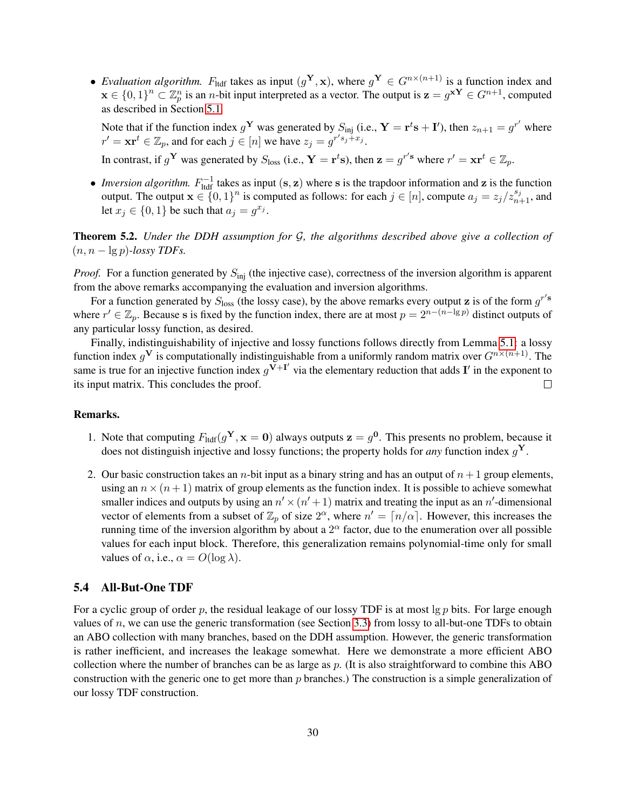• *Evaluation algorithm.*  $F_{\text{ltdf}}$  takes as input  $(g^{\mathbf{Y}}, \mathbf{x})$ , where  $g^{\mathbf{Y}} \in G^{n \times (n+1)}$  is a function index and  $\mathbf{x} \in \{0,1\}^n \subset \mathbb{Z}_p^n$  is an *n*-bit input interpreted as a vector. The output is  $\mathbf{z} = g^{\mathbf{xY}} \in G^{n+1}$ , computed as described in Section [5.1.](#page-26-1)

Note that if the function index  $g^Y$  was generated by  $S_{\text{inj}}$  (i.e.,  $Y = \mathbf{r}^t \mathbf{s} + \mathbf{I}'$ ), then  $z_{n+1} = g^{r'}$  where  $r' = \mathbf{x} \mathbf{r}^t \in \mathbb{Z}_p$ , and for each  $j \in [n]$  we have  $z_j = g^{r's_j + x_j}$ .

In contrast, if  $g^{\mathbf{Y}}$  was generated by  $S_{\text{loss}}$  (i.e.,  $\mathbf{Y} = \mathbf{r}^t\mathbf{s}$ ), then  $\mathbf{z} = g^{r'\mathbf{s}}$  where  $r' = \mathbf{x}\mathbf{r}^t \in \mathbb{Z}_p$ .

• *Inversion algorithm.*  $F_{\text{ltdf}}^{-1}$  takes as input (s, z) where s is the trapdoor information and z is the function output. The output  $\mathbf{x} \in \{0,1\}^n$  is computed as follows: for each  $j \in [n]$ , compute  $a_j = z_j/z_{n+1}^{s_j}$ , and let  $x_j \in \{0, 1\}$  be such that  $a_j = g^{x_j}$ .

<span id="page-29-0"></span>Theorem 5.2. *Under the DDH assumption for* G*, the algorithms described above give a collection of*  $(n, n - \lg p)$ *-lossy TDFs.* 

*Proof.* For a function generated by  $S_{\text{ini}}$  (the injective case), correctness of the inversion algorithm is apparent from the above remarks accompanying the evaluation and inversion algorithms.

For a function generated by  $S_{\text{loss}}$  (the lossy case), by the above remarks every output z is of the form  $g^{r's}$ where  $r' \in \mathbb{Z}_p$ . Because s is fixed by the function index, there are at most  $p = 2^{n-(n-\lg p)}$  distinct outputs of any particular lossy function, as desired.

Finally, indistinguishability of injective and lossy functions follows directly from Lemma [5.1:](#page-27-0) a lossy function index  $g^{\mathbf{V}}$  is computationally indistinguishable from a uniformly random matrix over  $G^{n\times (n+1)}$ . The same is true for an injective function index  $g^{\bar{V}+I'}$  via the elementary reduction that adds  $I'$  in the exponent to its input matrix. This concludes the proof.  $\Box$ 

### Remarks.

- 1. Note that computing  $F_{\text{ltdf}}(g^{\mathbf{Y}}, \mathbf{x} = \mathbf{0})$  always outputs  $\mathbf{z} = g^{\mathbf{0}}$ . This presents no problem, because it does not distinguish injective and lossy functions; the property holds for *any* function index  $g<sup>Y</sup>$ .
- 2. Our basic construction takes an *n*-bit input as a binary string and has an output of  $n+1$  group elements, using an  $n \times (n+1)$  matrix of group elements as the function index. It is possible to achieve somewhat smaller indices and outputs by using an  $n' \times (n'+1)$  matrix and treating the input as an n'-dimensional vector of elements from a subset of  $\mathbb{Z}_p$  of size  $2^{\alpha}$ , where  $n' = \lceil n/\alpha \rceil$ . However, this increases the running time of the inversion algorithm by about a  $2^{\alpha}$  factor, due to the enumeration over all possible values for each input block. Therefore, this generalization remains polynomial-time only for small values of  $\alpha$ , i.e.,  $\alpha = O(\log \lambda)$ .

### 5.4 All-But-One TDF

For a cyclic group of order p, the residual leakage of our lossy TDF is at most  $\lg p$  bits. For large enough values of  $n$ , we can use the generic transformation (see Section [3.3\)](#page-14-0) from lossy to all-but-one TDFs to obtain an ABO collection with many branches, based on the DDH assumption. However, the generic transformation is rather inefficient, and increases the leakage somewhat. Here we demonstrate a more efficient ABO collection where the number of branches can be as large as  $p$ . (It is also straightforward to combine this ABO construction with the generic one to get more than  $p$  branches.) The construction is a simple generalization of our lossy TDF construction.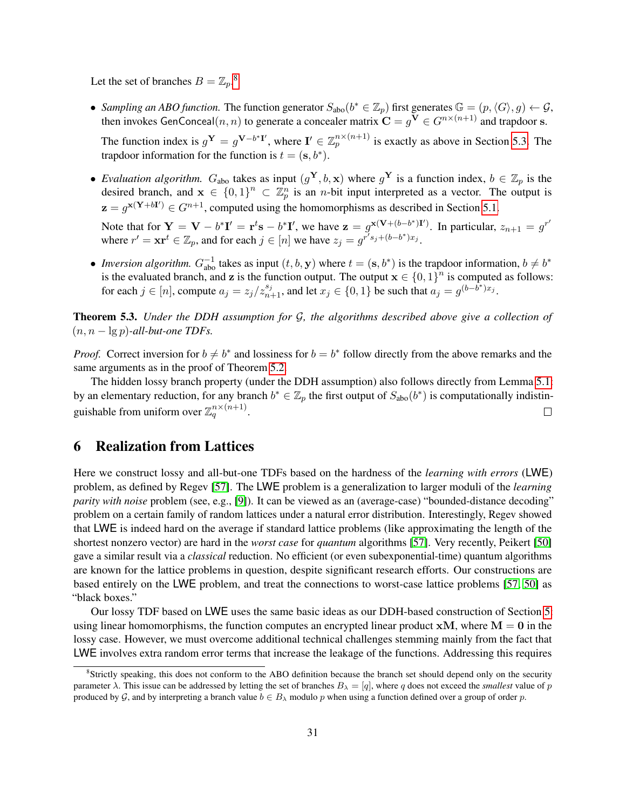Let the set of branches  $B = \mathbb{Z}_p$ .<sup>[8](#page-30-1)</sup>

• *Sampling an ABO function*. The function generator  $S_{\text{abo}}(b^* \in \mathbb{Z}_p)$  first generates  $\mathbb{G} = (p, \langle G \rangle, g) \leftarrow \mathcal{G}$ , then invokes GenConceal $(n, n)$  to generate a concealer matrix  $\mathbf{C} = g^{\mathbf{V}} \in G^{n \times (n+1)}$  and trapdoor s.

The function index is  $g^{\mathbf{Y}} = g^{\mathbf{V} - b^* \mathbf{I}'}$ , where  $\mathbf{I}' \in \mathbb{Z}_p^{n \times (n+1)}$  is exactly as above in Section [5.3.](#page-28-0) The trapdoor information for the function is  $t = (\mathbf{s}, b^*)$ .

• *Evaluation algorithm.*  $G_{\text{abo}}$  takes as input  $(g^{\mathbf{Y}}, b, \mathbf{x})$  where  $g^{\mathbf{Y}}$  is a function index,  $b \in \mathbb{Z}_p$  is the desired branch, and  $\mathbf{x} \in \{0,1\}^n \subset \mathbb{Z}_p^n$  is an *n*-bit input interpreted as a vector. The output is  $z = g^{x(Y + bI')} \in G^{n+1}$ , computed using the homomorphisms as described in Section [5.1.](#page-26-1)

Note that for  $Y = V - b^*I' = r^t s - b^*I'$ , we have  $z = g^{x(V + (b - b^*)I')}$ . In particular,  $z_{n+1} = g^{r'}$ where  $r' = \mathbf{x} \mathbf{r}^t \in \mathbb{Z}_p$ , and for each  $j \in [n]$  we have  $z_j = g^{r's_j + (b-b^*)x_j}$ .

• *Inversion algorithm.*  $G_{\text{abo}}^{-1}$  takes as input  $(t, b, y)$  where  $t = (\mathbf{s}, b^*)$  is the trapdoor information,  $b \neq b^*$ is the evaluated branch, and z is the function output. The output  $\mathbf{x} \in \{0,1\}^n$  is computed as follows: for each  $j \in [n]$ , compute  $a_j = z_j/z_{n+1}^{s_j}$ , and let  $x_j \in \{0, 1\}$  be such that  $a_j = g^{(b-\hat{b}^*)x_j}$ .

Theorem 5.3. *Under the DDH assumption for* G*, the algorithms described above give a collection of*  $(n, n - \lg p)$ -all-but-one TDFs.

*Proof.* Correct inversion for  $b \neq b^*$  and lossiness for  $b = b^*$  follow directly from the above remarks and the same arguments as in the proof of Theorem [5.2.](#page-29-0)

The hidden lossy branch property (under the DDH assumption) also follows directly from Lemma [5.1:](#page-27-0) by an elementary reduction, for any branch  $b^* \in \mathbb{Z}_p$  the first output of  $S_{\text{abo}}(b^*)$  is computationally indistinguishable from uniform over  $\mathbb{Z}_q^{n \times (n+1)}$ .  $\Box$ 

# <span id="page-30-0"></span>6 Realization from Lattices

Here we construct lossy and all-but-one TDFs based on the hardness of the *learning with errors* (LWE) problem, as defined by Regev [\[57\]](#page-43-5). The LWE problem is a generalization to larger moduli of the *learning parity with noise* problem (see, e.g., [\[9\]](#page-40-5)). It can be viewed as an (average-case) "bounded-distance decoding" problem on a certain family of random lattices under a natural error distribution. Interestingly, Regev showed that LWE is indeed hard on the average if standard lattice problems (like approximating the length of the shortest nonzero vector) are hard in the *worst case* for *quantum* algorithms [\[57\]](#page-43-5). Very recently, Peikert [\[50\]](#page-42-4) gave a similar result via a *classical* reduction. No efficient (or even subexponential-time) quantum algorithms are known for the lattice problems in question, despite significant research efforts. Our constructions are based entirely on the LWE problem, and treat the connections to worst-case lattice problems [\[57,](#page-43-5) [50\]](#page-42-4) as "black boxes."

Our lossy TDF based on LWE uses the same basic ideas as our DDH-based construction of Section [5:](#page-26-0) using linear homomorphisms, the function computes an encrypted linear product  $xM$ , where  $M = 0$  in the lossy case. However, we must overcome additional technical challenges stemming mainly from the fact that LWE involves extra random error terms that increase the leakage of the functions. Addressing this requires

<span id="page-30-1"></span><sup>&</sup>lt;sup>8</sup>Strictly speaking, this does not conform to the ABO definition because the branch set should depend only on the security parameter  $\lambda$ . This issue can be addressed by letting the set of branches  $B_{\lambda} = [q]$ , where q does not exceed the *smallest* value of p produced by G, and by interpreting a branch value  $b \in B_\lambda$  modulo p when using a function defined over a group of order p.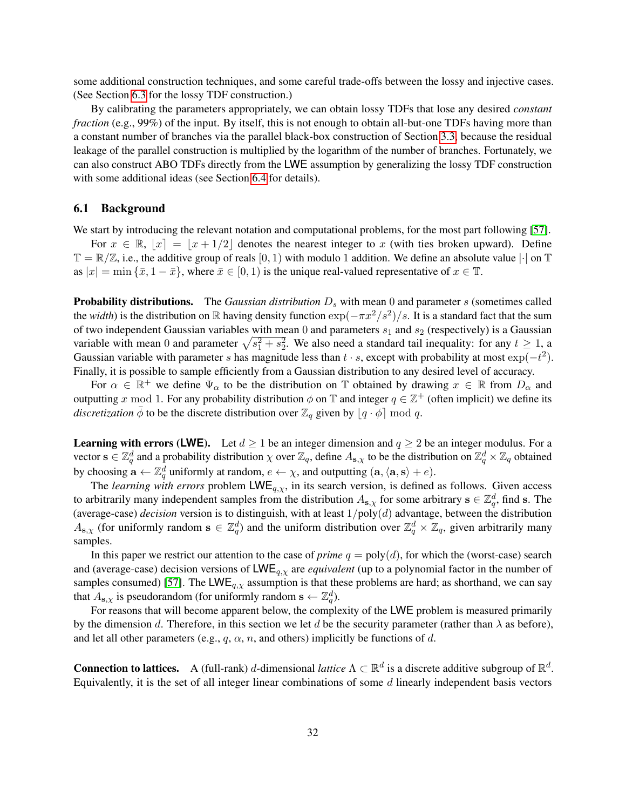some additional construction techniques, and some careful trade-offs between the lossy and injective cases. (See Section [6.3](#page-33-0) for the lossy TDF construction.)

By calibrating the parameters appropriately, we can obtain lossy TDFs that lose any desired *constant fraction* (e.g., 99%) of the input. By itself, this is not enough to obtain all-but-one TDFs having more than a constant number of branches via the parallel black-box construction of Section [3.3,](#page-14-0) because the residual leakage of the parallel construction is multiplied by the logarithm of the number of branches. Fortunately, we can also construct ABO TDFs directly from the LWE assumption by generalizing the lossy TDF construction with some additional ideas (see Section [6.4](#page-36-0) for details).

### 6.1 Background

We start by introducing the relevant notation and computational problems, for the most part following [\[57\]](#page-43-5).

For  $x \in \mathbb{R}, |x| = |x + 1/2|$  denotes the nearest integer to x (with ties broken upward). Define  $\mathbb{T} = \mathbb{R}/\mathbb{Z}$ , i.e., the additive group of reals  $[0, 1)$  with modulo 1 addition. We define an absolute value  $|\cdot|$  on  $\mathbb{T}$ as  $|x| = \min{\{\bar{x}, 1 - \bar{x}\}}$ , where  $\bar{x} \in [0, 1)$  is the unique real-valued representative of  $x \in \mathbb{T}$ .

**Probability distributions.** The *Gaussian distribution*  $D_s$  with mean 0 and parameter s (sometimes called the *width*) is the distribution on R having density function  $\exp(-\pi x^2/s^2)/s$ . It is a standard fact that the sum of two independent Gaussian variables with mean 0 and parameters  $s_1$  and  $s_2$  (respectively) is a Gaussian variable with mean 0 and parameter  $\sqrt{s_1^2 + s_2^2}$ . We also need a standard tail inequality: for any  $t \ge 1$ , a Gaussian variable with parameter s has magnitude less than  $t \cdot s$ , except with probability at most  $\exp(-t^2)$ . Finally, it is possible to sample efficiently from a Gaussian distribution to any desired level of accuracy.

For  $\alpha \in \mathbb{R}^+$  we define  $\Psi_\alpha$  to be the distribution on T obtained by drawing  $x \in \mathbb{R}$  from  $D_\alpha$  and outputting x mod 1. For any probability distribution  $\phi$  on T and integer  $q \in \mathbb{Z}^+$  (often implicit) we define its *discretization*  $\phi$  to be the discrete distribution over  $\mathbb{Z}_q$  given by  $\left[q \cdot \phi\right] \mod q$ .

**Learning with errors (LWE).** Let  $d \ge 1$  be an integer dimension and  $q \ge 2$  be an integer modulus. For a vector  $s \in \mathbb{Z}_q^d$  and a probability distribution  $\chi$  over  $\mathbb{Z}_q$ , define  $A_{s,\chi}$  to be the distribution on  $\mathbb{Z}_q^d \times \mathbb{Z}_q$  obtained by choosing  $\mathbf{a} \leftarrow \mathbb{Z}_q^d$  uniformly at random,  $e \leftarrow \chi$ , and outputting  $(\mathbf{a}, \langle \mathbf{a}, \mathbf{s} \rangle + e)$ .

The *learning with errors* problem  $LWE_{q,\chi}$ , in its search version, is defined as follows. Given access to arbitrarily many independent samples from the distribution  $A_{s,\chi}$  for some arbitrary  $s \in \mathbb{Z}_q^d$ , find s. The (average-case) *decision* version is to distinguish, with at least  $1/poly(d)$  advantage, between the distribution  $A_{s,\chi}$  (for uniformly random  $s \in \mathbb{Z}_q^d$ ) and the uniform distribution over  $\mathbb{Z}_q^d \times \mathbb{Z}_q$ , given arbitrarily many samples.

In this paper we restrict our attention to the case of *prime*  $q = \text{poly}(d)$ , for which the (worst-case) search and (average-case) decision versions of LWEq,χ are *equivalent* (up to a polynomial factor in the number of samples consumed) [\[57\]](#page-43-5). The LWE<sub>q, $\chi$ </sub> assumption is that these problems are hard; as shorthand, we can say that  $A_{s,\chi}$  is pseudorandom (for uniformly random  $s \leftarrow \mathbb{Z}_q^d$ ).

For reasons that will become apparent below, the complexity of the LWE problem is measured primarily by the dimension d. Therefore, in this section we let d be the security parameter (rather than  $\lambda$  as before), and let all other parameters (e.g., q,  $\alpha$ , n, and others) implicitly be functions of d.

**Connection to lattices.** A (full-rank) *d*-dimensional *lattice*  $\Lambda \subset \mathbb{R}^d$  is a discrete additive subgroup of  $\mathbb{R}^d$ . Equivalently, it is the set of all integer linear combinations of some  $d$  linearly independent basis vectors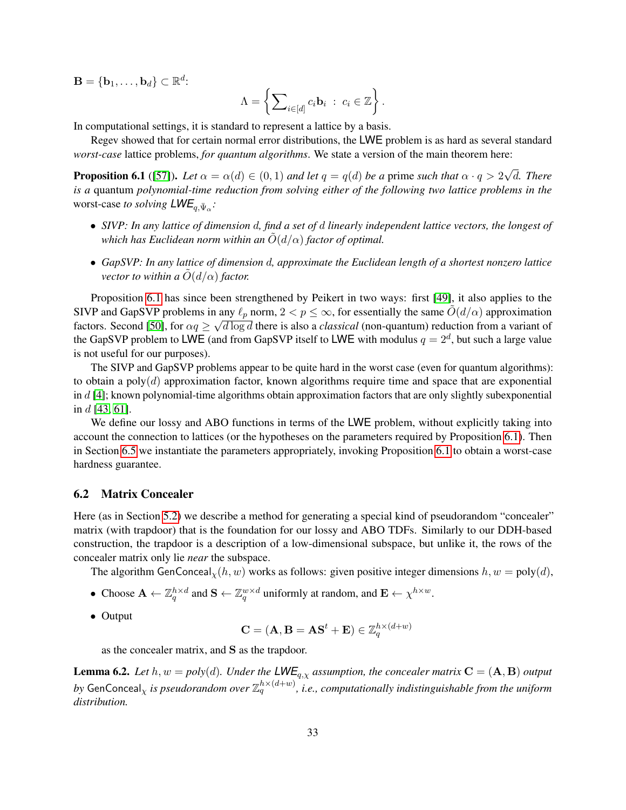$\mathbf{B} = \{\mathbf{b}_1, \dots, \mathbf{b}_d\} \subset \mathbb{R}^d$ :

$$
\Lambda = \left\{ \sum\nolimits_{i \in [d]} c_i \mathbf{b}_i \; : \; c_i \in \mathbb{Z} \right\}.
$$

In computational settings, it is standard to represent a lattice by a basis.

Regev showed that for certain normal error distributions, the LWE problem is as hard as several standard *worst-case* lattice problems, *for quantum algorithms*. We state a version of the main theorem here:

<span id="page-32-0"></span>**Proposition 6.1** ([\[57\]](#page-43-5)). Let  $\alpha = \alpha(d) \in (0,1)$  and let  $q = q(d)$  be a prime such that  $\alpha \cdot q > 2$ √ d*. There is a* quantum *polynomial-time reduction from solving either of the following two lattice problems in the* worst-case *to solving*  $LWE_{q, \bar{\Psi}_{\alpha}}$ :

- *SIVP: In any lattice of dimension* d*, find a set of* d *linearly independent lattice vectors, the longest of which has Euclidean norm within an*  $\tilde{O}(d/\alpha)$  *factor of optimal.*
- *GapSVP: In any lattice of dimension* d*, approximate the Euclidean length of a shortest nonzero lattice vector to within a*  $\ddot{O}(d/\alpha)$  *factor.*

Proposition [6.1](#page-32-0) has since been strengthened by Peikert in two ways: first [\[49\]](#page-42-15), it also applies to the SIVP and GapSVP problems in any  $\ell_p$  norm,  $2 < p \le \infty$ , for essentially the same  $\tilde{O}(d/\alpha)$  approximation factors. Second [\[50\]](#page-42-4), for  $\alpha q \ge \sqrt{d \log d}$  there is also a *classical* (non-quantum) reduction from a variant of the GapSVP problem to LWE (and from GapSVP itself to LWE with modulus  $q = 2^d$ , but such a large value is not useful for our purposes).

The SIVP and GapSVP problems appear to be quite hard in the worst case (even for quantum algorithms): to obtain a  $poly(d)$  approximation factor, known algorithms require time and space that are exponential in  $d$  [\[4\]](#page-40-15); known polynomial-time algorithms obtain approximation factors that are only slightly subexponential in d [\[43,](#page-42-16) [61\]](#page-43-12).

We define our lossy and ABO functions in terms of the LWE problem, without explicitly taking into account the connection to lattices (or the hypotheses on the parameters required by Proposition [6.1\)](#page-32-0). Then in Section [6.5](#page-39-1) we instantiate the parameters appropriately, invoking Proposition [6.1](#page-32-0) to obtain a worst-case hardness guarantee.

# 6.2 Matrix Concealer

Here (as in Section [5.2\)](#page-27-1) we describe a method for generating a special kind of pseudorandom "concealer" matrix (with trapdoor) that is the foundation for our lossy and ABO TDFs. Similarly to our DDH-based construction, the trapdoor is a description of a low-dimensional subspace, but unlike it, the rows of the concealer matrix only lie *near* the subspace.

The algorithm GenConceal<sub>x</sub> $(h, w)$  works as follows: given positive integer dimensions  $h, w = \text{poly}(d)$ ,

- Choose  $\mathbf{A} \leftarrow \mathbb{Z}_q^{h \times d}$  and  $\mathbf{S} \leftarrow \mathbb{Z}_q^{w \times d}$  uniformly at random, and  $\mathbf{E} \leftarrow \chi^{h \times w}$ .
- Output

 $\mathbf{C} = (\mathbf{A}, \mathbf{B} = \mathbf{A}\mathbf{S}^t + \mathbf{E}) \in \mathbb{Z}_q^{h \times (d+w)}$ 

as the concealer matrix, and S as the trapdoor.

<span id="page-32-1"></span>**Lemma 6.2.** *Let*  $h, w = poly(d)$ *. Under the*  $LWE_{q, \chi}$  *assumption, the concealer matrix*  $C = (A, B)$  *output* by GenConceal<sub>X</sub> is pseudorandom over  $\mathbb{Z}_q^{h\times (d+w)}$ , i.e., computationally indistinguishable from the uniform *distribution.*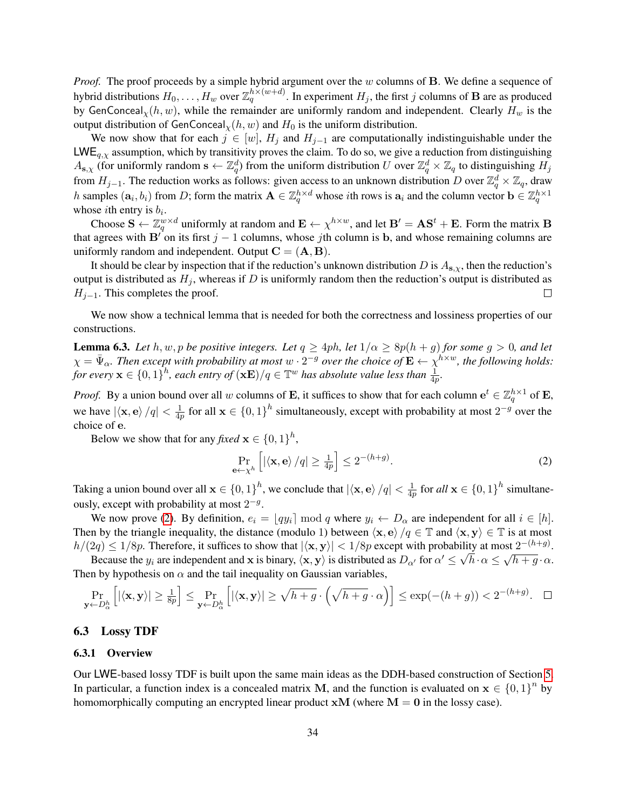*Proof.* The proof proceeds by a simple hybrid argument over the w columns of **B**. We define a sequence of hybrid distributions  $H_0, \ldots, H_w$  over  $\mathbb{Z}_q^{h \times (w+d)}$ . In experiment  $H_j$ , the first j columns of  $\bf B$  are as produced by GenConceal<sub>x</sub>(h, w), while the remainder are uniformly random and independent. Clearly  $H_w$  is the output distribution of GenConceal<sub>x</sub> $(h, w)$  and  $H_0$  is the uniform distribution.

We now show that for each  $j \in [w]$ ,  $H_j$  and  $H_{j-1}$  are computationally indistinguishable under the LWE<sub>q, $\chi$ </sub> assumption, which by transitivity proves the claim. To do so, we give a reduction from distinguishing  $A_{s,\chi}$  (for uniformly random  $s \leftarrow \mathbb{Z}_q^d$ ) from the uniform distribution U over  $\mathbb{Z}_q^d \times \mathbb{Z}_q$  to distinguishing  $H_j$ from  $H_{j-1}$ . The reduction works as follows: given access to an unknown distribution D over  $\mathbb{Z}_q^d \times \mathbb{Z}_q$ , draw h samples  $(a_i, b_i)$  from D; form the matrix  $A \in \mathbb{Z}_q^{h \times d}$  whose ith rows is  $a_i$  and the column vector  $b \in \mathbb{Z}_q^{h \times 1}$ whose *i*th entry is  $b_i$ .

Choose  $S \leftarrow \mathbb{Z}_q^{w \times d}$  uniformly at random and  $\mathbf{E} \leftarrow \chi^{h \times w}$ , and let  $\mathbf{B}' = \mathbf{AS}^t + \mathbf{E}$ . Form the matrix  $\mathbf{B}$ that agrees with B' on its first  $j - 1$  columns, whose jth column is b, and whose remaining columns are uniformly random and independent. Output  $C = (A, B)$ .

It should be clear by inspection that if the reduction's unknown distribution D is  $A_{s,y}$ , then the reduction's output is distributed as  $H_j$ , whereas if D is uniformly random then the reduction's output is distributed as  $H_{i-1}$ . This completes the proof. П

We now show a technical lemma that is needed for both the correctness and lossiness properties of our constructions.

<span id="page-33-2"></span>**Lemma 6.3.** Let  $h, w, p$  be positive integers. Let  $q \ge 4ph$ , let  $1/\alpha \ge 8p(h + q)$  for some  $q > 0$ , and let  $\chi = \bar{\Psi}_\alpha$ . Then except with probability at most  $w\cdot 2^{-g}$  over the choice of  $\mathbf{E}\leftarrow \chi^{h\times w}$ , the following holds: for every  $\mathbf{x} \in \{0,1\}^h$ , each entry of  $(\mathbf{x} \mathbf{E})/q \in \mathbb{T}^w$  has absolute value less than  $\frac{1}{4p}$ .

*Proof.* By a union bound over all w columns of **E**, it suffices to show that for each column  $e^t \in \mathbb{Z}_q^{h \times 1}$  of **E**, we have  $|\langle \mathbf{x}, \mathbf{e} \rangle /q| < \frac{1}{4n}$  $\frac{1}{4p}$  for all  $\mathbf{x} \in \{0,1\}^h$  simultaneously, except with probability at most  $2^{-g}$  over the choice of e.

Below we show that for any *fixed*  $\mathbf{x} \in \{0,1\}^h$ ,

<span id="page-33-1"></span>
$$
\Pr_{\mathbf{e}\leftarrow \chi^{h}}\left[\left|\left\langle \mathbf{x},\mathbf{e}\right\rangle / q\right| \geq \frac{1}{4p}\right] \leq 2^{-(h+g)}.
$$
\n(2)

Taking a union bound over all  $\mathbf{x} \in \{0,1\}^h$ , we conclude that  $|\langle \mathbf{x}, \mathbf{e} \rangle / q| < \frac{1}{4\pi}$  $\frac{1}{4p}$  for *all*  $\mathbf{x} \in \{0,1\}^h$  simultaneously, except with probability at most  $2^{-g}$ .

We now prove [\(2\)](#page-33-1). By definition,  $e_i = [qy_i] \bmod q$  where  $y_i \leftarrow D_\alpha$  are independent for all  $i \in [h]$ . Then by the triangle inequality, the distance (modulo 1) between  $\langle x, e \rangle /q \in \mathbb{T}$  and  $\langle x, y \rangle \in \mathbb{T}$  is at most  $h/(2q) \le 1/8p$ . Therefore, it suffices to show that  $|\langle \mathbf{x}, \mathbf{y} \rangle| < 1/8p$  except with probability at most  $2^{-(h+g)}$ .

Because the  $y_i$  are independent and x is binary,  $\langle x, y \rangle$  is distributed as  $D_{\alpha'}$  for  $\alpha' \le \sqrt{h} \cdot \alpha \le \sqrt{h+g} \cdot \alpha$ . Then by hypothesis on  $\alpha$  and the tail inequality on Gaussian variables,

$$
\Pr_{\mathbf{y} \leftarrow D_{\alpha}^{h}} \left[ |\langle \mathbf{x}, \mathbf{y} \rangle| \geq \frac{1}{8p} \right] \leq \Pr_{\mathbf{y} \leftarrow D_{\alpha}^{h}} \left[ |\langle \mathbf{x}, \mathbf{y} \rangle| \geq \sqrt{h+g} \cdot \left( \sqrt{h+g} \cdot \alpha \right) \right] \leq \exp(-(h+g)) < 2^{-(h+g)}.\quad \Box
$$

### <span id="page-33-0"></span>6.3 Lossy TDF

#### 6.3.1 Overview

Our LWE-based lossy TDF is built upon the same main ideas as the DDH-based construction of Section [5.](#page-26-0) In particular, a function index is a concealed matrix M, and the function is evaluated on  $\mathbf{x} \in \{0,1\}^n$  by homomorphically computing an encrypted linear product  $xM$  (where  $M = 0$  in the lossy case).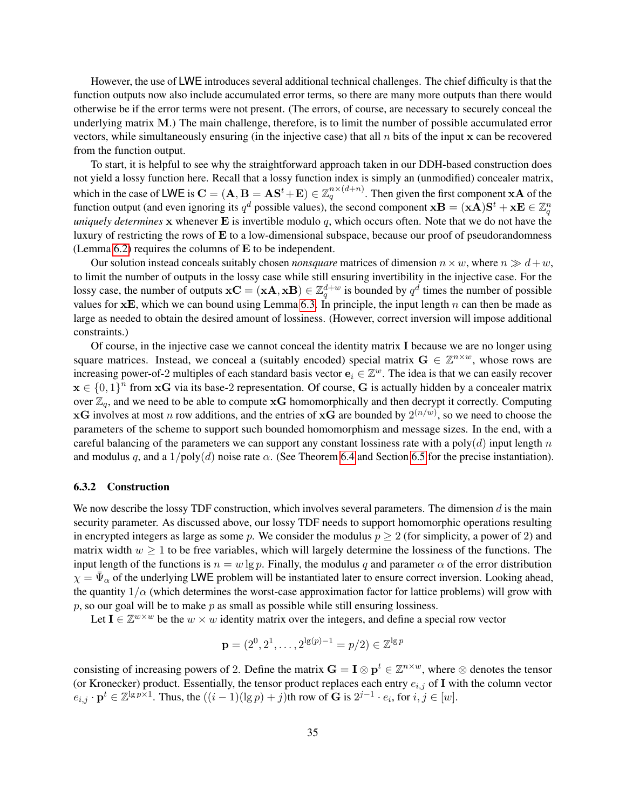However, the use of LWE introduces several additional technical challenges. The chief difficulty is that the function outputs now also include accumulated error terms, so there are many more outputs than there would otherwise be if the error terms were not present. (The errors, of course, are necessary to securely conceal the underlying matrix M.) The main challenge, therefore, is to limit the number of possible accumulated error vectors, while simultaneously ensuring (in the injective case) that all  $n$  bits of the input  $x$  can be recovered from the function output.

To start, it is helpful to see why the straightforward approach taken in our DDH-based construction does not yield a lossy function here. Recall that a lossy function index is simply an (unmodified) concealer matrix, which in the case of LWE is  $\mathbf{C} = (\mathbf{A}, \mathbf{B} = \mathbf{A}\mathbf{S}^t + \mathbf{E}) \in \mathbb{Z}_q^{n \times (d+n)}$ . Then given the first component  $\mathbf{x} \mathbf{A}$  of the function output (and even ignoring its  $q^d$  possible values), the second component  $\mathbf{xB} = (\mathbf{xA})\mathbf{S}^t + \mathbf{xE} \in \mathbb{Z}_q^n$ *uniquely determines* x whenever **E** is invertible modulo q, which occurs often. Note that we do not have the luxury of restricting the rows of E to a low-dimensional subspace, because our proof of pseudorandomness (Lemma [6.2\)](#page-32-1) requires the columns of E to be independent.

Our solution instead conceals suitably chosen *nonsquare* matrices of dimension  $n \times w$ , where  $n \gg d+w$ , to limit the number of outputs in the lossy case while still ensuring invertibility in the injective case. For the lossy case, the number of outputs  $\mathbf{xC} = (\mathbf{xA}, \mathbf{xB}) \in \mathbb{Z}_q^{d+w}$  is bounded by  $q^d$  times the number of possible values for  $xE$ , which we can bound using Lemma [6.3.](#page-33-2) In principle, the input length n can then be made as large as needed to obtain the desired amount of lossiness. (However, correct inversion will impose additional constraints.)

Of course, in the injective case we cannot conceal the identity matrix I because we are no longer using square matrices. Instead, we conceal a (suitably encoded) special matrix  $G \in \mathbb{Z}^{n \times w}$ , whose rows are increasing power-of-2 multiples of each standard basis vector  $e_i \in \mathbb{Z}^w$ . The idea is that we can easily recover  $\mathbf{x} \in \{0,1\}^n$  from  $\mathbf{x} \mathbf{G}$  via its base-2 representation. Of course, G is actually hidden by a concealer matrix over  $\mathbb{Z}_q$ , and we need to be able to compute  $xG$  homomorphically and then decrypt it correctly. Computing **xG** involves at most *n* row additions, and the entries of **xG** are bounded by  $2^{(n/w)}$ , so we need to choose the parameters of the scheme to support such bounded homomorphism and message sizes. In the end, with a careful balancing of the parameters we can support any constant lossiness rate with a poly $(d)$  input length n and modulus q, and a  $1/poly(d)$  noise rate  $\alpha$ . (See Theorem [6.4](#page-35-0) and Section [6.5](#page-39-1) for the precise instantiation).

### <span id="page-34-0"></span>6.3.2 Construction

We now describe the lossy TDF construction, which involves several parameters. The dimension  $d$  is the main security parameter. As discussed above, our lossy TDF needs to support homomorphic operations resulting in encrypted integers as large as some p. We consider the modulus  $p \geq 2$  (for simplicity, a power of 2) and matrix width  $w \geq 1$  to be free variables, which will largely determine the lossiness of the functions. The input length of the functions is  $n = w \lg p$ . Finally, the modulus q and parameter  $\alpha$  of the error distribution  $\chi = \bar{\Psi}_{\alpha}$  of the underlying LWE problem will be instantiated later to ensure correct inversion. Looking ahead, the quantity  $1/\alpha$  (which determines the worst-case approximation factor for lattice problems) will grow with  $p$ , so our goal will be to make  $p$  as small as possible while still ensuring lossiness.

Let  $I \in \mathbb{Z}^{w \times w}$  be the  $w \times w$  identity matrix over the integers, and define a special row vector

$$
\mathbf{p} = (2^0, 2^1, \dots, 2^{\lg(p)-1}) = p/2) \in \mathbb{Z}^{\lg p}
$$

consisting of increasing powers of 2. Define the matrix  $G = I \otimes p^t \in \mathbb{Z}^{n \times w}$ , where  $\otimes$  denotes the tensor (or Kronecker) product. Essentially, the tensor product replaces each entry  $e_{i,j}$  of I with the column vector  $e_{i,j} \cdot \mathbf{p}^t \in \mathbb{Z}^{\lg p \times 1}$ . Thus, the  $((i-1)(\lg p) + j)$ th row of G is  $2^{j-1} \cdot e_i$ , for  $i, j \in [w]$ .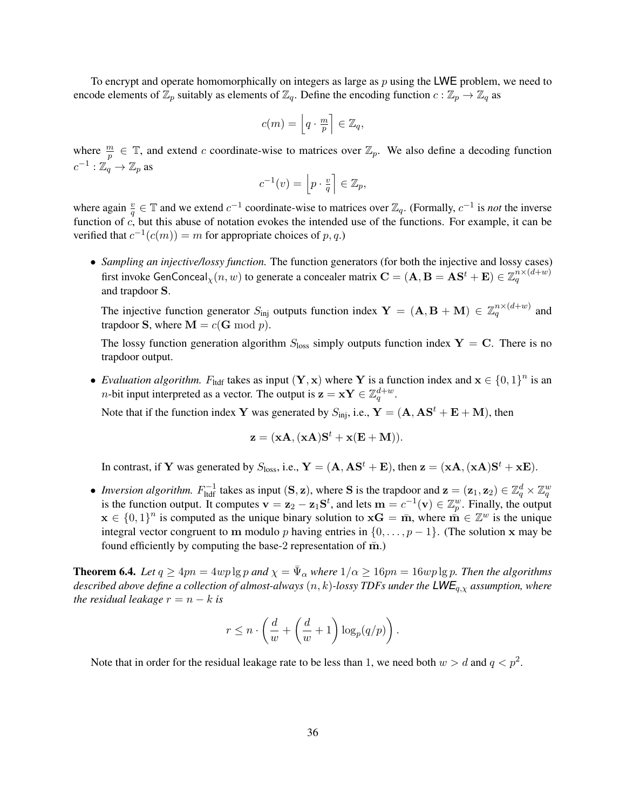To encrypt and operate homomorphically on integers as large as  $p$  using the LWE problem, we need to encode elements of  $\mathbb{Z}_p$  suitably as elements of  $\mathbb{Z}_q$ . Define the encoding function  $c : \mathbb{Z}_p \to \mathbb{Z}_q$  as

$$
c(m) = \left\lfloor q \cdot \frac{m}{p} \right\rceil \in \mathbb{Z}_q,
$$

where  $\frac{m}{p} \in \mathbb{T}$ , and extend c coordinate-wise to matrices over  $\mathbb{Z}_p$ . We also define a decoding function  $c^{-1}: \mathbb{Z}_q \rightarrow \mathbb{Z}_p$  as

$$
c^{-1}(v) = \left\lfloor p \cdot \frac{v}{q} \right\rceil \in \mathbb{Z}_p,
$$

where again  $\frac{v}{q} \in \mathbb{T}$  and we extend  $c^{-1}$  coordinate-wise to matrices over  $\mathbb{Z}_q$ . (Formally,  $c^{-1}$  is *not* the inverse function of  $c$ , but this abuse of notation evokes the intended use of the functions. For example, it can be verified that  $c^{-1}(c(m)) = m$  for appropriate choices of p, q.)

• *Sampling an injective/lossy function.* The function generators (for both the injective and lossy cases) first invoke GenConceal $_{\chi}(n,w)$  to generate a concealer matrix  $\mathbf{C}=(\mathbf{A},\mathbf{B}=\mathbf{AS}^t+\mathbf{E})\in\mathbb{Z}_q^{n\times (d+w)}$ and trapdoor S.

The injective function generator  $S_{\text{inj}}$  outputs function index  $\mathbf{Y} = (\mathbf{A}, \mathbf{B} + \mathbf{M}) \in \mathbb{Z}_q^{n \times (d+w)}$  and trapdoor **S**, where  $M = c(G \mod p)$ .

The lossy function generation algorithm  $S<sub>loss</sub>$  simply outputs function index  $Y = C$ . There is no trapdoor output.

• *Evaluation algorithm.*  $F_{\text{ltdf}}$  takes as input  $(\mathbf{Y}, \mathbf{x})$  where Y is a function index and  $\mathbf{x} \in \{0, 1\}^n$  is an *n*-bit input interpreted as a vector. The output is  $z = xY \in \mathbb{Z}_q^{d+w}$ .

Note that if the function index Y was generated by  $S_{\text{inj}}$ , i.e.,  $Y = (A, AS<sup>t</sup> + E + M)$ , then

$$
\mathbf{z} = (\mathbf{x}\mathbf{A}, (\mathbf{x}\mathbf{A})\mathbf{S}^t + \mathbf{x}(\mathbf{E} + \mathbf{M})).
$$

In contrast, if Y was generated by  $S_{\text{loss}}$ , i.e.,  $Y = (A, AS^t + E)$ , then  $z = (xA, (xA)S^t + xE)$ .

• *Inversion algorithm.*  $F_{\text{ltdf}}^{-1}$  takes as input  $(\mathbf{S}, \mathbf{z})$ , where S is the trapdoor and  $\mathbf{z} = (\mathbf{z}_1, \mathbf{z}_2) \in \mathbb{Z}_q^d \times \mathbb{Z}_q^w$ is the function output. It computes  $\mathbf{v} = \mathbf{z}_2 - \mathbf{z}_1 \mathbf{S}^t$ , and lets  $\mathbf{m} = c^{-1}(\mathbf{v}) \in \mathbb{Z}_p^w$ . Finally, the output  $\mathbf{x} \in \{0,1\}^n$  is computed as the unique binary solution to  $\mathbf{x} \mathbf{G} = \bar{\mathbf{m}}$ , where  $\bar{\mathbf{m}} \in \mathbb{Z}^w$  is the unique integral vector congruent to m modulo p having entries in  $\{0, \ldots, p-1\}$ . (The solution x may be found efficiently by computing the base-2 representation of  $\overline{m}$ .)

<span id="page-35-0"></span>**Theorem 6.4.** Let  $q \geq 4pn = 4wp \lg p$  and  $\chi = \bar{\Psi}_{\alpha}$  where  $1/\alpha \geq 16pn = 16wp \lg p$ . Then the algorithms *described above define a collection of almost-always* (n, k)*-lossy TDFs under the LWE*q,χ *assumption, where the residual leakage*  $r = n - k$  *is* 

$$
r \leq n \cdot \left(\frac{d}{w} + \left(\frac{d}{w} + 1\right) \log_p(q/p)\right).
$$

Note that in order for the residual leakage rate to be less than 1, we need both  $w > d$  and  $q < p^2$ .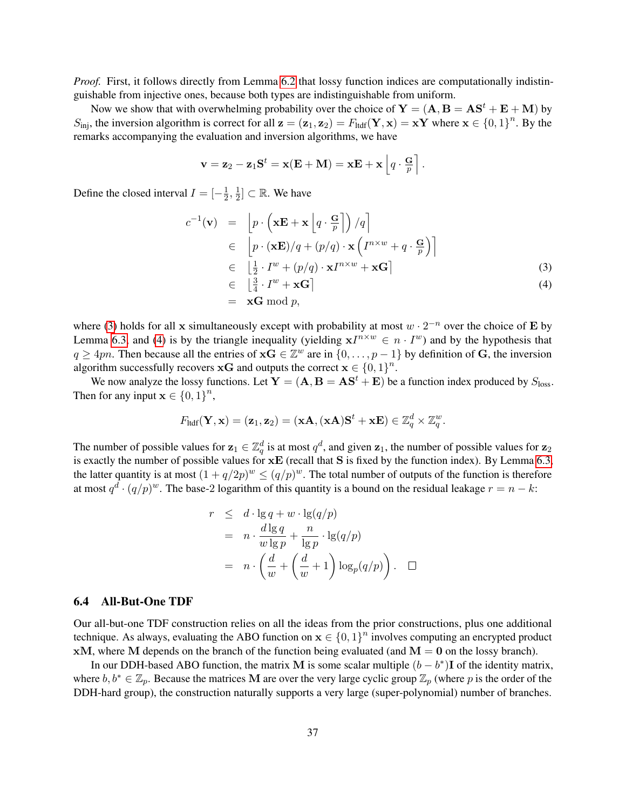*Proof.* First, it follows directly from Lemma [6.2](#page-32-1) that lossy function indices are computationally indistinguishable from injective ones, because both types are indistinguishable from uniform.

Now we show that with overwhelming probability over the choice of  $Y = (A, B = AS<sup>t</sup> + E + M)$  by  $S_{\text{inj}}$ , the inversion algorithm is correct for all  $\mathbf{z} = (\mathbf{z}_1, \mathbf{z}_2) = F_{\text{ltdf}}(\mathbf{Y}, \mathbf{x}) = \mathbf{x} \mathbf{Y}$  where  $\mathbf{x} \in \{0, 1\}^n$ . By the remarks accompanying the evaluation and inversion algorithms, we have

$$
\mathbf{v} = \mathbf{z}_2 - \mathbf{z}_1 \mathbf{S}^t = \mathbf{x}(\mathbf{E} + \mathbf{M}) = \mathbf{x} \mathbf{E} + \mathbf{x} \left[ q \cdot \frac{\mathbf{G}}{p} \right].
$$

Define the closed interval  $I = \begin{bmatrix} -\frac{1}{2} \end{bmatrix}$  $\frac{1}{2}, \frac{1}{2}$  $\frac{1}{2}$   $\subset \mathbb{R}$ . We have

<span id="page-36-1"></span>
$$
c^{-1}(\mathbf{v}) = \left[ p \cdot \left( \mathbf{x} \mathbf{E} + \mathbf{x} \left[ q \cdot \frac{\mathbf{G}}{p} \right] \right) / q \right]
$$
  
\n
$$
\in \left[ p \cdot (\mathbf{x} \mathbf{E}) / q + (p/q) \cdot \mathbf{x} \left( I^{n \times w} + q \cdot \frac{\mathbf{G}}{p} \right) \right]
$$
  
\n
$$
\in \left[ \frac{1}{2} \cdot I^w + (p/q) \cdot \mathbf{x} I^{n \times w} + \mathbf{x} \mathbf{G} \right]
$$
  
\n
$$
\in \left[ \frac{3}{4} \cdot I^w + \mathbf{x} \mathbf{G} \right]
$$
  
\n(3)

 $=$  **xG** mod  $p$ ,

where [\(3\)](#page-36-1) holds for all x simultaneously except with probability at most  $w \cdot 2^{-n}$  over the choice of **E** by Lemma [6.3,](#page-33-2) and [\(4\)](#page-36-1) is by the triangle inequality (yielding  $xI^{n \times w} \in n \cdot I^w$ ) and by the hypothesis that  $q \ge 4pn$ . Then because all the entries of  $\mathbf{x} \mathbf{G} \in \mathbb{Z}^w$  are in  $\{0, \ldots, p-1\}$  by definition of G, the inversion algorithm successfully recovers  $\mathbf{x} \mathbf{G}$  and outputs the correct  $\mathbf{x} \in \{0,1\}^n$ .

We now analyze the lossy functions. Let  $Y = (A, B = AS<sup>t</sup> + E)$  be a function index produced by  $S<sub>loss</sub>$ . Then for any input  $\mathbf{x} \in \{0, 1\}^n$ ,

$$
F_{\text{ltdf}}(\mathbf{Y}, \mathbf{x}) = (\mathbf{z}_1, \mathbf{z}_2) = (\mathbf{x}\mathbf{A}, (\mathbf{x}\mathbf{A})\mathbf{S}^t + \mathbf{x}\mathbf{E}) \in \mathbb{Z}_q^d \times \mathbb{Z}_q^w.
$$

The number of possible values for  $z_1 \in \mathbb{Z}_q^d$  is at most  $q^d$ , and given  $z_1$ , the number of possible values for  $z_2$ is exactly the number of possible values for  $xE$  (recall that S is fixed by the function index). By Lemma [6.3,](#page-33-2) the latter quantity is at most  $(1 + q/2p)^w \le (q/p)^w$ . The total number of outputs of the function is therefore at most  $q^d \cdot (q/p)^w$ . The base-2 logarithm of this quantity is a bound on the residual leakage  $r = n - k$ :

$$
r \leq d \cdot \lg q + w \cdot \lg(q/p)
$$
  
=  $n \cdot \frac{d \lg q}{w \lg p} + \frac{n}{\lg p} \cdot \lg(q/p)$   
=  $n \cdot \left(\frac{d}{w} + \left(\frac{d}{w} + 1\right) \log_p(q/p)\right)$ .  $\square$ 

### <span id="page-36-0"></span>6.4 All-But-One TDF

Our all-but-one TDF construction relies on all the ideas from the prior constructions, plus one additional technique. As always, evaluating the ABO function on  $x \in \{0, 1\}^n$  involves computing an encrypted product  $xM$ , where M depends on the branch of the function being evaluated (and  $M = 0$  on the lossy branch).

In our DDH-based ABO function, the matrix M is some scalar multiple  $(b - b^*)$ I of the identity matrix, where  $b, b^* \in \mathbb{Z}_p$ . Because the matrices M are over the very large cyclic group  $\mathbb{Z}_p$  (where p is the order of the DDH-hard group), the construction naturally supports a very large (super-polynomial) number of branches.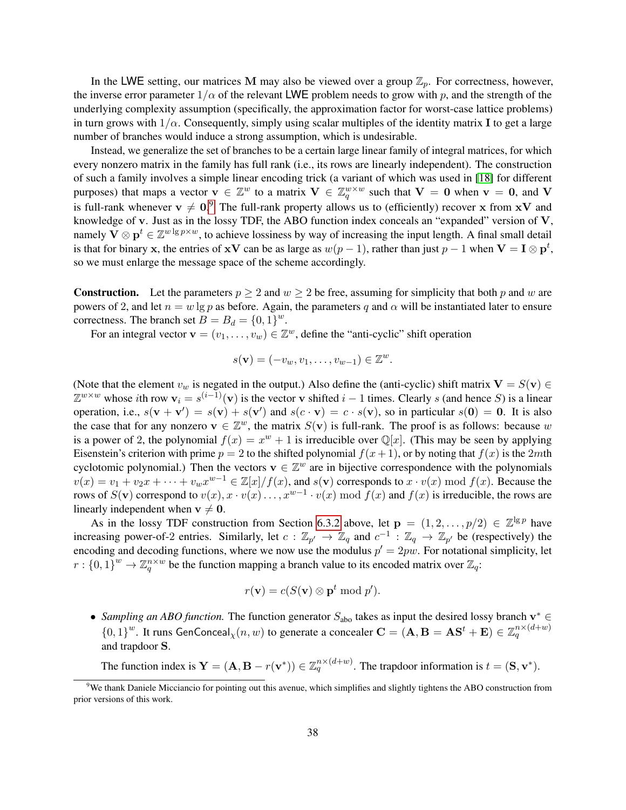In the LWE setting, our matrices M may also be viewed over a group  $\mathbb{Z}_p$ . For correctness, however, the inverse error parameter  $1/\alpha$  of the relevant LWE problem needs to grow with p, and the strength of the underlying complexity assumption (specifically, the approximation factor for worst-case lattice problems) in turn grows with  $1/\alpha$ . Consequently, simply using scalar multiples of the identity matrix I to get a large number of branches would induce a strong assumption, which is undesirable.

Instead, we generalize the set of branches to be a certain large linear family of integral matrices, for which every nonzero matrix in the family has full rank (i.e., its rows are linearly independent). The construction of such a family involves a simple linear encoding trick (a variant of which was used in [\[18\]](#page-40-16) for different purposes) that maps a vector  $\mathbf{v} \in \mathbb{Z}^w$  to a matrix  $\mathbf{V} \in \mathbb{Z}_q^{w \times w}$  such that  $\mathbf{V} = \mathbf{0}$  when  $\mathbf{v} = \mathbf{0}$ , and  $\mathbf{V}$ is full-rank whenever  $v \neq 0$ . The full-rank property allows us to (efficiently) recover x from xV and knowledge of v. Just as in the lossy TDF, the ABO function index conceals an "expanded" version of V, namely  $V \otimes p^t \in \mathbb{Z}^{w \lg p \times w}$ , to achieve lossiness by way of increasing the input length. A final small detail is that for binary x, the entries of xV can be as large as  $w(p-1)$ , rather than just  $p-1$  when  $V = I \otimes p^t$ , so we must enlarge the message space of the scheme accordingly.

**Construction.** Let the parameters  $p \ge 2$  and  $w \ge 2$  be free, assuming for simplicity that both p and w are powers of 2, and let  $n = w \lg p$  as before. Again, the parameters q and  $\alpha$  will be instantiated later to ensure correctness. The branch set  $B = B_d = \{0, 1\}^w$ .

For an integral vector  $\mathbf{v} = (v_1, \dots, v_w) \in \mathbb{Z}^w$ , define the "anti-cyclic" shift operation

$$
s(\mathbf{v})=(-v_w,v_1,\ldots,v_{w-1})\in\mathbb{Z}^w.
$$

(Note that the element  $v_w$  is negated in the output.) Also define the (anti-cyclic) shift matrix  $V = S(v) \in$  $\mathbb{Z}^{w \times w}$  whose *i*th row  $\mathbf{v}_i = s^{(i-1)}(\mathbf{v})$  is the vector v shifted  $i-1$  times. Clearly s (and hence S) is a linear operation, i.e.,  $s(\mathbf{v} + \mathbf{v}') = s(\mathbf{v}) + s(\mathbf{v}')$  and  $s(c \cdot \mathbf{v}) = c \cdot s(\mathbf{v})$ , so in particular  $s(\mathbf{0}) = \mathbf{0}$ . It is also the case that for any nonzero  $\mathbf{v} \in \mathbb{Z}^w$ , the matrix  $S(\mathbf{v})$  is full-rank. The proof is as follows: because w is a power of 2, the polynomial  $f(x) = x^w + 1$  is irreducible over  $\mathbb{Q}[x]$ . (This may be seen by applying Eisenstein's criterion with prime  $p = 2$  to the shifted polynomial  $f(x + 1)$ , or by noting that  $f(x)$  is the 2mth cyclotomic polynomial.) Then the vectors  $\mathbf{v} \in \mathbb{Z}^w$  are in bijective correspondence with the polynomials  $v(x) = v_1 + v_2 x + \dots + v_w x^{w-1} \in \mathbb{Z}[x]/f(x)$ , and  $s(\mathbf{v})$  corresponds to  $x \cdot v(x) \bmod f(x)$ . Because the rows of  $S(v)$  correspond to  $v(x), x \cdot v(x) \cdot \cdot \cdot, x^{w-1} \cdot v(x) \mod f(x)$  and  $f(x)$  is irreducible, the rows are linearly independent when  $v \neq 0$ .

As in the lossy TDF construction from Section [6.3.2](#page-34-0) above, let  $\mathbf{p} = (1, 2, \dots, p/2) \in \mathbb{Z}^{\lg p}$  have increasing power-of-2 entries. Similarly, let  $c : \mathbb{Z}_{p'} \to \mathbb{Z}_q$  and  $c^{-1} : \mathbb{Z}_q \to \mathbb{Z}_{p'}$  be (respectively) the encoding and decoding functions, where we now use the modulus  $p' = 2pw$ . For notational simplicity, let  $r: \{0,1\}^w \to \mathbb{Z}_q^{n \times w}$  be the function mapping a branch value to its encoded matrix over  $\mathbb{Z}_q$ :

$$
r(\mathbf{v}) = c(S(\mathbf{v}) \otimes \mathbf{p}^t \bmod p').
$$

• *Sampling an ABO function*. The function generator  $S_{\text{abo}}$  takes as input the desired lossy branch  $v^* \in$  $\{0,1\}^w$ . It runs GenConceal $\chi(n, w)$  to generate a concealer  $\mathbf{C} = (\mathbf{A}, \mathbf{B} = \mathbf{A}\mathbf{S}^t + \mathbf{E}) \in \mathbb{Z}_q^{n \times (d+w)}$ and trapdoor S.

The function index is  $Y = (A, B - r(v^*)) \in \mathbb{Z}_q^{n \times (d+w)}$ . The trapdoor information is  $t = (S, v^*)$ .

<span id="page-37-0"></span> $9$ We thank Daniele Micciancio for pointing out this avenue, which simplifies and slightly tightens the ABO construction from prior versions of this work.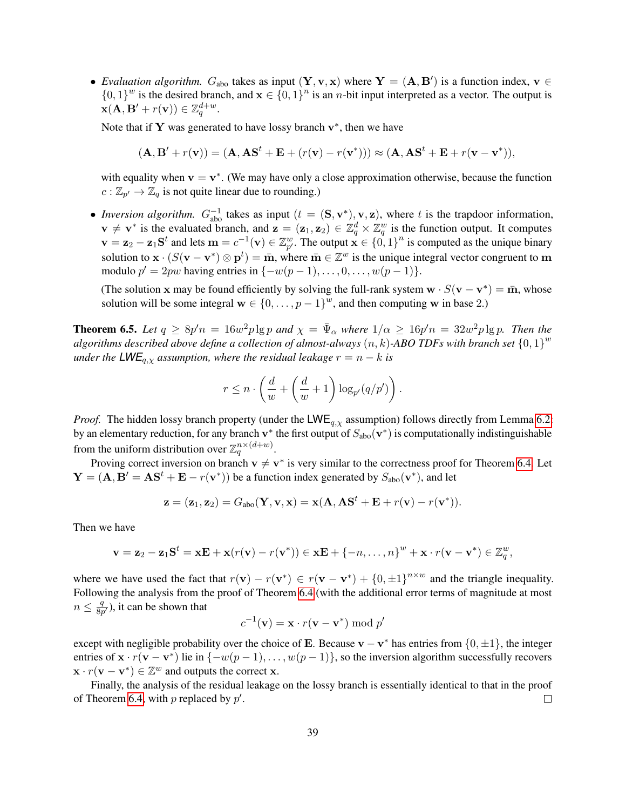• *Evaluation algorithm.*  $G_{\text{abo}}$  takes as input  $(Y, v, x)$  where  $Y = (A, B')$  is a function index,  $v \in$  $\{0,1\}^w$  is the desired branch, and  $\mathbf{x} \in \{0,1\}^n$  is an *n*-bit input interpreted as a vector. The output is  $\mathbf{x}(\mathbf{A}, \mathbf{B'} + r(\mathbf{v})) \in \mathbb{Z}_q^{d+w}.$ 

Note that if Y was generated to have lossy branch  $v^*$ , then we have

$$
(\mathbf{A}, \mathbf{B'} + r(\mathbf{v})) = (\mathbf{A}, \mathbf{A}\mathbf{S}^t + \mathbf{E} + (r(\mathbf{v}) - r(\mathbf{v}^*))) \approx (\mathbf{A}, \mathbf{A}\mathbf{S}^t + \mathbf{E} + r(\mathbf{v} - \mathbf{v}^*)),
$$

with equality when  $\mathbf{v} = \mathbf{v}^*$ . (We may have only a close approximation otherwise, because the function  $c: \mathbb{Z}_{p'} \to \mathbb{Z}_q$  is not quite linear due to rounding.)

• *Inversion algorithm.*  $G_{\text{abo}}^{-1}$  takes as input  $(t = (\mathbf{S}, \mathbf{v}^*), \mathbf{v}, \mathbf{z})$ , where t is the trapdoor information,  $\mathbf{v} \neq \mathbf{v}^*$  is the evaluated branch, and  $\mathbf{z} = (\mathbf{z}_1, \mathbf{z}_2) \in \mathbb{Z}_q^d \times \mathbb{Z}_q^w$  is the function output. It computes  $\mathbf{v} = \mathbf{z}_2 - \mathbf{z}_1 \mathbf{S}^t$  and lets  $\mathbf{m} = c^{-1}(\mathbf{v}) \in \mathbb{Z}_{p'}^w$ . The output  $\mathbf{x} \in \{0, 1\}^n$  is computed as the unique binary solution to  $\mathbf{x} \cdot (S(\mathbf{v} - \mathbf{v}^*) \otimes \mathbf{p}^t) = \bar{\mathbf{m}}$ , where  $\bar{\mathbf{m}} \in \mathbb{Z}^w$  is the unique integral vector congruent to m modulo  $p' = 2pw$  having entries in  $\{-w(p-1), \ldots, 0, \ldots, w(p-1)\}.$ 

(The solution x may be found efficiently by solving the full-rank system  $\mathbf{w} \cdot S(\mathbf{v} - \mathbf{v}^*) = \bar{\mathbf{m}}$ , whose solution will be some integral  $\mathbf{w} \in \{0, \ldots, p-1\}^w$ , and then computing w in base 2.)

**Theorem 6.5.** Let  $q \ge 8p'n = 16w^2p \lg p$  and  $\chi = \bar{\Psi}_{\alpha}$  where  $1/\alpha \ge 16p'n = 32w^2p \lg p$ . Then the *algorithms described above define a collection of almost-always* (n, k)*-ABO TDFs with branch set* {0, 1} w *under the*  $LWE_{q, \chi}$  *assumption, where the residual leakage*  $r = n - k$  *is* 

$$
r \leq n \cdot \left(\frac{d}{w} + \left(\frac{d}{w} + 1\right) \log_{p'}(q/p')\right).
$$

*Proof.* The hidden lossy branch property (under the  $LWE_{q, \chi}$  assumption) follows directly from Lemma [6.2:](#page-32-1) by an elementary reduction, for any branch  $v^*$  the first output of  $S_{\text{abo}}(v^*)$  is computationally indistinguishable from the uniform distribution over  $\mathbb{Z}_q^{n \times (d+w)}$ .

Proving correct inversion on branch  $v \neq v^*$  is very similar to the correctness proof for Theorem [6.4.](#page-35-0) Let  $Y = (A, B' = AS<sup>t</sup> + E - r(v<sup>*</sup>))$  be a function index generated by  $S<sub>abo</sub>(v<sup>*</sup>)$ , and let

$$
\mathbf{z} = (\mathbf{z}_1, \mathbf{z}_2) = G_{\text{abo}}(\mathbf{Y}, \mathbf{v}, \mathbf{x}) = \mathbf{x}(\mathbf{A}, \mathbf{A}\mathbf{S}^t + \mathbf{E} + r(\mathbf{v}) - r(\mathbf{v}^*)).
$$

Then we have

$$
\mathbf{v} = \mathbf{z}_2 - \mathbf{z}_1 \mathbf{S}^t = \mathbf{x} \mathbf{E} + \mathbf{x} (r(\mathbf{v}) - r(\mathbf{v}^*)) \in \mathbf{x} \mathbf{E} + \{-n, \dots, n\}^w + \mathbf{x} \cdot r(\mathbf{v} - \mathbf{v}^*) \in \mathbb{Z}_q^w,
$$

where we have used the fact that  $r(\mathbf{v}) - r(\mathbf{v}^*) \in r(\mathbf{v} - \mathbf{v}^*) + \{0, \pm 1\}^{n \times w}$  and the triangle inequality. Following the analysis from the proof of Theorem [6.4](#page-35-0) (with the additional error terms of magnitude at most  $n \leq \frac{q}{8r}$  $\frac{q}{8p'}$ ), it can be shown that

$$
c^{-1}(\mathbf{v}) = \mathbf{x} \cdot r(\mathbf{v} - \mathbf{v}^*) \bmod p'
$$

except with negligible probability over the choice of **E**. Because  $\mathbf{v} - \mathbf{v}^*$  has entries from  $\{0, \pm 1\}$ , the integer entries of  $\mathbf{x} \cdot r(\mathbf{v} - \mathbf{v}^*)$  lie in  $\{-w(p-1), \dots, w(p-1)\}\)$ , so the inversion algorithm successfully recovers  $\mathbf{x} \cdot r(\mathbf{v} - \mathbf{v}^*) \in \mathbb{Z}^w$  and outputs the correct x.

Finally, the analysis of the residual leakage on the lossy branch is essentially identical to that in the proof of Theorem [6.4,](#page-35-0) with  $p$  replaced by  $p'$ .  $\Box$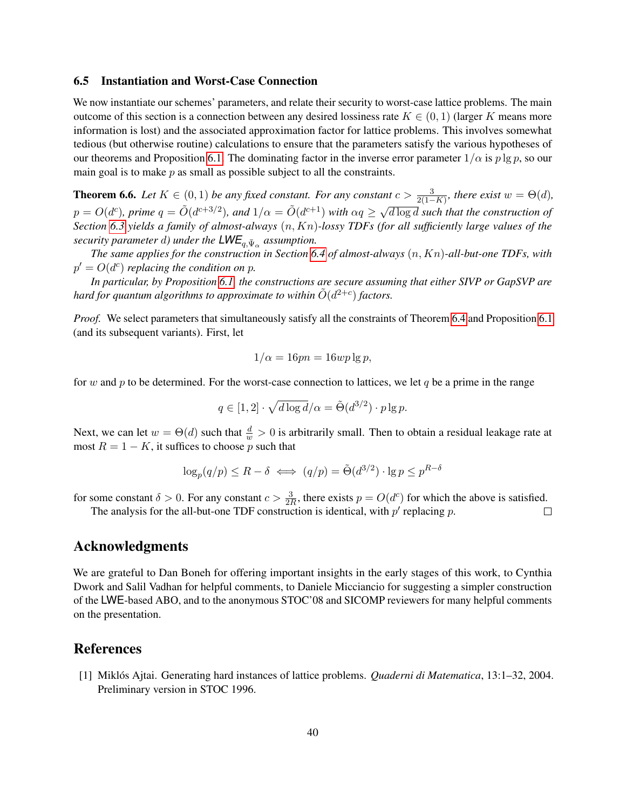### <span id="page-39-1"></span>6.5 Instantiation and Worst-Case Connection

We now instantiate our schemes' parameters, and relate their security to worst-case lattice problems. The main outcome of this section is a connection between any desired lossiness rate  $K \in (0,1)$  (larger K means more information is lost) and the associated approximation factor for lattice problems. This involves somewhat tedious (but otherwise routine) calculations to ensure that the parameters satisfy the various hypotheses of our theorems and Proposition [6.1.](#page-32-0) The dominating factor in the inverse error parameter  $1/\alpha$  is  $p \lg p$ , so our main goal is to make  $p$  as small as possible subject to all the constraints.

**Theorem 6.6.** Let  $K \in (0,1)$  be any fixed constant. For any constant  $c > \frac{3}{2(1-K)}$ , there exist  $w = \Theta(d)$ ,  $p = O(d^c)$ , prime  $q = \tilde{O}(d^{c+3/2})$ , and  $1/\alpha = \tilde{O}(d^{c+1})$  *with*  $\alpha q \ge \sqrt{d^{c+1}}$ d log d *such that the construction of Section [6.3](#page-33-0) yields a family of almost-always* (n, Kn)*-lossy TDFs (for all sufficiently large values of the*  $\mathit{security \, parameter\ d)}$  under the  $\mathsf{LWE}_{q,\bar\Psi_\alpha}$  assumption.

*The same applies for the construction in Section [6.4](#page-36-0) of almost-always* (n, Kn)*-all-but-one TDFs, with*  $p' = O(d^c)$  replacing the condition on p.

*In particular, by Proposition [6.1,](#page-32-0) the constructions are secure assuming that either SIVP or GapSVP are* hard for quantum algorithms to approximate to within  $\tilde O(d^{2+c})$  factors.

*Proof.* We select parameters that simultaneously satisfy all the constraints of Theorem [6.4](#page-35-0) and Proposition [6.1](#page-32-0) (and its subsequent variants). First, let

$$
1/\alpha = 16pn = 16wp \lg p,
$$

for w and p to be determined. For the worst-case connection to lattices, we let q be a prime in the range

$$
q \in [1, 2] \cdot \sqrt{d \log d}/\alpha = \tilde{\Theta}(d^{3/2}) \cdot p \lg p.
$$

Next, we can let  $w = \Theta(d)$  such that  $\frac{d}{w} > 0$  is arbitrarily small. Then to obtain a residual leakage rate at most  $R = 1 - K$ , it suffices to choose p such that

$$
\log_p(q/p) \le R - \delta \iff (q/p) = \tilde{\Theta}(d^{3/2}) \cdot \lg p \le p^{R - \delta}
$$

for some constant  $\delta > 0$ . For any constant  $c > \frac{3}{2R}$ , there exists  $p = O(d^c)$  for which the above is satisfied.

The analysis for the all-but-one TDF construction is identical, with  $p'$  replacing p.  $\Box$ 

# Acknowledgments

We are grateful to Dan Boneh for offering important insights in the early stages of this work, to Cynthia Dwork and Salil Vadhan for helpful comments, to Daniele Micciancio for suggesting a simpler construction of the LWE-based ABO, and to the anonymous STOC'08 and SICOMP reviewers for many helpful comments on the presentation.

# References

<span id="page-39-0"></span>[1] Miklos Ajtai. Generating hard instances of lattice problems. ´ *Quaderni di Matematica*, 13:1–32, 2004. Preliminary version in STOC 1996.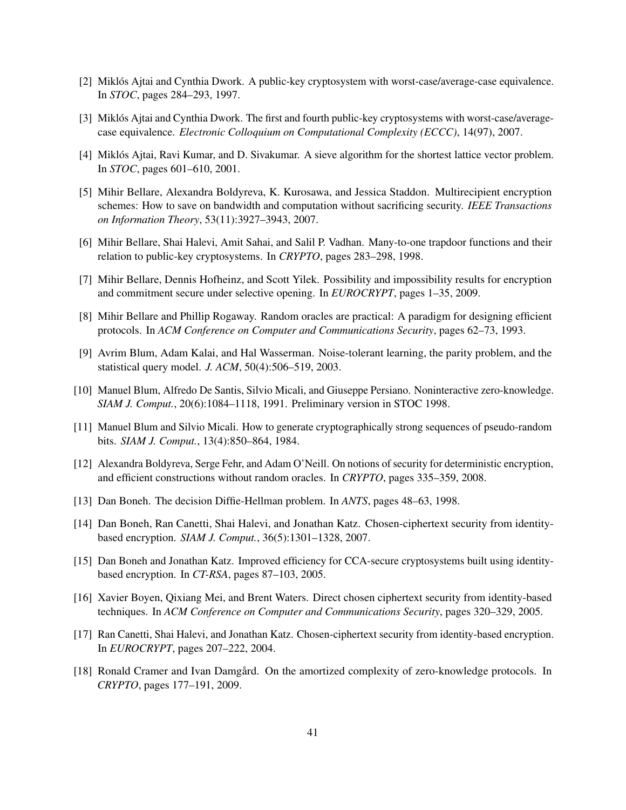- <span id="page-40-2"></span>[2] Miklós Ajtai and Cynthia Dwork. A public-key cryptosystem with worst-case/average-case equivalence. In *STOC*, pages 284–293, 1997.
- <span id="page-40-6"></span>[3] Miklos Ajtai and Cynthia Dwork. The first and fourth public-key cryptosystems with worst-case/average- ´ case equivalence. *Electronic Colloquium on Computational Complexity (ECCC)*, 14(97), 2007.
- <span id="page-40-15"></span>[4] Miklos Ajtai, Ravi Kumar, and D. Sivakumar. A sieve algorithm for the shortest lattice vector problem. ´ In *STOC*, pages 601–610, 2001.
- <span id="page-40-11"></span>[5] Mihir Bellare, Alexandra Boldyreva, K. Kurosawa, and Jessica Staddon. Multirecipient encryption schemes: How to save on bandwidth and computation without sacrificing security. *IEEE Transactions on Information Theory*, 53(11):3927–3943, 2007.
- <span id="page-40-3"></span>[6] Mihir Bellare, Shai Halevi, Amit Sahai, and Salil P. Vadhan. Many-to-one trapdoor functions and their relation to public-key cryptosystems. In *CRYPTO*, pages 283–298, 1998.
- <span id="page-40-13"></span>[7] Mihir Bellare, Dennis Hofheinz, and Scott Yilek. Possibility and impossibility results for encryption and commitment secure under selective opening. In *EUROCRYPT*, pages 1–35, 2009.
- <span id="page-40-1"></span>[8] Mihir Bellare and Phillip Rogaway. Random oracles are practical: A paradigm for designing efficient protocols. In *ACM Conference on Computer and Communications Security*, pages 62–73, 1993.
- <span id="page-40-5"></span>[9] Avrim Blum, Adam Kalai, and Hal Wasserman. Noise-tolerant learning, the parity problem, and the statistical query model. *J. ACM*, 50(4):506–519, 2003.
- <span id="page-40-0"></span>[10] Manuel Blum, Alfredo De Santis, Silvio Micali, and Giuseppe Persiano. Noninteractive zero-knowledge. *SIAM J. Comput.*, 20(6):1084–1118, 1991. Preliminary version in STOC 1998.
- <span id="page-40-14"></span>[11] Manuel Blum and Silvio Micali. How to generate cryptographically strong sequences of pseudo-random bits. *SIAM J. Comput.*, 13(4):850–864, 1984.
- <span id="page-40-12"></span>[12] Alexandra Boldyreva, Serge Fehr, and Adam O'Neill. On notions of security for deterministic encryption, and efficient constructions without random oracles. In *CRYPTO*, pages 335–359, 2008.
- <span id="page-40-4"></span>[13] Dan Boneh. The decision Diffie-Hellman problem. In *ANTS*, pages 48–63, 1998.
- <span id="page-40-10"></span>[14] Dan Boneh, Ran Canetti, Shai Halevi, and Jonathan Katz. Chosen-ciphertext security from identitybased encryption. *SIAM J. Comput.*, 36(5):1301–1328, 2007.
- <span id="page-40-8"></span>[15] Dan Boneh and Jonathan Katz. Improved efficiency for CCA-secure cryptosystems built using identitybased encryption. In *CT-RSA*, pages 87–103, 2005.
- <span id="page-40-9"></span>[16] Xavier Boyen, Qixiang Mei, and Brent Waters. Direct chosen ciphertext security from identity-based techniques. In *ACM Conference on Computer and Communications Security*, pages 320–329, 2005.
- <span id="page-40-7"></span>[17] Ran Canetti, Shai Halevi, and Jonathan Katz. Chosen-ciphertext security from identity-based encryption. In *EUROCRYPT*, pages 207–222, 2004.
- <span id="page-40-16"></span>[18] Ronald Cramer and Ivan Damgård. On the amortized complexity of zero-knowledge protocols. In *CRYPTO*, pages 177–191, 2009.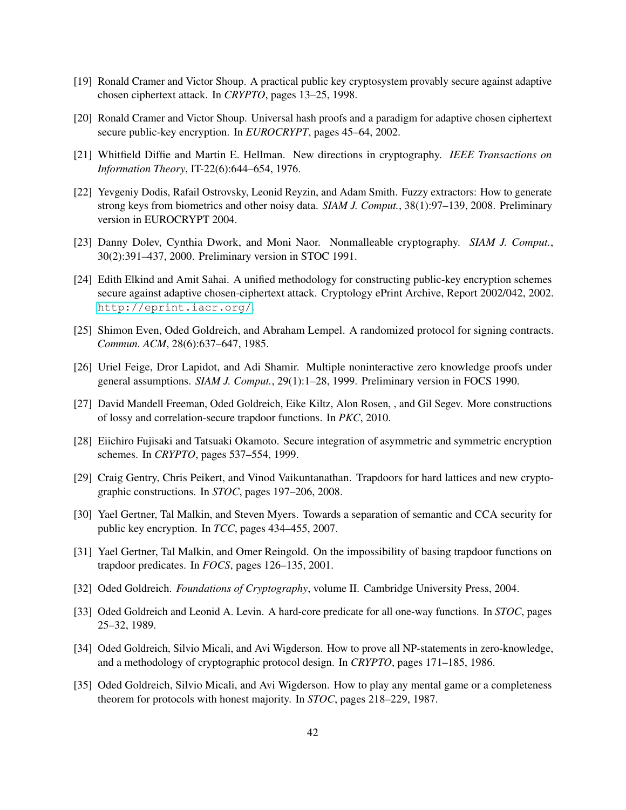- <span id="page-41-3"></span>[19] Ronald Cramer and Victor Shoup. A practical public key cryptosystem provably secure against adaptive chosen ciphertext attack. In *CRYPTO*, pages 13–25, 1998.
- <span id="page-41-4"></span>[20] Ronald Cramer and Victor Shoup. Universal hash proofs and a paradigm for adaptive chosen ciphertext secure public-key encryption. In *EUROCRYPT*, pages 45–64, 2002.
- <span id="page-41-1"></span>[21] Whitfield Diffie and Martin E. Hellman. New directions in cryptography. *IEEE Transactions on Information Theory*, IT-22(6):644–654, 1976.
- <span id="page-41-12"></span>[22] Yevgeniy Dodis, Rafail Ostrovsky, Leonid Reyzin, and Adam Smith. Fuzzy extractors: How to generate strong keys from biometrics and other noisy data. *SIAM J. Comput.*, 38(1):97–139, 2008. Preliminary version in EUROCRYPT 2004.
- <span id="page-41-0"></span>[23] Danny Dolev, Cynthia Dwork, and Moni Naor. Nonmalleable cryptography. *SIAM J. Comput.*, 30(2):391–437, 2000. Preliminary version in STOC 1991.
- <span id="page-41-10"></span>[24] Edith Elkind and Amit Sahai. A unified methodology for constructing public-key encryption schemes secure against adaptive chosen-ciphertext attack. Cryptology ePrint Archive, Report 2002/042, 2002. <http://eprint.iacr.org/>.
- <span id="page-41-13"></span>[25] Shimon Even, Oded Goldreich, and Abraham Lempel. A randomized protocol for signing contracts. *Commun. ACM*, 28(6):637–647, 1985.
- <span id="page-41-2"></span>[26] Uriel Feige, Dror Lapidot, and Adi Shamir. Multiple noninteractive zero knowledge proofs under general assumptions. *SIAM J. Comput.*, 29(1):1–28, 1999. Preliminary version in FOCS 1990.
- <span id="page-41-14"></span>[27] David Mandell Freeman, Oded Goldreich, Eike Kiltz, Alon Rosen, , and Gil Segev. More constructions of lossy and correlation-secure trapdoor functions. In *PKC*, 2010.
- <span id="page-41-5"></span>[28] Eiichiro Fujisaki and Tatsuaki Okamoto. Secure integration of asymmetric and symmetric encryption schemes. In *CRYPTO*, pages 537–554, 1999.
- <span id="page-41-15"></span>[29] Craig Gentry, Chris Peikert, and Vinod Vaikuntanathan. Trapdoors for hard lattices and new cryptographic constructions. In *STOC*, pages 197–206, 2008.
- <span id="page-41-9"></span>[30] Yael Gertner, Tal Malkin, and Steven Myers. Towards a separation of semantic and CCA security for public key encryption. In *TCC*, pages 434–455, 2007.
- <span id="page-41-8"></span>[31] Yael Gertner, Tal Malkin, and Omer Reingold. On the impossibility of basing trapdoor functions on trapdoor predicates. In *FOCS*, pages 126–135, 2001.
- <span id="page-41-16"></span>[32] Oded Goldreich. *Foundations of Cryptography*, volume II. Cambridge University Press, 2004.
- <span id="page-41-11"></span>[33] Oded Goldreich and Leonid A. Levin. A hard-core predicate for all one-way functions. In *STOC*, pages 25–32, 1989.
- <span id="page-41-6"></span>[34] Oded Goldreich, Silvio Micali, and Avi Wigderson. How to prove all NP-statements in zero-knowledge, and a methodology of cryptographic protocol design. In *CRYPTO*, pages 171–185, 1986.
- <span id="page-41-7"></span>[35] Oded Goldreich, Silvio Micali, and Avi Wigderson. How to play any mental game or a completeness theorem for protocols with honest majority. In *STOC*, pages 218–229, 1987.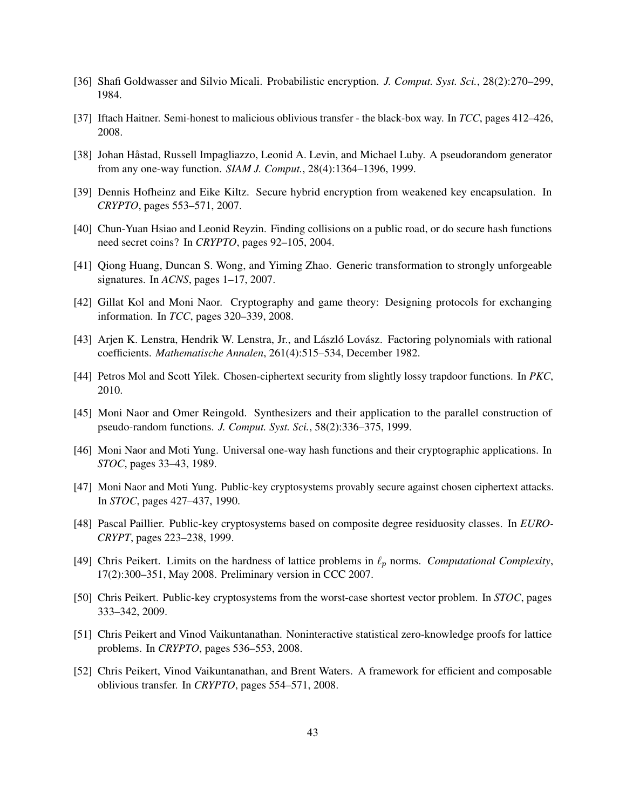- <span id="page-42-5"></span>[36] Shafi Goldwasser and Silvio Micali. Probabilistic encryption. *J. Comput. Syst. Sci.*, 28(2):270–299, 1984.
- <span id="page-42-14"></span>[37] Iftach Haitner. Semi-honest to malicious oblivious transfer - the black-box way. In *TCC*, pages 412–426, 2008.
- <span id="page-42-3"></span>[38] Johan Håstad, Russell Impagliazzo, Leonid A. Levin, and Michael Luby. A pseudorandom generator from any one-way function. *SIAM J. Comput.*, 28(4):1364–1396, 1999.
- <span id="page-42-9"></span>[39] Dennis Hofheinz and Eike Kiltz. Secure hybrid encryption from weakened key encapsulation. In *CRYPTO*, pages 553–571, 2007.
- <span id="page-42-13"></span>[40] Chun-Yuan Hsiao and Leonid Reyzin. Finding collisions on a public road, or do secure hash functions need secret coins? In *CRYPTO*, pages 92–105, 2004.
- <span id="page-42-12"></span>[41] Qiong Huang, Duncan S. Wong, and Yiming Zhao. Generic transformation to strongly unforgeable signatures. In *ACNS*, pages 1–17, 2007.
- <span id="page-42-7"></span>[42] Gillat Kol and Moni Naor. Cryptography and game theory: Designing protocols for exchanging information. In *TCC*, pages 320–339, 2008.
- <span id="page-42-16"></span>[43] Arjen K. Lenstra, Hendrik W. Lenstra, Jr., and László Lovász. Factoring polynomials with rational coefficients. *Mathematische Annalen*, 261(4):515–534, December 1982.
- <span id="page-42-10"></span>[44] Petros Mol and Scott Yilek. Chosen-ciphertext security from slightly lossy trapdoor functions. In *PKC*, 2010.
- <span id="page-42-8"></span>[45] Moni Naor and Omer Reingold. Synthesizers and their application to the parallel construction of pseudo-random functions. *J. Comput. Syst. Sci.*, 58(2):336–375, 1999.
- <span id="page-42-11"></span>[46] Moni Naor and Moti Yung. Universal one-way hash functions and their cryptographic applications. In *STOC*, pages 33–43, 1989.
- <span id="page-42-0"></span>[47] Moni Naor and Moti Yung. Public-key cryptosystems provably secure against chosen ciphertext attacks. In *STOC*, pages 427–437, 1990.
- <span id="page-42-1"></span>[48] Pascal Paillier. Public-key cryptosystems based on composite degree residuosity classes. In *EURO-CRYPT*, pages 223–238, 1999.
- <span id="page-42-15"></span>[49] Chris Peikert. Limits on the hardness of lattice problems in  $\ell_p$  norms. *Computational Complexity*, 17(2):300–351, May 2008. Preliminary version in CCC 2007.
- <span id="page-42-4"></span>[50] Chris Peikert. Public-key cryptosystems from the worst-case shortest vector problem. In *STOC*, pages 333–342, 2009.
- <span id="page-42-2"></span>[51] Chris Peikert and Vinod Vaikuntanathan. Noninteractive statistical zero-knowledge proofs for lattice problems. In *CRYPTO*, pages 536–553, 2008.
- <span id="page-42-6"></span>[52] Chris Peikert, Vinod Vaikuntanathan, and Brent Waters. A framework for efficient and composable oblivious transfer. In *CRYPTO*, pages 554–571, 2008.